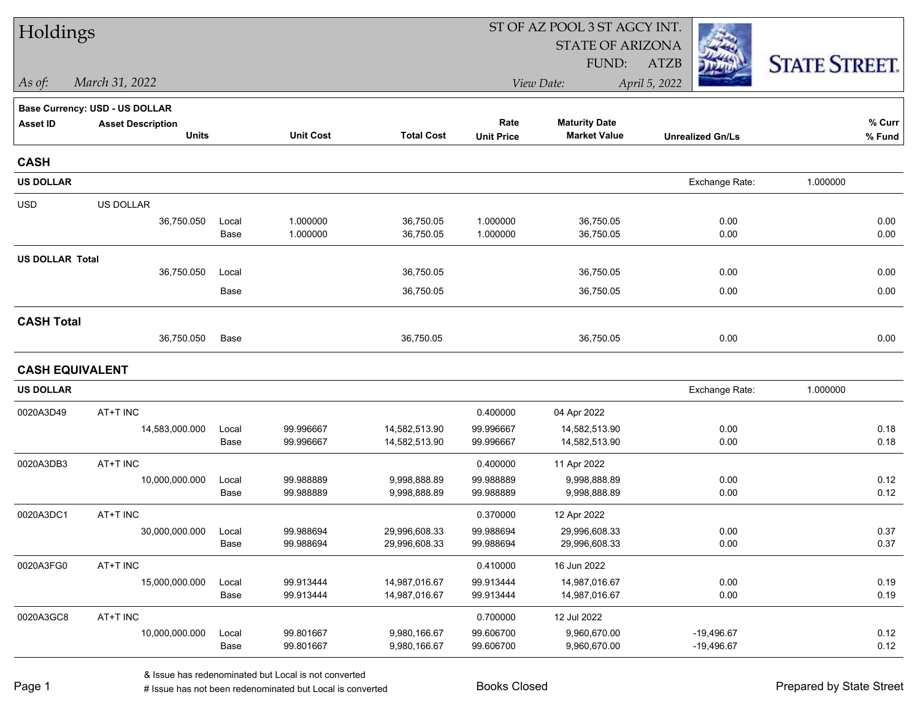| Holdings               |                                       |               |                        |                                | ST OF AZ POOL 3 ST AGCY INT. |                                |                         |                      |  |  |
|------------------------|---------------------------------------|---------------|------------------------|--------------------------------|------------------------------|--------------------------------|-------------------------|----------------------|--|--|
|                        |                                       |               |                        |                                |                              | <b>STATE OF ARIZONA</b>        |                         |                      |  |  |
|                        |                                       |               |                        |                                |                              | FUND:                          | <b>ATZB</b>             | <b>STATE STREET.</b> |  |  |
| As of:                 | March 31, 2022                        |               |                        |                                |                              | View Date:                     | April 5, 2022           |                      |  |  |
|                        | <b>Base Currency: USD - US DOLLAR</b> |               |                        |                                |                              |                                |                         |                      |  |  |
| <b>Asset ID</b>        | <b>Asset Description</b>              |               |                        |                                | Rate                         | <b>Maturity Date</b>           |                         | % Curr               |  |  |
|                        | <b>Units</b>                          |               | <b>Unit Cost</b>       | <b>Total Cost</b>              | <b>Unit Price</b>            | <b>Market Value</b>            | <b>Unrealized Gn/Ls</b> | % Fund               |  |  |
| <b>CASH</b>            |                                       |               |                        |                                |                              |                                |                         |                      |  |  |
| <b>US DOLLAR</b>       |                                       |               |                        |                                |                              |                                | Exchange Rate:          | 1.000000             |  |  |
| <b>USD</b>             | US DOLLAR                             |               |                        |                                |                              |                                |                         |                      |  |  |
|                        | 36,750.050                            | Local         | 1.000000               | 36,750.05                      | 1.000000                     | 36,750.05                      | 0.00                    | 0.00                 |  |  |
|                        |                                       | Base          | 1.000000               | 36,750.05                      | 1.000000                     | 36,750.05                      | 0.00                    | 0.00                 |  |  |
| <b>US DOLLAR Total</b> |                                       |               |                        |                                |                              |                                |                         |                      |  |  |
|                        | 36,750.050                            | Local         |                        | 36,750.05                      |                              | 36,750.05                      | 0.00                    | 0.00                 |  |  |
|                        |                                       | Base          |                        | 36,750.05                      |                              | 36,750.05                      | 0.00                    | 0.00                 |  |  |
| <b>CASH Total</b>      |                                       |               |                        |                                |                              |                                |                         |                      |  |  |
|                        | 36,750.050                            | Base          |                        | 36,750.05                      |                              | 36,750.05                      | 0.00                    | 0.00                 |  |  |
|                        | <b>CASH EQUIVALENT</b>                |               |                        |                                |                              |                                |                         |                      |  |  |
| <b>US DOLLAR</b>       |                                       |               |                        |                                |                              |                                | Exchange Rate:          | 1.000000             |  |  |
| 0020A3D49              | AT+T INC                              |               |                        |                                | 0.400000                     | 04 Apr 2022                    |                         |                      |  |  |
|                        | 14,583,000.000                        | Local         | 99.996667              | 14,582,513.90                  | 99.996667                    | 14,582,513.90                  | 0.00                    | 0.18                 |  |  |
|                        |                                       | Base          | 99.996667              | 14,582,513.90                  | 99.996667                    | 14,582,513.90                  | 0.00                    | 0.18                 |  |  |
| 0020A3DB3              | AT+T INC                              |               |                        |                                | 0.400000                     | 11 Apr 2022                    |                         |                      |  |  |
|                        | 10,000,000.000                        | Local         | 99.988889              | 9,998,888.89                   | 99.988889                    | 9,998,888.89                   | 0.00                    | 0.12                 |  |  |
|                        |                                       | Base          | 99.988889              | 9,998,888.89                   | 99.988889                    | 9,998,888.89                   | 0.00                    | 0.12                 |  |  |
| 0020A3DC1              | AT+T INC                              |               |                        |                                | 0.370000                     | 12 Apr 2022                    |                         |                      |  |  |
|                        | 30,000,000.000                        | Local<br>Base | 99.988694<br>99.988694 | 29,996,608.33<br>29,996,608.33 | 99.988694<br>99.988694       | 29,996,608.33<br>29,996,608.33 | 0.00<br>0.00            | 0.37<br>0.37         |  |  |
| 0020A3FG0              | AT+T INC                              |               |                        |                                | 0.410000                     | 16 Jun 2022                    |                         |                      |  |  |
|                        | 15,000,000.000                        | Local         | 99.913444              | 14,987,016.67                  | 99.913444                    | 14,987,016.67                  | 0.00                    | 0.19                 |  |  |
|                        |                                       | Base          | 99.913444              | 14,987,016.67                  | 99.913444                    | 14,987,016.67                  | 0.00                    | 0.19                 |  |  |
| 0020A3GC8              | AT+T INC                              |               |                        |                                | 0.700000                     | 12 Jul 2022                    |                         |                      |  |  |
|                        | 10,000,000.000                        | Local         | 99.801667              | 9,980,166.67                   | 99.606700                    | 9,960,670.00                   | $-19,496.67$            | 0.12                 |  |  |
|                        |                                       | Base          | 99.801667              | 9,980,166.67                   | 99.606700                    | 9,960,670.00                   | $-19,496.67$            | 0.12                 |  |  |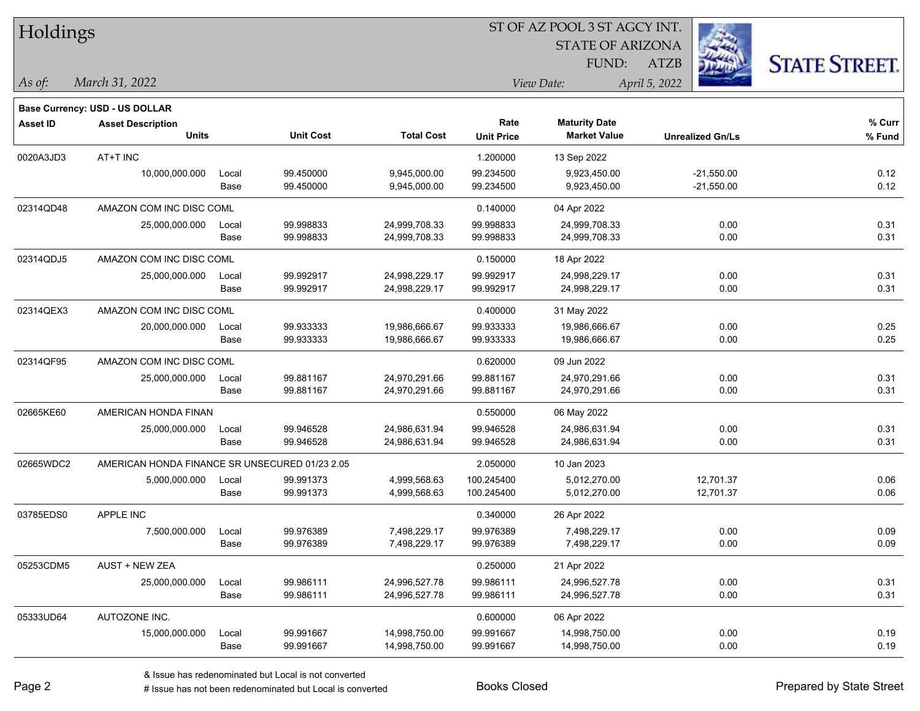| Holdings        |                                                |               |                        |                                | 51 OF AZ POOL 3 51 AGCY INT. |                                             |                              |                      |  |  |
|-----------------|------------------------------------------------|---------------|------------------------|--------------------------------|------------------------------|---------------------------------------------|------------------------------|----------------------|--|--|
|                 |                                                |               |                        |                                |                              | <b>STATE OF ARIZONA</b>                     | ija.                         |                      |  |  |
|                 |                                                |               |                        |                                |                              | FUND:                                       | ATZB                         | <b>STATE STREET.</b> |  |  |
| As of:          | March 31, 2022                                 |               |                        |                                |                              | View Date:                                  | April 5, 2022                |                      |  |  |
|                 | <b>Base Currency: USD - US DOLLAR</b>          |               |                        |                                |                              |                                             |                              |                      |  |  |
| <b>Asset ID</b> | <b>Asset Description</b><br><b>Units</b>       |               | <b>Unit Cost</b>       | <b>Total Cost</b>              | Rate<br><b>Unit Price</b>    | <b>Maturity Date</b><br><b>Market Value</b> | <b>Unrealized Gn/Ls</b>      | % Curr<br>% Fund     |  |  |
| 0020A3JD3       | AT+T INC                                       |               |                        |                                | 1.200000                     | 13 Sep 2022                                 |                              |                      |  |  |
|                 | 10,000,000.000                                 | Local<br>Base | 99.450000<br>99.450000 | 9,945,000.00<br>9,945,000.00   | 99.234500<br>99.234500       | 9,923,450.00<br>9,923,450.00                | $-21,550.00$<br>$-21,550.00$ | 0.12<br>0.12         |  |  |
| 02314QD48       | AMAZON COM INC DISC COML                       |               |                        |                                | 0.140000                     | 04 Apr 2022                                 |                              |                      |  |  |
|                 | 25,000,000.000                                 | Local<br>Base | 99.998833<br>99.998833 | 24,999,708.33<br>24,999,708.33 | 99.998833<br>99.998833       | 24,999,708.33<br>24,999,708.33              | 0.00<br>0.00                 | 0.31<br>0.31         |  |  |
| 02314QDJ5       | AMAZON COM INC DISC COML                       |               |                        |                                | 0.150000                     | 18 Apr 2022                                 |                              |                      |  |  |
|                 | 25,000,000.000                                 | Local<br>Base | 99.992917<br>99.992917 | 24,998,229.17<br>24,998,229.17 | 99.992917<br>99.992917       | 24,998,229.17<br>24,998,229.17              | 0.00<br>0.00                 | 0.31<br>0.31         |  |  |
| 02314QEX3       | AMAZON COM INC DISC COML                       |               |                        |                                | 0.400000                     | 31 May 2022                                 |                              |                      |  |  |
|                 | 20,000,000.000                                 | Local<br>Base | 99.933333<br>99.933333 | 19,986,666.67<br>19,986,666.67 | 99.933333<br>99.933333       | 19,986,666.67<br>19,986,666.67              | 0.00<br>0.00                 | 0.25<br>0.25         |  |  |
| 02314QF95       | AMAZON COM INC DISC COML                       |               |                        |                                | 0.620000                     | 09 Jun 2022                                 |                              |                      |  |  |
|                 | 25,000,000.000                                 | Local<br>Base | 99.881167<br>99.881167 | 24,970,291.66<br>24,970,291.66 | 99.881167<br>99.881167       | 24,970,291.66<br>24,970,291.66              | 0.00<br>0.00                 | 0.31<br>0.31         |  |  |
| 02665KE60       | AMERICAN HONDA FINAN                           |               |                        |                                | 0.550000                     | 06 May 2022                                 |                              |                      |  |  |
|                 | 25,000,000.000                                 | Local<br>Base | 99.946528<br>99.946528 | 24,986,631.94<br>24,986,631.94 | 99.946528<br>99.946528       | 24,986,631.94<br>24,986,631.94              | 0.00<br>0.00                 | 0.31<br>0.31         |  |  |
| 02665WDC2       | AMERICAN HONDA FINANCE SR UNSECURED 01/23 2.05 |               |                        |                                | 2.050000                     | 10 Jan 2023                                 |                              |                      |  |  |
|                 | 5,000,000.000                                  | Local<br>Base | 99.991373<br>99.991373 | 4,999,568.63<br>4,999,568.63   | 100.245400<br>100.245400     | 5,012,270.00<br>5,012,270.00                | 12,701.37<br>12,701.37       | 0.06<br>0.06         |  |  |
| 03785EDS0       | APPLE INC                                      |               |                        |                                | 0.340000                     | 26 Apr 2022                                 |                              |                      |  |  |
|                 | 7,500,000.000                                  | Local<br>Base | 99.976389<br>99.976389 | 7,498,229.17<br>7,498,229.17   | 99.976389<br>99.976389       | 7,498,229.17<br>7,498,229.17                | 0.00<br>0.00                 | 0.09<br>0.09         |  |  |
| 05253CDM5       | AUST + NEW ZEA                                 |               |                        |                                | 0.250000                     | 21 Apr 2022                                 |                              |                      |  |  |
|                 | 25,000,000.000                                 | Local<br>Base | 99.986111<br>99.986111 | 24,996,527.78<br>24,996,527.78 | 99.986111<br>99.986111       | 24,996,527.78<br>24,996,527.78              | 0.00<br>0.00                 | 0.31<br>0.31         |  |  |
| 05333UD64       | AUTOZONE INC.                                  |               |                        |                                | 0.600000                     | 06 Apr 2022                                 |                              |                      |  |  |
|                 | 15,000,000.000                                 | Local<br>Base | 99.991667<br>99.991667 | 14,998,750.00<br>14,998,750.00 | 99.991667<br>99.991667       | 14,998,750.00<br>14,998,750.00              | 0.00<br>0.00                 | 0.19<br>0.19         |  |  |

 $\overline{\text{SUSY}}$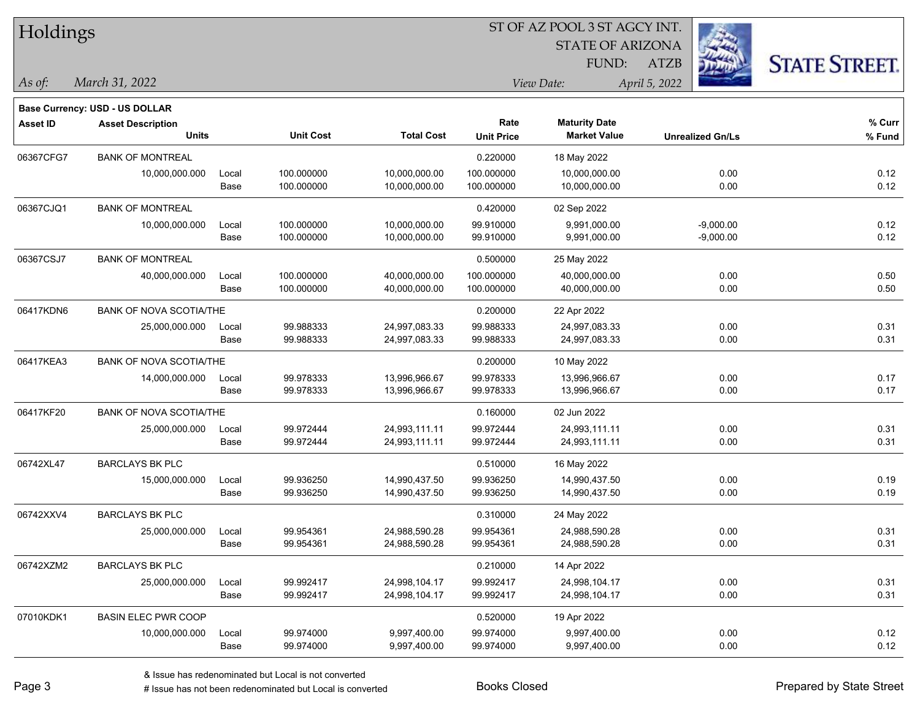| Holdings        |                                       |       |                  |                   |                   | ST OF AZ POOL 3 ST AGCY INT. |                         |                      |
|-----------------|---------------------------------------|-------|------------------|-------------------|-------------------|------------------------------|-------------------------|----------------------|
|                 |                                       |       |                  |                   |                   | <b>STATE OF ARIZONA</b>      |                         |                      |
|                 |                                       |       |                  |                   |                   | FUND:                        | $\frac{1}{2}$<br>ATZB   | <b>STATE STREET.</b> |
| As of:          | March 31, 2022                        |       |                  |                   |                   | View Date:                   | April 5, 2022           |                      |
|                 | <b>Base Currency: USD - US DOLLAR</b> |       |                  |                   |                   |                              |                         |                      |
| <b>Asset ID</b> | <b>Asset Description</b>              |       |                  |                   | Rate              | <b>Maturity Date</b>         |                         | % Curr               |
|                 | <b>Units</b>                          |       | <b>Unit Cost</b> | <b>Total Cost</b> | <b>Unit Price</b> | <b>Market Value</b>          | <b>Unrealized Gn/Ls</b> | % Fund               |
| 06367CFG7       | <b>BANK OF MONTREAL</b>               |       |                  |                   | 0.220000          | 18 May 2022                  |                         |                      |
|                 | 10,000,000.000                        | Local | 100.000000       | 10,000,000.00     | 100.000000        | 10,000,000.00                | 0.00                    | 0.12                 |
|                 |                                       | Base  | 100.000000       | 10,000,000.00     | 100.000000        | 10,000,000.00                | 0.00                    | 0.12                 |
| 06367CJQ1       | <b>BANK OF MONTREAL</b>               |       |                  |                   | 0.420000          | 02 Sep 2022                  |                         |                      |
|                 | 10,000,000.000                        | Local | 100.000000       | 10,000,000.00     | 99.910000         | 9,991,000.00                 | $-9,000.00$             | 0.12                 |
|                 |                                       | Base  | 100.000000       | 10,000,000.00     | 99.910000         | 9,991,000.00                 | $-9,000.00$             | 0.12                 |
| 06367CSJ7       | <b>BANK OF MONTREAL</b>               |       |                  |                   | 0.500000          | 25 May 2022                  |                         |                      |
|                 | 40,000,000.000                        | Local | 100.000000       | 40,000,000.00     | 100.000000        | 40,000,000.00                | 0.00                    | 0.50                 |
|                 |                                       | Base  | 100.000000       | 40,000,000.00     | 100.000000        | 40,000,000.00                | 0.00                    | 0.50                 |
| 06417KDN6       | <b>BANK OF NOVA SCOTIA/THE</b>        |       |                  |                   | 0.200000          | 22 Apr 2022                  |                         |                      |
|                 | 25,000,000.000                        | Local | 99.988333        | 24,997,083.33     | 99.988333         | 24,997,083.33                | 0.00                    | 0.31                 |
|                 |                                       | Base  | 99.988333        | 24,997,083.33     | 99.988333         | 24,997,083.33                | 0.00                    | 0.31                 |
| 06417KEA3       | <b>BANK OF NOVA SCOTIA/THE</b>        |       |                  |                   | 0.200000          | 10 May 2022                  |                         |                      |
|                 | 14,000,000.000                        | Local | 99.978333        | 13,996,966.67     | 99.978333         | 13,996,966.67                | 0.00                    | 0.17                 |
|                 |                                       | Base  | 99.978333        | 13,996,966.67     | 99.978333         | 13,996,966.67                | 0.00                    | 0.17                 |
| 06417KF20       | <b>BANK OF NOVA SCOTIA/THE</b>        |       |                  |                   | 0.160000          | 02 Jun 2022                  |                         |                      |
|                 | 25,000,000.000                        | Local | 99.972444        | 24,993,111.11     | 99.972444         | 24,993,111.11                | 0.00                    | 0.31                 |
|                 |                                       | Base  | 99.972444        | 24,993,111.11     | 99.972444         | 24,993,111.11                | 0.00                    | 0.31                 |
| 06742XL47       | <b>BARCLAYS BK PLC</b>                |       |                  |                   | 0.510000          | 16 May 2022                  |                         |                      |
|                 | 15,000,000.000                        | Local | 99.936250        | 14,990,437.50     | 99.936250         | 14,990,437.50                | 0.00                    | 0.19                 |
|                 |                                       | Base  | 99.936250        | 14,990,437.50     | 99.936250         | 14,990,437.50                | 0.00                    | 0.19                 |
| 06742XXV4       | <b>BARCLAYS BK PLC</b>                |       |                  |                   | 0.310000          | 24 May 2022                  |                         |                      |
|                 | 25,000,000.000                        | Local | 99.954361        | 24,988,590.28     | 99.954361         | 24,988,590.28                | 0.00                    | 0.31                 |
|                 |                                       | Base  | 99.954361        | 24,988,590.28     | 99.954361         | 24,988,590.28                | $0.00\,$                | 0.31                 |
| 06742XZM2       | <b>BARCLAYS BK PLC</b>                |       |                  |                   | 0.210000          | 14 Apr 2022                  |                         |                      |
|                 | 25,000,000.000                        | Local | 99.992417        | 24,998,104.17     | 99.992417         | 24,998,104.17                | 0.00                    | 0.31                 |
|                 |                                       | Base  | 99.992417        | 24,998,104.17     | 99.992417         | 24,998,104.17                | 0.00                    | 0.31                 |
| 07010KDK1       | <b>BASIN ELEC PWR COOP</b>            |       |                  |                   | 0.520000          | 19 Apr 2022                  |                         |                      |
|                 | 10,000,000.000                        | Local | 99.974000        | 9,997,400.00      | 99.974000         | 9,997,400.00                 | 0.00                    | 0.12                 |
|                 |                                       | Base  | 99.974000        | 9,997,400.00      | 99.974000         | 9,997,400.00                 | 0.00                    | 0.12                 |

ST OF AZ POOL 3 ST AGCY INT.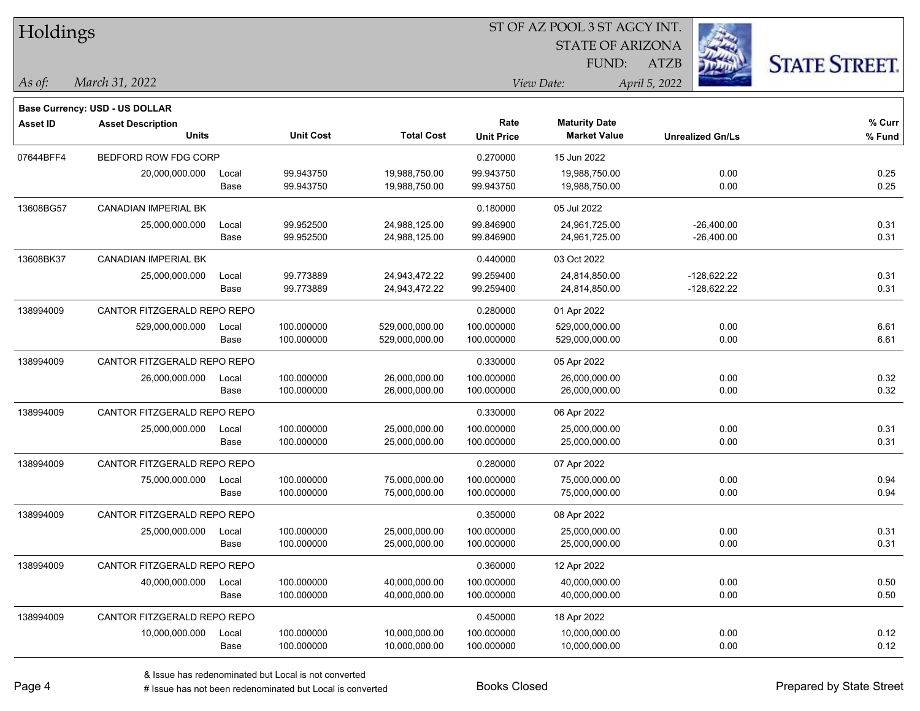| Holdings        |                                |       |                  |                   | ST OF AZ POOL 3 ST AGCY INT. |                         |                         |                      |
|-----------------|--------------------------------|-------|------------------|-------------------|------------------------------|-------------------------|-------------------------|----------------------|
|                 |                                |       |                  |                   |                              | <b>STATE OF ARIZONA</b> |                         |                      |
|                 |                                |       |                  |                   |                              | FUND:                   | <b>ATZB</b>             | <b>STATE STREET.</b> |
| As of:          | March 31, 2022                 |       |                  |                   |                              | View Date:              | April 5, 2022           |                      |
|                 | Base Currency: USD - US DOLLAR |       |                  |                   |                              |                         |                         |                      |
| <b>Asset ID</b> | <b>Asset Description</b>       |       |                  |                   | Rate                         | <b>Maturity Date</b>    |                         | % Curr               |
|                 | Units                          |       | <b>Unit Cost</b> | <b>Total Cost</b> | <b>Unit Price</b>            | <b>Market Value</b>     | <b>Unrealized Gn/Ls</b> | % Fund               |
| 07644BFF4       | BEDFORD ROW FDG CORP           |       |                  |                   | 0.270000                     | 15 Jun 2022             |                         |                      |
|                 | 20,000,000.000                 | Local | 99.943750        | 19,988,750.00     | 99.943750                    | 19,988,750.00           | 0.00                    | 0.25                 |
|                 |                                | Base  | 99.943750        | 19,988,750.00     | 99.943750                    | 19,988,750.00           | 0.00                    | 0.25                 |
| 13608BG57       | CANADIAN IMPERIAL BK           |       |                  |                   | 0.180000                     | 05 Jul 2022             |                         |                      |
|                 | 25,000,000.000                 | Local | 99.952500        | 24,988,125.00     | 99.846900                    | 24,961,725.00           | $-26,400.00$            | 0.31                 |
|                 |                                | Base  | 99.952500        | 24,988,125.00     | 99.846900                    | 24,961,725.00           | $-26,400.00$            | 0.31                 |
| 13608BK37       | <b>CANADIAN IMPERIAL BK</b>    |       |                  |                   | 0.440000                     | 03 Oct 2022             |                         |                      |
|                 | 25,000,000.000                 | Local | 99.773889        | 24,943,472.22     | 99.259400                    | 24,814,850.00           | $-128,622.22$           | 0.31                 |
|                 |                                | Base  | 99.773889        | 24,943,472.22     | 99.259400                    | 24,814,850.00           | $-128,622.22$           | 0.31                 |
| 138994009       | CANTOR FITZGERALD REPO REPO    |       |                  |                   | 0.280000                     | 01 Apr 2022             |                         |                      |
|                 | 529,000,000.000                | Local | 100.000000       | 529,000,000.00    | 100.000000                   | 529,000,000.00          | 0.00                    | 6.61                 |
|                 |                                | Base  | 100.000000       | 529,000,000.00    | 100.000000                   | 529,000,000.00          | 0.00                    | 6.61                 |
| 138994009       | CANTOR FITZGERALD REPO REPO    |       |                  |                   | 0.330000                     | 05 Apr 2022             |                         |                      |
|                 | 26,000,000.000                 | Local | 100.000000       | 26,000,000.00     | 100.000000                   | 26,000,000.00           | 0.00                    | 0.32                 |
|                 |                                | Base  | 100.000000       | 26,000,000.00     | 100.000000                   | 26,000,000.00           | 0.00                    | 0.32                 |
| 138994009       | CANTOR FITZGERALD REPO REPO    |       |                  |                   | 0.330000                     | 06 Apr 2022             |                         |                      |
|                 | 25,000,000.000                 | Local | 100.000000       | 25,000,000.00     | 100.000000                   | 25,000,000.00           | 0.00                    | 0.31                 |
|                 |                                | Base  | 100.000000       | 25,000,000.00     | 100.000000                   | 25,000,000.00           | 0.00                    | 0.31                 |
| 138994009       | CANTOR FITZGERALD REPO REPO    |       |                  |                   | 0.280000                     | 07 Apr 2022             |                         |                      |
|                 | 75,000,000.000                 | Local | 100.000000       | 75,000,000.00     | 100.000000                   | 75,000,000.00           | 0.00                    | 0.94                 |
|                 |                                | Base  | 100.000000       | 75,000,000.00     | 100.000000                   | 75,000,000.00           | 0.00                    | 0.94                 |
| 138994009       | CANTOR FITZGERALD REPO REPO    |       |                  |                   | 0.350000                     | 08 Apr 2022             |                         |                      |
|                 | 25,000,000.000                 | Local | 100.000000       | 25,000,000.00     | 100.000000                   | 25,000,000.00           | 0.00                    | 0.31                 |
|                 |                                | Base  | 100.000000       | 25,000,000.00     | 100.000000                   | 25,000,000.00           | 0.00                    | 0.31                 |
| 138994009       | CANTOR FITZGERALD REPO REPO    |       |                  |                   | 0.360000                     | 12 Apr 2022             |                         |                      |
|                 | 40,000,000.000                 | Local | 100.000000       | 40,000,000.00     | 100.000000                   | 40,000,000.00           | 0.00                    | 0.50                 |
|                 |                                | Base  | 100.000000       | 40,000,000.00     | 100.000000                   | 40,000,000.00           | 0.00                    | 0.50                 |
| 138994009       | CANTOR FITZGERALD REPO REPO    |       |                  |                   | 0.450000                     | 18 Apr 2022             |                         |                      |
|                 | 10,000,000.000                 | Local | 100.000000       | 10,000,000.00     | 100.000000                   | 10,000,000.00           | 0.00                    | 0.12                 |
|                 |                                | Base  | 100.000000       | 10,000,000.00     | 100.000000                   | 10,000,000.00           | 0.00                    | 0.12                 |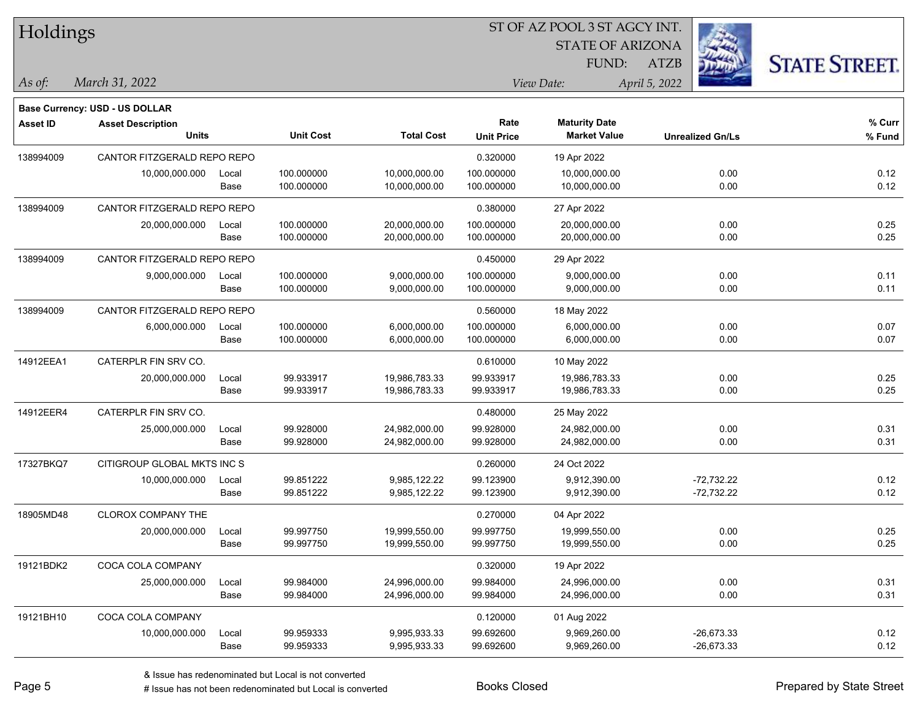| Holdings        |                                       |               |                          |                                |                          | ST OF AZ POOL 3 ST AGCY INT.<br><b>STATE OF ARIZONA</b> |                         |                      |
|-----------------|---------------------------------------|---------------|--------------------------|--------------------------------|--------------------------|---------------------------------------------------------|-------------------------|----------------------|
|                 |                                       |               |                          |                                |                          | FUND:                                                   | <b>ATZB</b>             | <b>STATE STREET.</b> |
| $\vert$ As of:  | March 31, 2022                        |               |                          |                                |                          | View Date:                                              | April 5, 2022           |                      |
|                 | <b>Base Currency: USD - US DOLLAR</b> |               |                          |                                |                          |                                                         |                         |                      |
| <b>Asset ID</b> | <b>Asset Description</b>              |               |                          |                                | Rate                     | <b>Maturity Date</b>                                    |                         | % Curr               |
|                 | <b>Units</b>                          |               | <b>Unit Cost</b>         | <b>Total Cost</b>              | <b>Unit Price</b>        | <b>Market Value</b>                                     | <b>Unrealized Gn/Ls</b> | % Fund               |
| 138994009       | CANTOR FITZGERALD REPO REPO           |               |                          |                                | 0.320000                 | 19 Apr 2022                                             |                         |                      |
|                 | 10,000,000.000                        | Local<br>Base | 100.000000<br>100.000000 | 10,000,000.00<br>10,000,000.00 | 100.000000<br>100.000000 | 10,000,000.00<br>10,000,000.00                          | 0.00<br>0.00            | 0.12<br>0.12         |
| 138994009       | CANTOR FITZGERALD REPO REPO           |               |                          |                                | 0.380000                 | 27 Apr 2022                                             |                         |                      |
|                 | 20,000,000.000                        | Local         | 100.000000               | 20,000,000.00                  | 100.000000               | 20,000,000.00                                           | 0.00                    | 0.25                 |
|                 |                                       | Base          | 100.000000               | 20,000,000.00                  | 100.000000               | 20,000,000.00                                           | 0.00                    | 0.25                 |
| 138994009       | CANTOR FITZGERALD REPO REPO           |               |                          |                                | 0.450000                 | 29 Apr 2022                                             |                         |                      |
|                 | 9,000,000.000                         | Local         | 100.000000               | 9,000,000.00                   | 100.000000               | 9,000,000.00                                            | 0.00                    | 0.11                 |
|                 |                                       | Base          | 100.000000               | 9,000,000.00                   | 100.000000               | 9,000,000.00                                            | 0.00                    | 0.11                 |
| 138994009       | CANTOR FITZGERALD REPO REPO           |               |                          |                                | 0.560000                 | 18 May 2022                                             |                         |                      |
|                 | 6,000,000.000                         | Local         | 100.000000               | 6,000,000.00                   | 100.000000               | 6,000,000.00                                            | 0.00                    | 0.07                 |
|                 |                                       | Base          | 100.000000               | 6,000,000.00                   | 100.000000               | 6,000,000.00                                            | 0.00                    | 0.07                 |
| 14912EEA1       | CATERPLR FIN SRV CO.                  |               |                          |                                | 0.610000                 | 10 May 2022                                             |                         |                      |
|                 | 20,000,000.000                        | Local         | 99.933917                | 19,986,783.33                  | 99.933917                | 19,986,783.33                                           | 0.00                    | 0.25                 |
|                 |                                       | Base          | 99.933917                | 19,986,783.33                  | 99.933917                | 19,986,783.33                                           | 0.00                    | 0.25                 |
| 14912EER4       | CATERPLR FIN SRV CO.                  |               |                          |                                | 0.480000                 | 25 May 2022                                             |                         |                      |
|                 | 25,000,000.000                        | Local         | 99.928000                | 24,982,000.00                  | 99.928000                | 24,982,000.00                                           | 0.00                    | 0.31                 |
|                 |                                       | Base          | 99.928000                | 24,982,000.00                  | 99.928000                | 24,982,000.00                                           | 0.00                    | 0.31                 |
| 17327BKQ7       | CITIGROUP GLOBAL MKTS INC S           |               |                          |                                | 0.260000                 | 24 Oct 2022                                             |                         |                      |
|                 | 10,000,000.000                        | Local         | 99.851222                | 9,985,122.22                   | 99.123900                | 9,912,390.00                                            | $-72,732.22$            | 0.12                 |
|                 |                                       | Base          | 99.851222                | 9,985,122.22                   | 99.123900                | 9,912,390.00                                            | $-72,732.22$            | 0.12                 |
| 18905MD48       | <b>CLOROX COMPANY THE</b>             |               |                          |                                | 0.270000                 | 04 Apr 2022                                             |                         |                      |
|                 | 20,000,000.000                        | Local         | 99.997750                | 19,999,550.00                  | 99.997750                | 19,999,550.00                                           | 0.00                    | 0.25                 |
|                 |                                       | Base          | 99.997750                | 19,999,550.00                  | 99.997750                | 19,999,550.00                                           | 0.00                    | 0.25                 |
| 19121BDK2       | COCA COLA COMPANY                     |               |                          |                                | 0.320000                 | 19 Apr 2022                                             |                         |                      |
|                 | 25,000,000.000                        | Local         | 99.984000                | 24,996,000.00                  | 99.984000                | 24,996,000.00                                           | 0.00                    | 0.31                 |
|                 |                                       | Base          | 99.984000                | 24,996,000.00                  | 99.984000                | 24,996,000.00                                           | 0.00                    | 0.31                 |
| 19121BH10       | COCA COLA COMPANY                     |               |                          |                                | 0.120000                 | 01 Aug 2022                                             |                         |                      |
|                 | 10,000,000.000                        | Local         | 99.959333                | 9,995,933.33                   | 99.692600                | 9,969,260.00                                            | $-26,673.33$            | 0.12                 |
|                 |                                       | Base          | 99.959333                | 9,995,933.33                   | 99.692600                | 9,969,260.00                                            | $-26,673.33$            | 0.12                 |

# Issue has not been redenominated but Local is converted Books Closed Prepared by State Street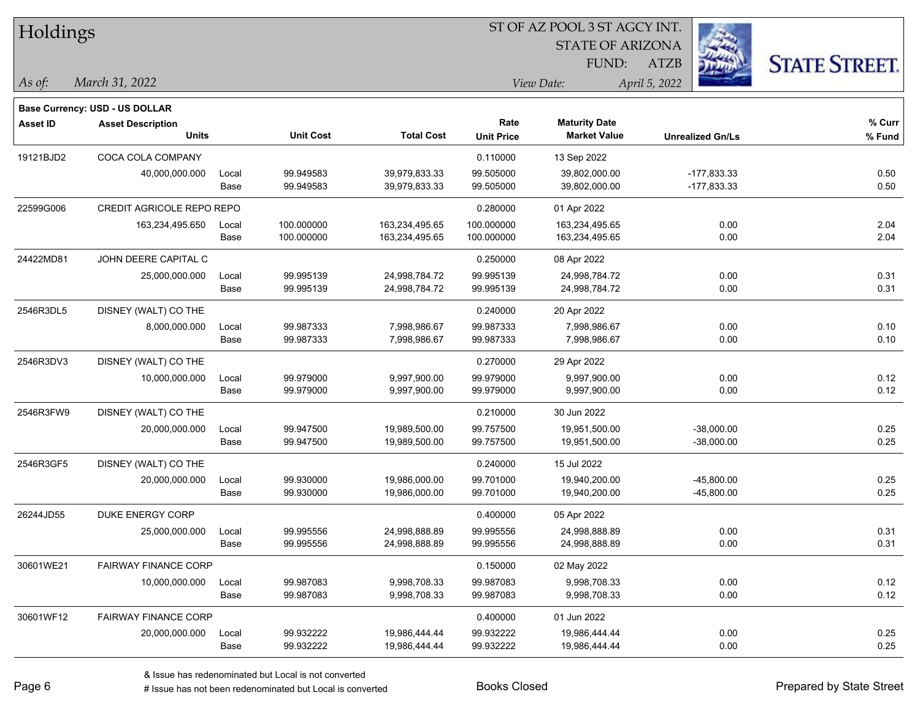| Holdings        |                                       |       |                  |                   |                   |                         |                         |                      |
|-----------------|---------------------------------------|-------|------------------|-------------------|-------------------|-------------------------|-------------------------|----------------------|
|                 |                                       |       |                  |                   |                   | <b>STATE OF ARIZONA</b> |                         |                      |
|                 |                                       |       |                  |                   |                   | FUND:                   | <b>ATZB</b>             | <b>STATE STREET.</b> |
| $\vert$ As of:  | March 31, 2022                        |       |                  |                   |                   | View Date:              | April 5, 2022           |                      |
|                 | <b>Base Currency: USD - US DOLLAR</b> |       |                  |                   |                   |                         |                         |                      |
| <b>Asset ID</b> | <b>Asset Description</b>              |       |                  |                   | Rate              | <b>Maturity Date</b>    |                         | % Curr               |
|                 | <b>Units</b>                          |       | <b>Unit Cost</b> | <b>Total Cost</b> | <b>Unit Price</b> | <b>Market Value</b>     | <b>Unrealized Gn/Ls</b> | % Fund               |
| 19121BJD2       | COCA COLA COMPANY                     |       |                  |                   | 0.110000          | 13 Sep 2022             |                         |                      |
|                 | 40,000,000.000                        | Local | 99.949583        | 39,979,833.33     | 99.505000         | 39,802,000.00           | $-177,833.33$           | 0.50                 |
|                 |                                       | Base  | 99.949583        | 39,979,833.33     | 99.505000         | 39,802,000.00           | $-177,833.33$           | 0.50                 |
| 22599G006       | CREDIT AGRICOLE REPO REPO             |       |                  |                   | 0.280000          | 01 Apr 2022             |                         |                      |
|                 | 163,234,495.650                       | Local | 100.000000       | 163,234,495.65    | 100.000000        | 163,234,495.65          | 0.00                    | 2.04                 |
|                 |                                       | Base  | 100.000000       | 163,234,495.65    | 100.000000        | 163,234,495.65          | 0.00                    | 2.04                 |
| 24422MD81       | JOHN DEERE CAPITAL C                  |       |                  |                   | 0.250000          | 08 Apr 2022             |                         |                      |
|                 | 25,000,000.000                        | Local | 99.995139        | 24,998,784.72     | 99.995139         | 24,998,784.72           | 0.00                    | 0.31                 |
|                 |                                       | Base  | 99.995139        | 24,998,784.72     | 99.995139         | 24,998,784.72           | 0.00                    | 0.31                 |
| 2546R3DL5       | DISNEY (WALT) CO THE                  |       |                  |                   | 0.240000          | 20 Apr 2022             |                         |                      |
|                 | 8,000,000.000                         | Local | 99.987333        | 7,998,986.67      | 99.987333         | 7,998,986.67            | 0.00                    | 0.10                 |
|                 |                                       | Base  | 99.987333        | 7,998,986.67      | 99.987333         | 7,998,986.67            | 0.00                    | 0.10                 |
| 2546R3DV3       | DISNEY (WALT) CO THE                  |       |                  |                   | 0.270000          | 29 Apr 2022             |                         |                      |
|                 | 10,000,000.000                        | Local | 99.979000        | 9,997,900.00      | 99.979000         | 9,997,900.00            | 0.00                    | 0.12                 |
|                 |                                       | Base  | 99.979000        | 9,997,900.00      | 99.979000         | 9,997,900.00            | 0.00                    | 0.12                 |
| 2546R3FW9       | DISNEY (WALT) CO THE                  |       |                  |                   | 0.210000          | 30 Jun 2022             |                         |                      |
|                 | 20,000,000.000                        | Local | 99.947500        | 19,989,500.00     | 99.757500         | 19,951,500.00           | $-38,000.00$            | 0.25                 |
|                 |                                       | Base  | 99.947500        | 19,989,500.00     | 99.757500         | 19,951,500.00           | $-38,000.00$            | 0.25                 |
| 2546R3GF5       | DISNEY (WALT) CO THE                  |       |                  |                   | 0.240000          | 15 Jul 2022             |                         |                      |
|                 | 20,000,000.000                        | Local | 99.930000        | 19,986,000.00     | 99.701000         | 19,940,200.00           | $-45,800.00$            | 0.25                 |
|                 |                                       | Base  | 99.930000        | 19,986,000.00     | 99.701000         | 19,940,200.00           | -45,800.00              | 0.25                 |
| 26244JD55       | DUKE ENERGY CORP                      |       |                  |                   | 0.400000          | 05 Apr 2022             |                         |                      |
|                 | 25,000,000.000                        | Local | 99.995556        | 24,998,888.89     | 99.995556         | 24,998,888.89           | 0.00                    | 0.31                 |
|                 |                                       | Base  | 99.995556        | 24,998,888.89     | 99.995556         | 24,998,888.89           | 0.00                    | 0.31                 |
| 30601WE21       | <b>FAIRWAY FINANCE CORP</b>           |       |                  |                   | 0.150000          | 02 May 2022             |                         |                      |
|                 | 10,000,000.000                        | Local | 99.987083        | 9,998,708.33      | 99.987083         | 9,998,708.33            | 0.00                    | 0.12                 |
|                 |                                       | Base  | 99.987083        | 9,998,708.33      | 99.987083         | 9,998,708.33            | 0.00                    | 0.12                 |
| 30601WF12       | <b>FAIRWAY FINANCE CORP</b>           |       |                  |                   | 0.400000          | 01 Jun 2022             |                         |                      |
|                 | 20,000,000.000                        | Local | 99.932222        | 19,986,444.44     | 99.932222         | 19,986,444.44           | 0.00                    | 0.25                 |
|                 |                                       | Base  | 99.932222        | 19,986,444.44     | 99.932222         | 19,986,444.44           | 0.00                    | 0.25                 |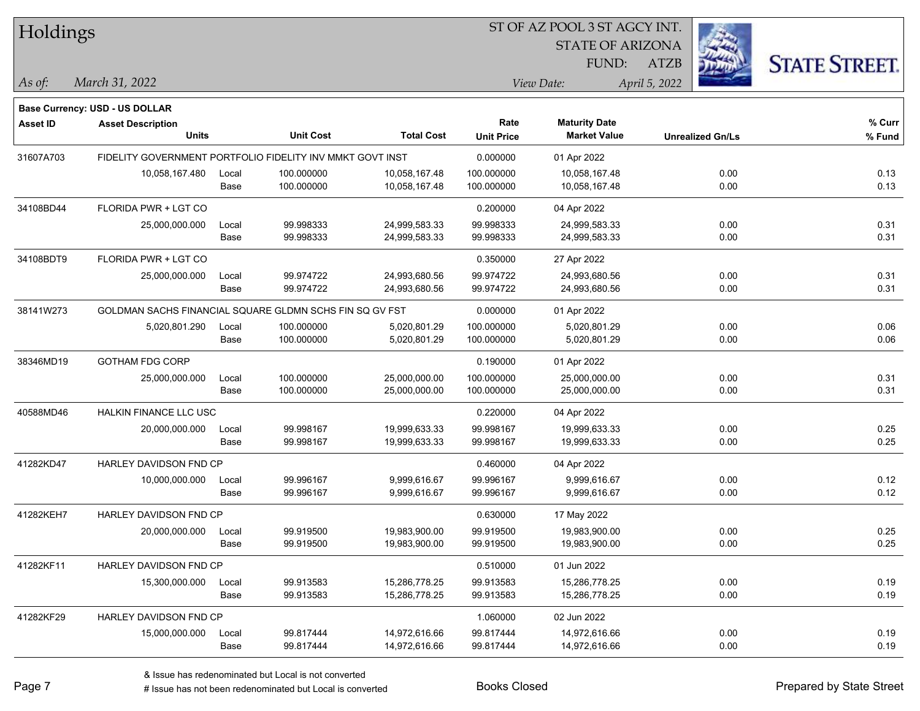| Holdings        |                                                           |       |                  |                   |                   | ST OF AZ POOL 3 ST AGCY INT. |               |                         |                      |
|-----------------|-----------------------------------------------------------|-------|------------------|-------------------|-------------------|------------------------------|---------------|-------------------------|----------------------|
|                 |                                                           |       |                  |                   |                   | <b>STATE OF ARIZONA</b>      |               |                         |                      |
|                 |                                                           |       |                  |                   |                   | FUND:                        | <b>ATZB</b>   |                         | <b>STATE STREET.</b> |
| $\vert$ As of:  | March 31, 2022                                            |       |                  |                   |                   | View Date:                   | April 5, 2022 |                         |                      |
|                 | <b>Base Currency: USD - US DOLLAR</b>                     |       |                  |                   |                   |                              |               |                         |                      |
| <b>Asset ID</b> | <b>Asset Description</b>                                  |       |                  |                   | Rate              | <b>Maturity Date</b>         |               |                         | % Curr               |
|                 | <b>Units</b>                                              |       | <b>Unit Cost</b> | <b>Total Cost</b> | <b>Unit Price</b> | <b>Market Value</b>          |               | <b>Unrealized Gn/Ls</b> | % Fund               |
| 31607A703       | FIDELITY GOVERNMENT PORTFOLIO FIDELITY INV MMKT GOVT INST |       |                  |                   | 0.000000          | 01 Apr 2022                  |               |                         |                      |
|                 | 10,058,167.480                                            | Local | 100.000000       | 10,058,167.48     | 100.000000        | 10,058,167.48                |               | 0.00                    | 0.13                 |
|                 |                                                           | Base  | 100.000000       | 10,058,167.48     | 100.000000        | 10,058,167.48                |               | 0.00                    | 0.13                 |
| 34108BD44       | FLORIDA PWR + LGT CO                                      |       |                  |                   | 0.200000          | 04 Apr 2022                  |               |                         |                      |
|                 | 25,000,000.000                                            | Local | 99.998333        | 24,999,583.33     | 99.998333         | 24,999,583.33                |               | 0.00                    | 0.31                 |
|                 |                                                           | Base  | 99.998333        | 24,999,583.33     | 99.998333         | 24,999,583.33                |               | 0.00                    | 0.31                 |
| 34108BDT9       | FLORIDA PWR + LGT CO                                      |       |                  |                   | 0.350000          | 27 Apr 2022                  |               |                         |                      |
|                 | 25,000,000.000                                            | Local | 99.974722        | 24,993,680.56     | 99.974722         | 24,993,680.56                |               | 0.00                    | 0.31                 |
|                 |                                                           | Base  | 99.974722        | 24,993,680.56     | 99.974722         | 24,993,680.56                |               | 0.00                    | 0.31                 |
| 38141W273       | GOLDMAN SACHS FINANCIAL SQUARE GLDMN SCHS FIN SQ GV FST   |       |                  |                   | 0.000000          | 01 Apr 2022                  |               |                         |                      |
|                 | 5,020,801.290                                             | Local | 100.000000       | 5,020,801.29      | 100.000000        | 5,020,801.29                 |               | 0.00                    | 0.06                 |
|                 |                                                           | Base  | 100.000000       | 5,020,801.29      | 100.000000        | 5,020,801.29                 |               | 0.00                    | 0.06                 |
| 38346MD19       | GOTHAM FDG CORP                                           |       |                  |                   | 0.190000          | 01 Apr 2022                  |               |                         |                      |
|                 | 25,000,000.000                                            | Local | 100.000000       | 25,000,000.00     | 100.000000        | 25,000,000.00                |               | 0.00                    | 0.31                 |
|                 |                                                           | Base  | 100.000000       | 25,000,000.00     | 100.000000        | 25,000,000.00                |               | 0.00                    | 0.31                 |
| 40588MD46       | HALKIN FINANCE LLC USC                                    |       |                  |                   | 0.220000          | 04 Apr 2022                  |               |                         |                      |
|                 | 20,000,000.000                                            | Local | 99.998167        | 19,999,633.33     | 99.998167         | 19,999,633.33                |               | 0.00                    | 0.25                 |
|                 |                                                           | Base  | 99.998167        | 19,999,633.33     | 99.998167         | 19,999,633.33                |               | 0.00                    | 0.25                 |
| 41282KD47       | <b>HARLEY DAVIDSON FND CP</b>                             |       |                  |                   | 0.460000          | 04 Apr 2022                  |               |                         |                      |
|                 | 10,000,000.000                                            | Local | 99.996167        | 9,999,616.67      | 99.996167         | 9,999,616.67                 |               | 0.00                    | 0.12                 |
|                 |                                                           | Base  | 99.996167        | 9,999,616.67      | 99.996167         | 9,999,616.67                 |               | 0.00                    | 0.12                 |
| 41282KEH7       | HARLEY DAVIDSON FND CP                                    |       |                  |                   | 0.630000          | 17 May 2022                  |               |                         |                      |
|                 | 20,000,000.000                                            | Local | 99.919500        | 19,983,900.00     | 99.919500         | 19,983,900.00                |               | 0.00                    | 0.25                 |
|                 |                                                           | Base  | 99.919500        | 19,983,900.00     | 99.919500         | 19,983,900.00                |               | 0.00                    | 0.25                 |
| 41282KF11       | HARLEY DAVIDSON FND CP                                    |       |                  |                   | 0.510000          | 01 Jun 2022                  |               |                         |                      |
|                 | 15,300,000.000                                            | Local | 99.913583        | 15,286,778.25     | 99.913583         | 15,286,778.25                |               | 0.00                    | 0.19                 |
|                 |                                                           | Base  | 99.913583        | 15,286,778.25     | 99.913583         | 15,286,778.25                |               | 0.00                    | 0.19                 |
| 41282KF29       | HARLEY DAVIDSON FND CP                                    |       |                  |                   | 1.060000          | 02 Jun 2022                  |               |                         |                      |
|                 | 15,000,000.000                                            | Local | 99.817444        | 14,972,616.66     | 99.817444         | 14,972,616.66                |               | 0.00                    | 0.19                 |
|                 |                                                           | Base  | 99.817444        | 14,972,616.66     | 99.817444         | 14,972,616.66                |               | 0.00                    | 0.19                 |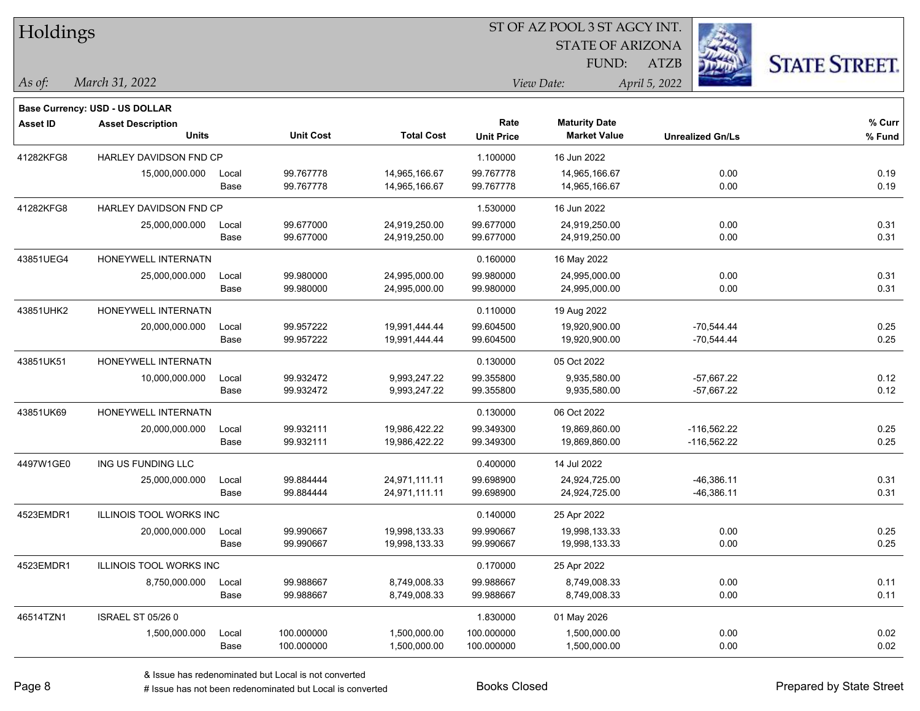| Holdings        |                                       |       |                  |                   | ST OF AZ POOL 3 ST AGCY INT. |                         |                         |                      |
|-----------------|---------------------------------------|-------|------------------|-------------------|------------------------------|-------------------------|-------------------------|----------------------|
|                 |                                       |       |                  |                   |                              | <b>STATE OF ARIZONA</b> |                         |                      |
|                 |                                       |       |                  |                   |                              | FUND:                   | <b>ATZB</b>             | <b>STATE STREET.</b> |
| As of:          | March 31, 2022                        |       |                  |                   |                              | View Date:              | April 5, 2022           |                      |
|                 | <b>Base Currency: USD - US DOLLAR</b> |       |                  |                   |                              |                         |                         |                      |
| <b>Asset ID</b> | <b>Asset Description</b>              |       |                  |                   | Rate                         | <b>Maturity Date</b>    |                         | $%$ Curr             |
|                 | <b>Units</b>                          |       | <b>Unit Cost</b> | <b>Total Cost</b> | <b>Unit Price</b>            | <b>Market Value</b>     | <b>Unrealized Gn/Ls</b> | % Fund               |
| 41282KFG8       | HARLEY DAVIDSON FND CP                |       |                  |                   | 1.100000                     | 16 Jun 2022             |                         |                      |
|                 | 15,000,000.000                        | Local | 99.767778        | 14,965,166.67     | 99.767778                    | 14,965,166.67           | 0.00                    | 0.19                 |
|                 |                                       | Base  | 99.767778        | 14,965,166.67     | 99.767778                    | 14,965,166.67           | 0.00                    | 0.19                 |
| 41282KFG8       | HARLEY DAVIDSON FND CP                |       |                  |                   | 1.530000                     | 16 Jun 2022             |                         |                      |
|                 | 25,000,000.000                        | Local | 99.677000        | 24,919,250.00     | 99.677000                    | 24,919,250.00           | 0.00                    | 0.31                 |
|                 |                                       | Base  | 99.677000        | 24,919,250.00     | 99.677000                    | 24,919,250.00           | 0.00                    | 0.31                 |
| 43851UEG4       | HONEYWELL INTERNATN                   |       |                  |                   | 0.160000                     | 16 May 2022             |                         |                      |
|                 | 25,000,000.000                        | Local | 99.980000        | 24,995,000.00     | 99.980000                    | 24,995,000.00           | 0.00                    | 0.31                 |
|                 |                                       | Base  | 99.980000        | 24,995,000.00     | 99.980000                    | 24,995,000.00           | 0.00                    | 0.31                 |
| 43851UHK2       | HONEYWELL INTERNATN                   |       |                  |                   | 0.110000                     | 19 Aug 2022             |                         |                      |
|                 | 20,000,000.000                        | Local | 99.957222        | 19,991,444.44     | 99.604500                    | 19,920,900.00           | $-70,544.44$            | 0.25                 |
|                 |                                       | Base  | 99.957222        | 19,991,444.44     | 99.604500                    | 19,920,900.00           | $-70,544.44$            | 0.25                 |
| 43851UK51       | HONEYWELL INTERNATN                   |       |                  |                   | 0.130000                     | 05 Oct 2022             |                         |                      |
|                 | 10,000,000.000                        | Local | 99.932472        | 9,993,247.22      | 99.355800                    | 9,935,580.00            | $-57,667.22$            | 0.12                 |
|                 |                                       | Base  | 99.932472        | 9,993,247.22      | 99.355800                    | 9,935,580.00            | $-57,667.22$            | 0.12                 |
| 43851UK69       | HONEYWELL INTERNATN                   |       |                  |                   | 0.130000                     | 06 Oct 2022             |                         |                      |
|                 | 20,000,000.000                        | Local | 99.932111        | 19,986,422.22     | 99.349300                    | 19,869,860.00           | -116,562.22             | 0.25                 |
|                 |                                       | Base  | 99.932111        | 19,986,422.22     | 99.349300                    | 19,869,860.00           | $-116,562.22$           | 0.25                 |
| 4497W1GE0       | ING US FUNDING LLC                    |       |                  |                   | 0.400000                     | 14 Jul 2022             |                         |                      |
|                 | 25,000,000.000                        | Local | 99.884444        | 24,971,111.11     | 99.698900                    | 24,924,725.00           | $-46,386.11$            | 0.31                 |
|                 |                                       | Base  | 99.884444        | 24,971,111.11     | 99.698900                    | 24,924,725.00           | $-46,386.11$            | 0.31                 |
| 4523EMDR1       | <b>ILLINOIS TOOL WORKS INC</b>        |       |                  |                   | 0.140000                     | 25 Apr 2022             |                         |                      |
|                 | 20,000,000.000                        | Local | 99.990667        | 19,998,133.33     | 99.990667                    | 19,998,133.33           | 0.00                    | 0.25                 |
|                 |                                       | Base  | 99.990667        | 19,998,133.33     | 99.990667                    | 19,998,133.33           | 0.00                    | 0.25                 |
| 4523EMDR1       | ILLINOIS TOOL WORKS INC               |       |                  |                   | 0.170000                     | 25 Apr 2022             |                         |                      |
|                 | 8,750,000.000                         | Local | 99.988667        | 8,749,008.33      | 99.988667                    | 8,749,008.33            | 0.00                    | 0.11                 |
|                 |                                       | Base  | 99.988667        | 8,749,008.33      | 99.988667                    | 8,749,008.33            | 0.00                    | 0.11                 |
| 46514TZN1       | <b>ISRAEL ST 05/26 0</b>              |       |                  |                   | 1.830000                     | 01 May 2026             |                         |                      |
|                 | 1,500,000.000                         | Local | 100.000000       | 1,500,000.00      | 100.000000                   | 1,500,000.00            | 0.00                    | 0.02                 |
|                 |                                       | Base  | 100.000000       | 1,500,000.00      | 100.000000                   | 1,500,000.00            | 0.00                    | 0.02                 |

 $\overline{\phantom{0}}$ 

 $\overline{\phantom{0}}$ 

 $\overline{\phantom{0}}$ 

 $\overline{\phantom{0}}$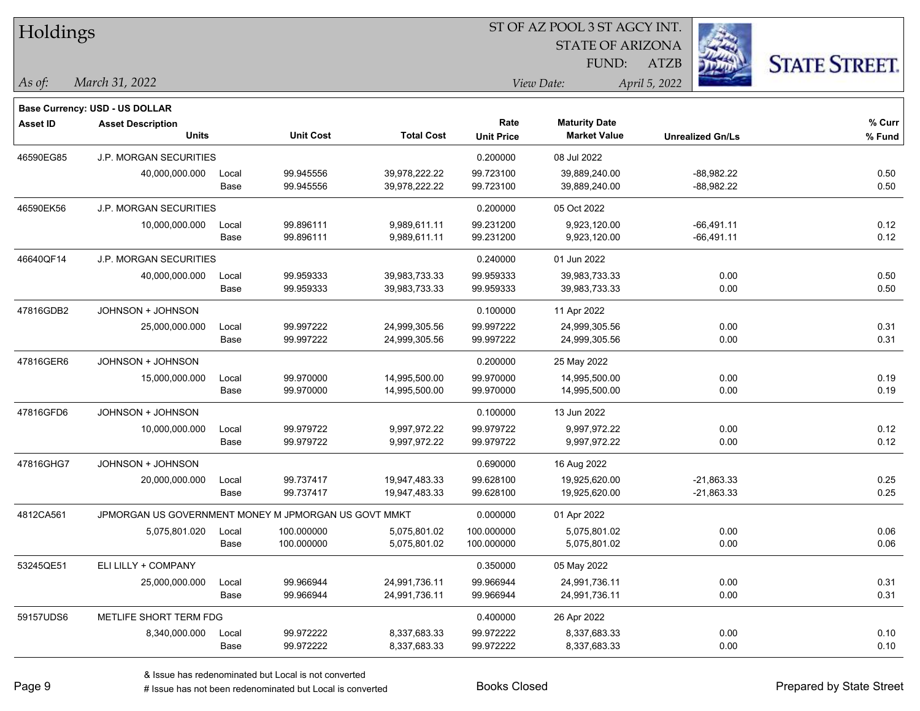| Holdings        |                                                      |       |                  | ST OF AZ POOL 3 ST AGCY INT. |                   |                         |                         |                      |  |
|-----------------|------------------------------------------------------|-------|------------------|------------------------------|-------------------|-------------------------|-------------------------|----------------------|--|
|                 |                                                      |       |                  |                              |                   | <b>STATE OF ARIZONA</b> |                         |                      |  |
|                 |                                                      |       |                  |                              |                   | FUND:                   | <b>ATZB</b>             | <b>STATE STREET.</b> |  |
| $\vert$ As of:  | March 31, 2022                                       |       |                  |                              |                   | View Date:              | April 5, 2022           |                      |  |
|                 | Base Currency: USD - US DOLLAR                       |       |                  |                              |                   |                         |                         |                      |  |
| <b>Asset ID</b> | <b>Asset Description</b>                             |       |                  |                              | Rate              | <b>Maturity Date</b>    |                         | % Curr               |  |
|                 | <b>Units</b>                                         |       | <b>Unit Cost</b> | <b>Total Cost</b>            | <b>Unit Price</b> | <b>Market Value</b>     | <b>Unrealized Gn/Ls</b> | % Fund               |  |
| 46590EG85       | <b>J.P. MORGAN SECURITIES</b>                        |       |                  |                              | 0.200000          | 08 Jul 2022             |                         |                      |  |
|                 | 40,000,000.000                                       | Local | 99.945556        | 39,978,222.22                | 99.723100         | 39,889,240.00           | $-88,982.22$            | 0.50                 |  |
|                 |                                                      | Base  | 99.945556        | 39,978,222.22                | 99.723100         | 39,889,240.00           | $-88,982.22$            | 0.50                 |  |
| 46590EK56       | <b>J.P. MORGAN SECURITIES</b>                        |       |                  |                              | 0.200000          | 05 Oct 2022             |                         |                      |  |
|                 | 10,000,000.000                                       | Local | 99.896111        | 9,989,611.11                 | 99.231200         | 9,923,120.00            | $-66,491.11$            | 0.12                 |  |
|                 |                                                      | Base  | 99.896111        | 9,989,611.11                 | 99.231200         | 9,923,120.00            | $-66,491.11$            | 0.12                 |  |
| 46640QF14       | <b>J.P. MORGAN SECURITIES</b>                        |       |                  |                              | 0.240000          | 01 Jun 2022             |                         |                      |  |
|                 | 40,000,000.000                                       | Local | 99.959333        | 39,983,733.33                | 99.959333         | 39,983,733.33           | 0.00                    | 0.50                 |  |
|                 |                                                      | Base  | 99.959333        | 39,983,733.33                | 99.959333         | 39,983,733.33           | 0.00                    | 0.50                 |  |
| 47816GDB2       | JOHNSON + JOHNSON                                    |       |                  |                              | 0.100000          | 11 Apr 2022             |                         |                      |  |
|                 | 25,000,000.000                                       | Local | 99.997222        | 24,999,305.56                | 99.997222         | 24,999,305.56           | 0.00                    | 0.31                 |  |
|                 |                                                      | Base  | 99.997222        | 24,999,305.56                | 99.997222         | 24,999,305.56           | 0.00                    | 0.31                 |  |
| 47816GER6       | JOHNSON + JOHNSON                                    |       |                  |                              | 0.200000          | 25 May 2022             |                         |                      |  |
|                 | 15,000,000.000                                       | Local | 99.970000        | 14,995,500.00                | 99.970000         | 14,995,500.00           | 0.00                    | 0.19                 |  |
|                 |                                                      | Base  | 99.970000        | 14,995,500.00                | 99.970000         | 14,995,500.00           | 0.00                    | 0.19                 |  |
| 47816GFD6       | JOHNSON + JOHNSON                                    |       |                  |                              | 0.100000          | 13 Jun 2022             |                         |                      |  |
|                 | 10,000,000.000                                       | Local | 99.979722        | 9,997,972.22                 | 99.979722         | 9,997,972.22            | 0.00                    | 0.12                 |  |
|                 |                                                      | Base  | 99.979722        | 9,997,972.22                 | 99.979722         | 9,997,972.22            | 0.00                    | 0.12                 |  |
| 47816GHG7       | JOHNSON + JOHNSON                                    |       |                  |                              | 0.690000          | 16 Aug 2022             |                         |                      |  |
|                 | 20,000,000.000                                       | Local | 99.737417        | 19,947,483.33                | 99.628100         | 19,925,620.00           | $-21,863.33$            | 0.25                 |  |
|                 |                                                      | Base  | 99.737417        | 19,947,483.33                | 99.628100         | 19,925,620.00           | $-21,863.33$            | 0.25                 |  |
| 4812CA561       | JPMORGAN US GOVERNMENT MONEY M JPMORGAN US GOVT MMKT |       |                  |                              | 0.000000          | 01 Apr 2022             |                         |                      |  |
|                 | 5,075,801.020                                        | Local | 100.000000       | 5,075,801.02                 | 100.000000        | 5,075,801.02            | 0.00                    | 0.06                 |  |
|                 |                                                      | Base  | 100.000000       | 5,075,801.02                 | 100.000000        | 5,075,801.02            | 0.00                    | 0.06                 |  |
| 53245QE51       | ELI LILLY + COMPANY                                  |       |                  |                              | 0.350000          | 05 May 2022             |                         |                      |  |
|                 | 25,000,000.000                                       | Local | 99.966944        | 24,991,736.11                | 99.966944         | 24,991,736.11           | 0.00                    | 0.31                 |  |
|                 |                                                      | Base  | 99.966944        | 24,991,736.11                | 99.966944         | 24,991,736.11           | 0.00                    | 0.31                 |  |
| 59157UDS6       | METLIFE SHORT TERM FDG                               |       |                  |                              | 0.400000          | 26 Apr 2022             |                         |                      |  |
|                 | 8,340,000.000                                        | Local | 99.972222        | 8,337,683.33                 | 99.972222         | 8,337,683.33            | 0.00                    | 0.10                 |  |
|                 |                                                      | Base  | 99.972222        | 8,337,683.33                 | 99.972222         | 8,337,683.33            | 0.00                    | 0.10                 |  |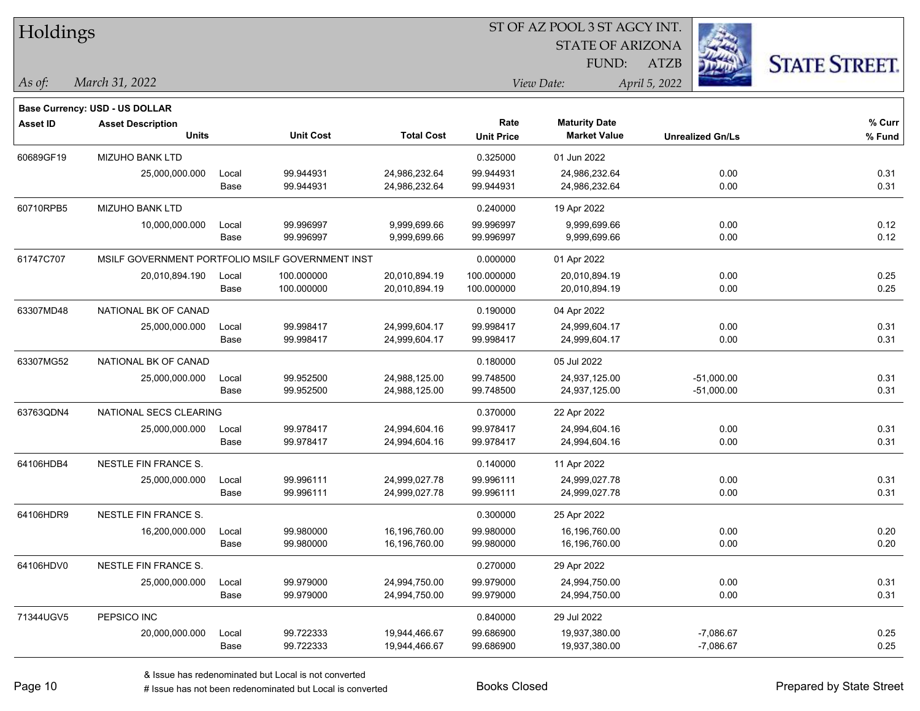| Holdings        |                                                  |               |                        | ST OF AZ POOL 3 ST AGCY INT.   |                           |                                             |                         |                      |  |  |
|-----------------|--------------------------------------------------|---------------|------------------------|--------------------------------|---------------------------|---------------------------------------------|-------------------------|----------------------|--|--|
|                 |                                                  |               |                        |                                |                           | <b>STATE OF ARIZONA</b>                     |                         |                      |  |  |
|                 |                                                  |               |                        |                                |                           | FUND:                                       | <b>ATZB</b>             | <b>STATE STREET.</b> |  |  |
| $\vert$ As of:  | March 31, 2022                                   |               |                        |                                |                           | View Date:                                  | April 5, 2022           |                      |  |  |
|                 |                                                  |               |                        |                                |                           |                                             |                         |                      |  |  |
|                 | <b>Base Currency: USD - US DOLLAR</b>            |               |                        |                                |                           |                                             |                         |                      |  |  |
| <b>Asset ID</b> | <b>Asset Description</b><br><b>Units</b>         |               | <b>Unit Cost</b>       | <b>Total Cost</b>              | Rate<br><b>Unit Price</b> | <b>Maturity Date</b><br><b>Market Value</b> | <b>Unrealized Gn/Ls</b> | $%$ Curr<br>% Fund   |  |  |
|                 |                                                  |               |                        |                                |                           |                                             |                         |                      |  |  |
| 60689GF19       | <b>MIZUHO BANK LTD</b>                           |               |                        |                                | 0.325000                  | 01 Jun 2022                                 |                         |                      |  |  |
|                 | 25,000,000.000                                   | Local<br>Base | 99.944931<br>99.944931 | 24,986,232.64<br>24,986,232.64 | 99.944931<br>99.944931    | 24,986,232.64<br>24,986,232.64              | 0.00<br>0.00            | 0.31<br>0.31         |  |  |
|                 |                                                  |               |                        |                                |                           |                                             |                         |                      |  |  |
| 60710RPB5       | MIZUHO BANK LTD                                  |               |                        |                                | 0.240000                  | 19 Apr 2022                                 |                         |                      |  |  |
|                 | 10,000,000.000                                   | Local<br>Base | 99.996997<br>99.996997 | 9,999,699.66<br>9,999,699.66   | 99.996997<br>99.996997    | 9,999,699.66<br>9,999,699.66                | 0.00<br>0.00            | 0.12<br>0.12         |  |  |
|                 |                                                  |               |                        |                                |                           |                                             |                         |                      |  |  |
| 61747C707       | MSILF GOVERNMENT PORTFOLIO MSILF GOVERNMENT INST |               |                        |                                | 0.000000                  | 01 Apr 2022                                 |                         |                      |  |  |
|                 | 20,010,894.190                                   | Local         | 100.000000             | 20,010,894.19                  | 100.000000                | 20,010,894.19                               | 0.00                    | 0.25                 |  |  |
|                 |                                                  | Base          | 100.000000             | 20,010,894.19                  | 100.000000                | 20,010,894.19                               | 0.00                    | 0.25                 |  |  |
| 63307MD48       | NATIONAL BK OF CANAD                             |               |                        |                                | 0.190000                  | 04 Apr 2022                                 |                         |                      |  |  |
|                 | 25,000,000.000                                   | Local         | 99.998417              | 24,999,604.17                  | 99.998417                 | 24,999,604.17                               | 0.00                    | 0.31                 |  |  |
|                 |                                                  | Base          | 99.998417              | 24,999,604.17                  | 99.998417                 | 24,999,604.17                               | 0.00                    | 0.31                 |  |  |
| 63307MG52       | NATIONAL BK OF CANAD                             |               |                        |                                | 0.180000                  | 05 Jul 2022                                 |                         |                      |  |  |
|                 | 25,000,000.000                                   | Local         | 99.952500              | 24,988,125.00                  | 99.748500                 | 24,937,125.00                               | $-51,000.00$            | 0.31                 |  |  |
|                 |                                                  | Base          | 99.952500              | 24,988,125.00                  | 99.748500                 | 24,937,125.00                               | $-51,000.00$            | 0.31                 |  |  |
| 63763QDN4       | NATIONAL SECS CLEARING                           |               |                        |                                | 0.370000                  | 22 Apr 2022                                 |                         |                      |  |  |
|                 | 25,000,000.000                                   | Local         | 99.978417              | 24,994,604.16                  | 99.978417                 | 24,994,604.16                               | 0.00                    | 0.31                 |  |  |
|                 |                                                  | Base          | 99.978417              | 24,994,604.16                  | 99.978417                 | 24,994,604.16                               | 0.00                    | 0.31                 |  |  |
| 64106HDB4       | NESTLE FIN FRANCE S.                             |               |                        |                                | 0.140000                  | 11 Apr 2022                                 |                         |                      |  |  |
|                 | 25,000,000.000                                   | Local         | 99.996111              | 24,999,027.78                  | 99.996111                 | 24,999,027.78                               | 0.00                    | 0.31                 |  |  |
|                 |                                                  | Base          | 99.996111              | 24,999,027.78                  | 99.996111                 | 24,999,027.78                               | 0.00                    | 0.31                 |  |  |
| 64106HDR9       | NESTLE FIN FRANCE S.                             |               |                        |                                | 0.300000                  | 25 Apr 2022                                 |                         |                      |  |  |
|                 | 16,200,000.000                                   | Local         | 99.980000              | 16,196,760.00                  | 99.980000                 | 16,196,760.00                               | 0.00                    | 0.20                 |  |  |
|                 |                                                  | Base          | 99.980000              | 16,196,760.00                  | 99.980000                 | 16,196,760.00                               | 0.00                    | 0.20                 |  |  |
| 64106HDV0       | NESTLE FIN FRANCE S.                             |               |                        |                                | 0.270000                  | 29 Apr 2022                                 |                         |                      |  |  |
|                 | 25,000,000.000                                   | Local         | 99.979000              | 24,994,750.00                  | 99.979000                 | 24,994,750.00                               | 0.00                    | 0.31                 |  |  |
|                 |                                                  | Base          | 99.979000              | 24,994,750.00                  | 99.979000                 | 24,994,750.00                               | 0.00                    | 0.31                 |  |  |
| 71344UGV5       | PEPSICO INC                                      |               |                        |                                | 0.840000                  | 29 Jul 2022                                 |                         |                      |  |  |
|                 | 20,000,000.000                                   | Local         | 99.722333              | 19,944,466.67                  | 99.686900                 | 19,937,380.00                               | $-7,086.67$             | 0.25                 |  |  |
|                 |                                                  | Base          | 99.722333              | 19,944,466.67                  | 99.686900                 | 19,937,380.00                               | $-7,086.67$             | 0.25                 |  |  |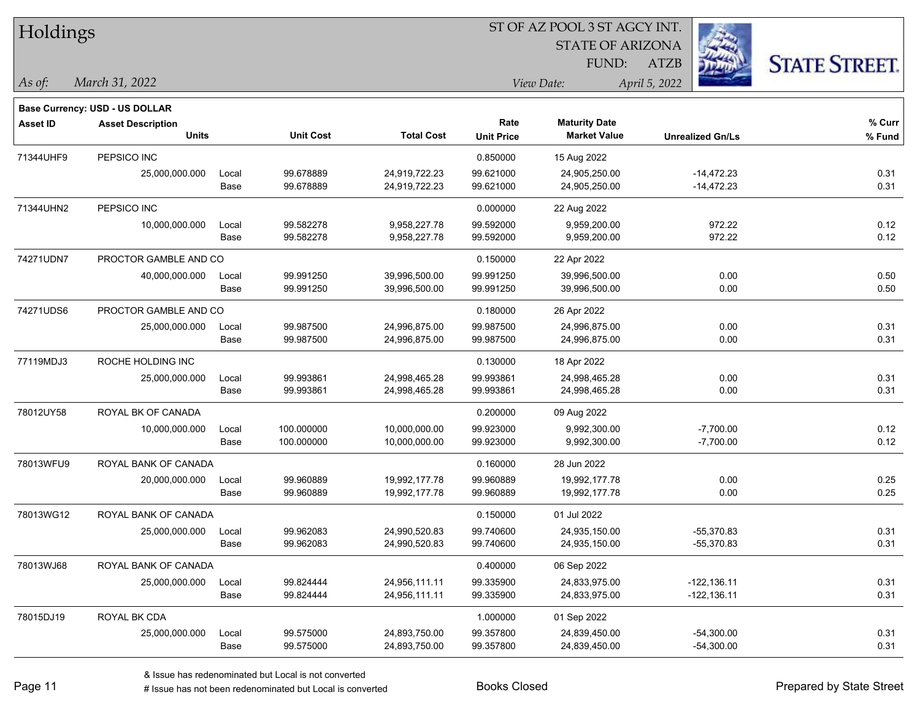| Holdings        |                                |       |                  |                   |                   |                         |                         |                      |
|-----------------|--------------------------------|-------|------------------|-------------------|-------------------|-------------------------|-------------------------|----------------------|
|                 |                                |       |                  |                   |                   | <b>STATE OF ARIZONA</b> |                         |                      |
|                 |                                |       |                  |                   |                   | FUND:                   | <b>ATZB</b>             | <b>STATE STREET.</b> |
| As of:          | March 31, 2022                 |       |                  |                   |                   | View Date:              | April 5, 2022           |                      |
|                 | Base Currency: USD - US DOLLAR |       |                  |                   |                   |                         |                         |                      |
| <b>Asset ID</b> | <b>Asset Description</b>       |       |                  |                   | Rate              | <b>Maturity Date</b>    |                         | % Curr               |
|                 | Units                          |       | <b>Unit Cost</b> | <b>Total Cost</b> | <b>Unit Price</b> | <b>Market Value</b>     | <b>Unrealized Gn/Ls</b> | $%$ Fund             |
| 71344UHF9       | PEPSICO INC                    |       |                  |                   | 0.850000          | 15 Aug 2022             |                         |                      |
|                 | 25,000,000.000                 | Local | 99.678889        | 24,919,722.23     | 99.621000         | 24,905,250.00           | $-14,472.23$            | 0.31                 |
|                 |                                | Base  | 99.678889        | 24,919,722.23     | 99.621000         | 24,905,250.00           | $-14,472.23$            | 0.31                 |
| 71344UHN2       | PEPSICO INC                    |       |                  |                   | 0.000000          | 22 Aug 2022             |                         |                      |
|                 | 10,000,000.000                 | Local | 99.582278        | 9,958,227.78      | 99.592000         | 9,959,200.00            | 972.22                  | 0.12                 |
|                 |                                | Base  | 99.582278        | 9,958,227.78      | 99.592000         | 9,959,200.00            | 972.22                  | 0.12                 |
| 74271UDN7       | PROCTOR GAMBLE AND CO          |       |                  |                   | 0.150000          | 22 Apr 2022             |                         |                      |
|                 | 40,000,000.000                 | Local | 99.991250        | 39,996,500.00     | 99.991250         | 39,996,500.00           | 0.00                    | 0.50                 |
|                 |                                | Base  | 99.991250        | 39,996,500.00     | 99.991250         | 39,996,500.00           | 0.00                    | 0.50                 |
| 74271UDS6       | PROCTOR GAMBLE AND CO          |       |                  |                   | 0.180000          | 26 Apr 2022             |                         |                      |
|                 | 25,000,000.000                 | Local | 99.987500        | 24,996,875.00     | 99.987500         | 24,996,875.00           | 0.00                    | 0.31                 |
|                 |                                | Base  | 99.987500        | 24,996,875.00     | 99.987500         | 24,996,875.00           | 0.00                    | 0.31                 |
| 77119MDJ3       | ROCHE HOLDING INC              |       |                  |                   | 0.130000          | 18 Apr 2022             |                         |                      |
|                 | 25,000,000.000                 | Local | 99.993861        | 24,998,465.28     | 99.993861         | 24,998,465.28           | 0.00                    | 0.31                 |
|                 |                                | Base  | 99.993861        | 24,998,465.28     | 99.993861         | 24,998,465.28           | 0.00                    | 0.31                 |
| 78012UY58       | ROYAL BK OF CANADA             |       |                  |                   | 0.200000          | 09 Aug 2022             |                         |                      |
|                 | 10,000,000.000                 | Local | 100.000000       | 10,000,000.00     | 99.923000         | 9,992,300.00            | $-7,700.00$             | 0.12                 |
|                 |                                | Base  | 100.000000       | 10,000,000.00     | 99.923000         | 9,992,300.00            | $-7,700.00$             | 0.12                 |
| 78013WFU9       | ROYAL BANK OF CANADA           |       |                  |                   | 0.160000          | 28 Jun 2022             |                         |                      |
|                 | 20,000,000.000                 | Local | 99.960889        | 19,992,177.78     | 99.960889         | 19,992,177.78           | 0.00                    | 0.25                 |
|                 |                                | Base  | 99.960889        | 19,992,177.78     | 99.960889         | 19,992,177.78           | 0.00                    | 0.25                 |
| 78013WG12       | ROYAL BANK OF CANADA           |       |                  |                   | 0.150000          | 01 Jul 2022             |                         |                      |
|                 | 25,000,000.000                 | Local | 99.962083        | 24,990,520.83     | 99.740600         | 24,935,150.00           | $-55,370.83$            | 0.31                 |
|                 |                                | Base  | 99.962083        | 24,990,520.83     | 99.740600         | 24,935,150.00           | -55,370.83              | 0.31                 |
| 78013WJ68       | ROYAL BANK OF CANADA           |       |                  |                   | 0.400000          | 06 Sep 2022             |                         |                      |
|                 | 25,000,000.000                 | Local | 99.824444        | 24,956,111.11     | 99.335900         | 24,833,975.00           | $-122, 136.11$          | 0.31                 |
|                 |                                | Base  | 99.824444        | 24,956,111.11     | 99.335900         | 24,833,975.00           | $-122, 136.11$          | 0.31                 |
| 78015DJ19       | ROYAL BK CDA                   |       |                  |                   | 1.000000          | 01 Sep 2022             |                         |                      |
|                 | 25,000,000.000                 | Local | 99.575000        | 24,893,750.00     | 99.357800         | 24,839,450.00           | $-54,300.00$            | 0.31                 |
|                 |                                | Base  | 99.575000        | 24,893,750.00     | 99.357800         | 24,839,450.00           | $-54,300.00$            | 0.31                 |

 $\overline{\phantom{a}}$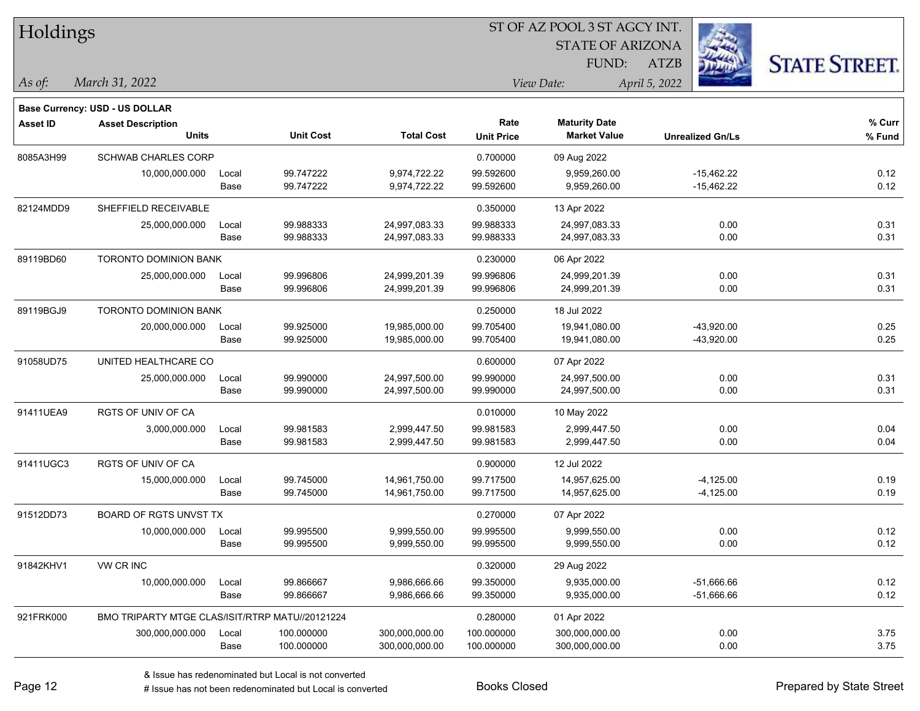| Holdings        |                                                 |       |                  |                   | ST OF AZ POOL 3 ST AGCY INT. |                             |                         |                      |  |  |
|-----------------|-------------------------------------------------|-------|------------------|-------------------|------------------------------|-----------------------------|-------------------------|----------------------|--|--|
|                 |                                                 |       |                  |                   |                              | <b>STATE OF ARIZONA</b>     |                         |                      |  |  |
|                 |                                                 |       |                  |                   |                              | FUND:                       | ATZB                    | <b>STATE STREET.</b> |  |  |
| $ $ As of:      | March 31, 2022                                  |       |                  |                   |                              | April 5, 2022<br>View Date: |                         |                      |  |  |
|                 |                                                 |       |                  |                   |                              |                             |                         |                      |  |  |
|                 | Base Currency: USD - US DOLLAR                  |       |                  |                   | Rate                         | <b>Maturity Date</b>        |                         | % Curr               |  |  |
| <b>Asset ID</b> | <b>Asset Description</b><br><b>Units</b>        |       | <b>Unit Cost</b> | <b>Total Cost</b> | <b>Unit Price</b>            | <b>Market Value</b>         | <b>Unrealized Gn/Ls</b> | % Fund               |  |  |
| 8085A3H99       | <b>SCHWAB CHARLES CORP</b>                      |       |                  |                   | 0.700000                     | 09 Aug 2022                 |                         |                      |  |  |
|                 | 10,000,000.000                                  | Local | 99.747222        | 9,974,722.22      | 99.592600                    | 9,959,260.00                | $-15,462.22$            | 0.12                 |  |  |
|                 |                                                 | Base  | 99.747222        | 9,974,722.22      | 99.592600                    | 9,959,260.00                | $-15,462.22$            | 0.12                 |  |  |
| 82124MDD9       | SHEFFIELD RECEIVABLE                            |       |                  |                   | 0.350000                     | 13 Apr 2022                 |                         |                      |  |  |
|                 | 25,000,000.000                                  | Local | 99.988333        | 24,997,083.33     | 99.988333                    | 24,997,083.33               | 0.00                    | 0.31                 |  |  |
|                 |                                                 | Base  | 99.988333        | 24,997,083.33     | 99.988333                    | 24,997,083.33               | 0.00                    | 0.31                 |  |  |
| 89119BD60       | <b>TORONTO DOMINION BANK</b>                    |       |                  |                   | 0.230000                     | 06 Apr 2022                 |                         |                      |  |  |
|                 | 25,000,000.000                                  | Local | 99.996806        | 24,999,201.39     | 99.996806                    | 24,999,201.39               | 0.00                    | 0.31                 |  |  |
|                 |                                                 | Base  | 99.996806        | 24,999,201.39     | 99.996806                    | 24,999,201.39               | 0.00                    | 0.31                 |  |  |
| 89119BGJ9       | <b>TORONTO DOMINION BANK</b>                    |       |                  |                   | 0.250000                     | 18 Jul 2022                 |                         |                      |  |  |
|                 | 20,000,000.000                                  | Local | 99.925000        | 19,985,000.00     | 99.705400                    | 19,941,080.00               | $-43,920.00$            | 0.25                 |  |  |
|                 |                                                 | Base  | 99.925000        | 19,985,000.00     | 99.705400                    | 19,941,080.00               | $-43,920.00$            | 0.25                 |  |  |
| 91058UD75       | UNITED HEALTHCARE CO                            |       |                  |                   | 0.600000                     | 07 Apr 2022                 |                         |                      |  |  |
|                 | 25,000,000.000                                  | Local | 99.990000        | 24,997,500.00     | 99.990000                    | 24,997,500.00               | 0.00                    | 0.31                 |  |  |
|                 |                                                 | Base  | 99.990000        | 24,997,500.00     | 99.990000                    | 24,997,500.00               | 0.00                    | 0.31                 |  |  |
| 91411UEA9       | <b>RGTS OF UNIV OF CA</b>                       |       |                  |                   | 0.010000                     | 10 May 2022                 |                         |                      |  |  |
|                 | 3,000,000.000                                   | Local | 99.981583        | 2,999,447.50      | 99.981583                    | 2,999,447.50                | 0.00                    | 0.04                 |  |  |
|                 |                                                 | Base  | 99.981583        | 2,999,447.50      | 99.981583                    | 2,999,447.50                | 0.00                    | 0.04                 |  |  |
| 91411UGC3       | <b>RGTS OF UNIV OF CA</b>                       |       |                  |                   | 0.900000                     | 12 Jul 2022                 |                         |                      |  |  |
|                 | 15,000,000.000                                  | Local | 99.745000        | 14,961,750.00     | 99.717500                    | 14,957,625.00               | $-4,125.00$             | 0.19                 |  |  |
|                 |                                                 | Base  | 99.745000        | 14,961,750.00     | 99.717500                    | 14,957,625.00               | $-4,125.00$             | 0.19                 |  |  |
| 91512DD73       | BOARD OF RGTS UNVST TX                          |       |                  |                   | 0.270000                     | 07 Apr 2022                 |                         |                      |  |  |
|                 | 10,000,000.000                                  | Local | 99.995500        | 9.999.550.00      | 99.995500                    | 9,999,550.00                | 0.00                    | 0.12                 |  |  |
|                 |                                                 | Base  | 99.995500        | 9,999,550.00      | 99.995500                    | 9,999,550.00                | 0.00                    | 0.12                 |  |  |
| 91842KHV1       | VW CR INC                                       |       |                  |                   | 0.320000                     | 29 Aug 2022                 |                         |                      |  |  |
|                 | 10,000,000.000                                  | Local | 99.866667        | 9,986,666.66      | 99.350000                    | 9,935,000.00                | $-51,666.66$            | 0.12                 |  |  |
|                 |                                                 | Base  | 99.866667        | 9,986,666.66      | 99.350000                    | 9,935,000.00                | $-51,666.66$            | 0.12                 |  |  |
| 921FRK000       | BMO TRIPARTY MTGE CLAS/ISIT/RTRP MATU//20121224 |       |                  |                   | 0.280000                     | 01 Apr 2022                 |                         |                      |  |  |
|                 | 300,000,000.000                                 | Local | 100.000000       | 300,000,000.00    | 100.000000                   | 300,000,000.00              | 0.00                    | 3.75                 |  |  |
|                 |                                                 | Base  | 100.000000       | 300,000,000.00    | 100.000000                   | 300,000,000.00              | 0.00                    | 3.75                 |  |  |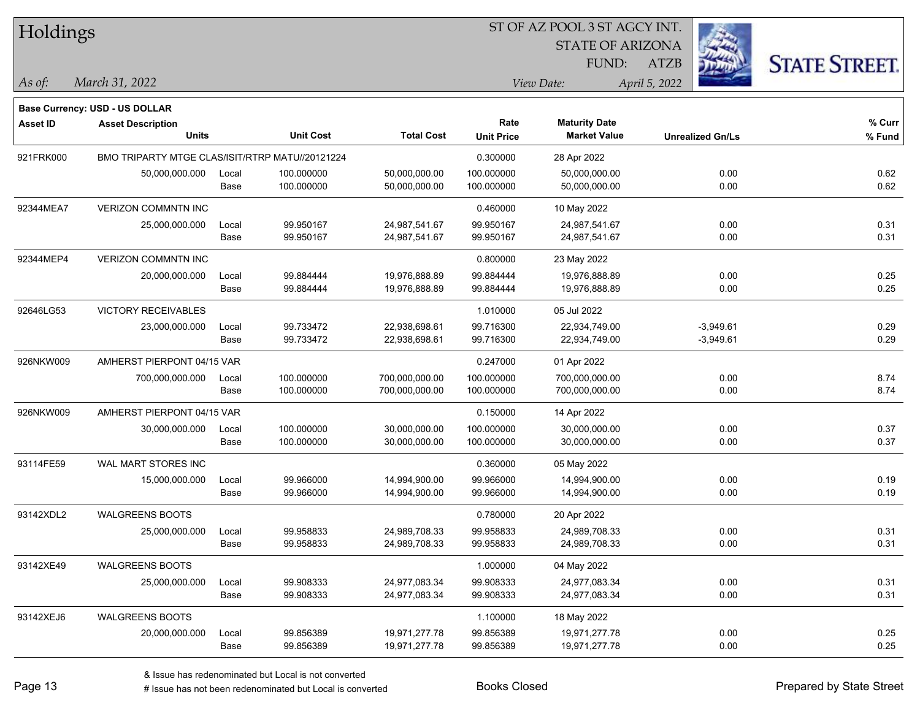| Holdings |
|----------|
|          |

## ST OF AZ POOL 3 ST AGCY INT.

STATE OF ARIZONA FUND:



*March 31, 2022 As of: View Date: April 5, 2022*

ATZB

| ,我们也不会有什么?""我们的人,我们也不会有什么?""我们的人,我们也不会有什么?""我们的人,我们也不会有什么?""我们的人,我们也不会有什么?""我们的人 |  |  |
|----------------------------------------------------------------------------------|--|--|
|                                                                                  |  |  |
|                                                                                  |  |  |

|                 | <b>Base Currency: USD - US DOLLAR</b>           |       |                  |                   |                   |                      |                         |        |
|-----------------|-------------------------------------------------|-------|------------------|-------------------|-------------------|----------------------|-------------------------|--------|
| <b>Asset ID</b> | <b>Asset Description</b>                        |       |                  |                   | Rate              | <b>Maturity Date</b> |                         | % Curr |
|                 | <b>Units</b>                                    |       | <b>Unit Cost</b> | <b>Total Cost</b> | <b>Unit Price</b> | <b>Market Value</b>  | <b>Unrealized Gn/Ls</b> | % Fund |
| 921FRK000       | BMO TRIPARTY MTGE CLAS/ISIT/RTRP MATU//20121224 |       |                  |                   | 0.300000          | 28 Apr 2022          |                         |        |
|                 | 50,000,000.000                                  | Local | 100.000000       | 50,000,000.00     | 100.000000        | 50,000,000.00        | 0.00                    | 0.62   |
|                 |                                                 | Base  | 100.000000       | 50,000,000.00     | 100.000000        | 50,000,000.00        | 0.00                    | 0.62   |
| 92344MEA7       | <b>VERIZON COMMNTN INC</b>                      |       |                  |                   | 0.460000          | 10 May 2022          |                         |        |
|                 | 25,000,000.000                                  | Local | 99.950167        | 24,987,541.67     | 99.950167         | 24,987,541.67        | 0.00                    | 0.31   |
|                 |                                                 | Base  | 99.950167        | 24,987,541.67     | 99.950167         | 24,987,541.67        | 0.00                    | 0.31   |
| 92344MEP4       | <b>VERIZON COMMNTN INC</b>                      |       |                  |                   | 0.800000          | 23 May 2022          |                         |        |
|                 | 20,000,000.000                                  | Local | 99.884444        | 19,976,888.89     | 99.884444         | 19,976,888.89        | 0.00                    | 0.25   |
|                 |                                                 | Base  | 99.884444        | 19,976,888.89     | 99.884444         | 19,976,888.89        | 0.00                    | 0.25   |
| 92646LG53       | <b>VICTORY RECEIVABLES</b>                      |       |                  |                   | 1.010000          | 05 Jul 2022          |                         |        |
|                 | 23,000,000.000                                  | Local | 99.733472        | 22,938,698.61     | 99.716300         | 22,934,749.00        | $-3,949.61$             | 0.29   |
|                 |                                                 | Base  | 99.733472        | 22,938,698.61     | 99.716300         | 22,934,749.00        | $-3,949.61$             | 0.29   |
| 926NKW009       | AMHERST PIERPONT 04/15 VAR                      |       |                  |                   | 0.247000          | 01 Apr 2022          |                         |        |
|                 | 700,000,000.000                                 | Local | 100.000000       | 700,000,000.00    | 100.000000        | 700,000,000.00       | 0.00                    | 8.74   |
|                 |                                                 | Base  | 100.000000       | 700,000,000.00    | 100.000000        | 700,000,000.00       | 0.00                    | 8.74   |
| 926NKW009       | AMHERST PIERPONT 04/15 VAR                      |       |                  |                   | 0.150000          | 14 Apr 2022          |                         |        |
|                 | 30,000,000.000                                  | Local | 100.000000       | 30,000,000.00     | 100.000000        | 30,000,000.00        | 0.00                    | 0.37   |
|                 |                                                 | Base  | 100.000000       | 30,000,000.00     | 100.000000        | 30,000,000.00        | $0.00\,$                | 0.37   |
| 93114FE59       | <b>WAL MART STORES INC</b>                      |       |                  |                   | 0.360000          | 05 May 2022          |                         |        |
|                 | 15,000,000.000                                  | Local | 99.966000        | 14,994,900.00     | 99.966000         | 14,994,900.00        | 0.00                    | 0.19   |
|                 |                                                 | Base  | 99.966000        | 14,994,900.00     | 99.966000         | 14,994,900.00        | 0.00                    | 0.19   |
| 93142XDL2       | <b>WALGREENS BOOTS</b>                          |       |                  |                   | 0.780000          | 20 Apr 2022          |                         |        |
|                 | 25,000,000.000                                  | Local | 99.958833        | 24,989,708.33     | 99.958833         | 24,989,708.33        | 0.00                    | 0.31   |
|                 |                                                 | Base  | 99.958833        | 24,989,708.33     | 99.958833         | 24,989,708.33        | 0.00                    | 0.31   |
| 93142XE49       | <b>WALGREENS BOOTS</b>                          |       |                  |                   | 1.000000          | 04 May 2022          |                         |        |
|                 | 25,000,000.000                                  | Local | 99.908333        | 24,977,083.34     | 99.908333         | 24,977,083.34        | 0.00                    | 0.31   |
|                 |                                                 | Base  | 99.908333        | 24,977,083.34     | 99.908333         | 24,977,083.34        | 0.00                    | 0.31   |
| 93142XEJ6       | <b>WALGREENS BOOTS</b>                          |       |                  |                   | 1.100000          | 18 May 2022          |                         |        |
|                 | 20,000,000.000                                  | Local | 99.856389        | 19,971,277.78     | 99.856389         | 19,971,277.78        | 0.00                    | 0.25   |
|                 |                                                 | Base  | 99.856389        | 19,971,277.78     | 99.856389         | 19,971,277.78        | 0.00                    | 0.25   |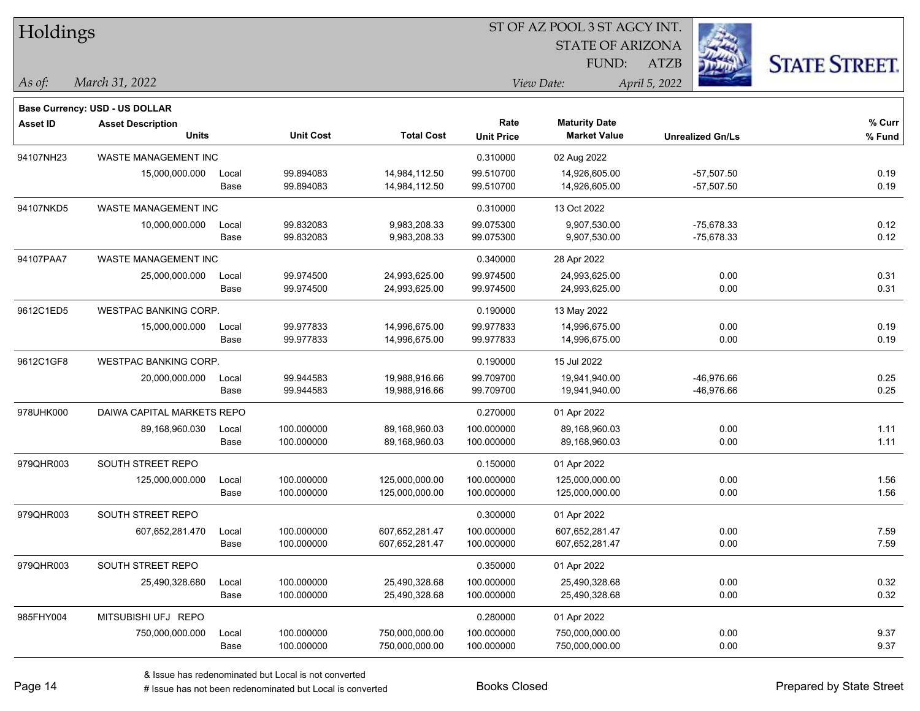| Holdings        |                                          |       |                  |                   |                   |                         |                         |                      |
|-----------------|------------------------------------------|-------|------------------|-------------------|-------------------|-------------------------|-------------------------|----------------------|
|                 |                                          |       |                  |                   |                   | <b>STATE OF ARIZONA</b> |                         |                      |
|                 |                                          |       |                  |                   |                   | FUND:                   | ATZB                    | <b>STATE STREET.</b> |
| $ $ As of:      | March 31, 2022                           |       |                  |                   |                   | View Date:              | April 5, 2022           |                      |
|                 |                                          |       |                  |                   |                   |                         |                         |                      |
|                 | Base Currency: USD - US DOLLAR           |       |                  |                   | Rate              | <b>Maturity Date</b>    |                         | % Curr               |
| <b>Asset ID</b> | <b>Asset Description</b><br><b>Units</b> |       | <b>Unit Cost</b> | <b>Total Cost</b> | <b>Unit Price</b> | <b>Market Value</b>     | <b>Unrealized Gn/Ls</b> | % Fund               |
| 94107NH23       | WASTE MANAGEMENT INC                     |       |                  |                   | 0.310000          | 02 Aug 2022             |                         |                      |
|                 | 15,000,000.000                           | Local | 99.894083        | 14,984,112.50     | 99.510700         | 14,926,605.00           | $-57,507.50$            | 0.19                 |
|                 |                                          | Base  | 99.894083        | 14,984,112.50     | 99.510700         | 14,926,605.00           | $-57,507.50$            | 0.19                 |
| 94107NKD5       | WASTE MANAGEMENT INC                     |       |                  |                   | 0.310000          | 13 Oct 2022             |                         |                      |
|                 | 10,000,000.000                           | Local | 99.832083        | 9,983,208.33      | 99.075300         | 9,907,530.00            | $-75,678.33$            | 0.12                 |
|                 |                                          | Base  | 99.832083        | 9,983,208.33      | 99.075300         | 9,907,530.00            | -75,678.33              | 0.12                 |
| 94107PAA7       | WASTE MANAGEMENT INC                     |       |                  |                   | 0.340000          | 28 Apr 2022             |                         |                      |
|                 | 25,000,000.000                           | Local | 99.974500        | 24,993,625.00     | 99.974500         | 24,993,625.00           | 0.00                    | 0.31                 |
|                 |                                          | Base  | 99.974500        | 24,993,625.00     | 99.974500         | 24,993,625.00           | 0.00                    | 0.31                 |
| 9612C1ED5       | <b>WESTPAC BANKING CORP.</b>             |       |                  |                   | 0.190000          | 13 May 2022             |                         |                      |
|                 | 15,000,000.000                           | Local | 99.977833        | 14,996,675.00     | 99.977833         | 14,996,675.00           | 0.00                    | 0.19                 |
|                 |                                          | Base  | 99.977833        | 14,996,675.00     | 99.977833         | 14,996,675.00           | 0.00                    | 0.19                 |
| 9612C1GF8       | <b>WESTPAC BANKING CORP.</b>             |       |                  |                   | 0.190000          | 15 Jul 2022             |                         |                      |
|                 | 20,000,000.000                           | Local | 99.944583        | 19,988,916.66     | 99.709700         | 19,941,940.00           | -46,976.66              | 0.25                 |
|                 |                                          | Base  | 99.944583        | 19,988,916.66     | 99.709700         | 19,941,940.00           | -46,976.66              | 0.25                 |
| 978UHK000       | DAIWA CAPITAL MARKETS REPO               |       |                  |                   | 0.270000          | 01 Apr 2022             |                         |                      |
|                 | 89,168,960.030                           | Local | 100.000000       | 89,168,960.03     | 100.000000        | 89,168,960.03           | 0.00                    | 1.11                 |
|                 |                                          | Base  | 100.000000       | 89,168,960.03     | 100.000000        | 89,168,960.03           | 0.00                    | 1.11                 |
| 979QHR003       | SOUTH STREET REPO                        |       |                  |                   | 0.150000          | 01 Apr 2022             |                         |                      |
|                 | 125,000,000.000                          | Local | 100.000000       | 125,000,000.00    | 100.000000        | 125,000,000.00          | 0.00                    | 1.56                 |
|                 |                                          | Base  | 100.000000       | 125,000,000.00    | 100.000000        | 125,000,000.00          | 0.00                    | 1.56                 |
| 979QHR003       | SOUTH STREET REPO                        |       |                  |                   | 0.300000          | 01 Apr 2022             |                         |                      |
|                 | 607,652,281.470                          | Local | 100.000000       | 607,652,281.47    | 100.000000        | 607,652,281.47          | 0.00                    | 7.59                 |
|                 |                                          | Base  | 100.000000       | 607,652,281.47    | 100.000000        | 607,652,281.47          | 0.00                    | 7.59                 |
| 979QHR003       | SOUTH STREET REPO                        |       |                  |                   | 0.350000          | 01 Apr 2022             |                         |                      |
|                 | 25,490,328.680                           | Local | 100.000000       | 25,490,328.68     | 100.000000        | 25,490,328.68           | 0.00                    | 0.32                 |
|                 |                                          | Base  | 100.000000       | 25,490,328.68     | 100.000000        | 25,490,328.68           | 0.00                    | 0.32                 |
| 985FHY004       | MITSUBISHI UFJ REPO                      |       |                  |                   | 0.280000          | 01 Apr 2022             |                         |                      |
|                 | 750,000,000.000                          | Local | 100.000000       | 750,000,000.00    | 100.000000        | 750,000,000.00          | 0.00                    | 9.37                 |
|                 |                                          | Base  | 100.000000       | 750,000,000.00    | 100.000000        | 750,000,000.00          | 0.00                    | 9.37                 |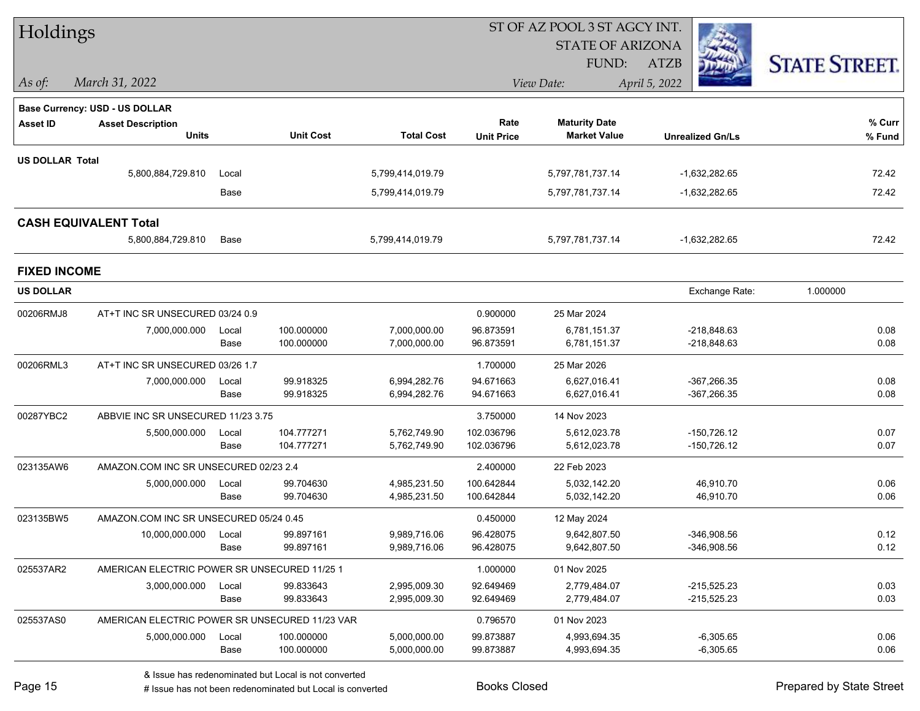| Holdings               |                                                |       |                  |                   |                   | ST OF AZ POOL 3 ST AGCY INT. |                         |                      |
|------------------------|------------------------------------------------|-------|------------------|-------------------|-------------------|------------------------------|-------------------------|----------------------|
|                        |                                                |       |                  |                   |                   | <b>STATE OF ARIZONA</b>      |                         |                      |
|                        |                                                |       |                  |                   |                   | FUND:                        | ATZB                    | <b>STATE STREET.</b> |
| $\vert$ As of:         | March 31, 2022                                 |       |                  |                   |                   | View Date:                   | April 5, 2022           |                      |
|                        | <b>Base Currency: USD - US DOLLAR</b>          |       |                  |                   |                   |                              |                         |                      |
| <b>Asset ID</b>        | <b>Asset Description</b>                       |       |                  |                   | Rate              | <b>Maturity Date</b>         |                         | % Curr               |
|                        | <b>Units</b>                                   |       | <b>Unit Cost</b> | <b>Total Cost</b> | <b>Unit Price</b> | <b>Market Value</b>          | <b>Unrealized Gn/Ls</b> | % Fund               |
| <b>US DOLLAR Total</b> |                                                |       |                  |                   |                   |                              |                         |                      |
|                        | 5,800,884,729.810                              | Local |                  | 5,799,414,019.79  |                   | 5,797,781,737.14             | $-1,632,282.65$         | 72.42                |
|                        |                                                | Base  |                  | 5,799,414,019.79  |                   | 5,797,781,737.14             | -1,632,282.65           | 72.42                |
|                        | <b>CASH EQUIVALENT Total</b>                   |       |                  |                   |                   |                              |                         |                      |
|                        | 5,800,884,729.810                              | Base  |                  | 5,799,414,019.79  |                   | 5,797,781,737.14             | $-1,632,282.65$         | 72.42                |
| <b>FIXED INCOME</b>    |                                                |       |                  |                   |                   |                              |                         |                      |
| <b>US DOLLAR</b>       |                                                |       |                  |                   |                   |                              | Exchange Rate:          | 1.000000             |
| 00206RMJ8              | AT+T INC SR UNSECURED 03/24 0.9                |       |                  |                   | 0.900000          | 25 Mar 2024                  |                         |                      |
|                        | 7,000,000.000                                  | Local | 100.000000       | 7,000,000.00      | 96.873591         | 6,781,151.37                 | $-218,848.63$           | 0.08                 |
|                        |                                                | Base  | 100.000000       | 7,000,000.00      | 96.873591         | 6,781,151.37                 | $-218,848.63$           | 0.08                 |
| 00206RML3              | AT+T INC SR UNSECURED 03/26 1.7                |       |                  |                   | 1.700000          | 25 Mar 2026                  |                         |                      |
|                        | 7,000,000.000                                  | Local | 99.918325        | 6,994,282.76      | 94.671663         | 6,627,016.41                 | $-367,266.35$           | 0.08                 |
|                        |                                                | Base  | 99.918325        | 6,994,282.76      | 94.671663         | 6,627,016.41                 | $-367,266.35$           | 0.08                 |
| 00287YBC2              | ABBVIE INC SR UNSECURED 11/23 3.75             |       |                  |                   | 3.750000          | 14 Nov 2023                  |                         |                      |
|                        | 5,500,000.000                                  | Local | 104.777271       | 5,762,749.90      | 102.036796        | 5,612,023.78                 | $-150,726.12$           | 0.07                 |
|                        |                                                | Base  | 104.777271       | 5,762,749.90      | 102.036796        | 5,612,023.78                 | $-150,726.12$           | 0.07                 |
| 023135AW6              | AMAZON.COM INC SR UNSECURED 02/23 2.4          |       |                  |                   | 2.400000          | 22 Feb 2023                  |                         |                      |
|                        | 5,000,000.000                                  | Local | 99.704630        | 4,985,231.50      | 100.642844        | 5,032,142.20                 | 46,910.70               | 0.06                 |
|                        |                                                | Base  | 99.704630        | 4,985,231.50      | 100.642844        | 5,032,142.20                 | 46,910.70               | 0.06                 |
| 023135BW5              | AMAZON.COM INC SR UNSECURED 05/24 0.45         |       |                  |                   | 0.450000          | 12 May 2024                  |                         |                      |
|                        | 10,000,000.000 Local                           |       | 99.897161        | 9,989,716.06      | 96.428075         | 9,642,807.50                 | $-346,908.56$           | 0.12                 |
|                        |                                                | Base  | 99.897161        | 9,989,716.06      | 96.428075         | 9,642,807.50                 | $-346,908.56$           | 0.12                 |
| 025537AR2              | AMERICAN ELECTRIC POWER SR UNSECURED 11/25 1   |       |                  |                   | 1.000000          | 01 Nov 2025                  |                         |                      |
|                        | 3,000,000.000                                  | Local | 99.833643        | 2,995,009.30      | 92.649469         | 2,779,484.07                 | $-215,525.23$           | 0.03                 |
|                        |                                                | Base  | 99.833643        | 2,995,009.30      | 92.649469         | 2,779,484.07                 | $-215,525.23$           | 0.03                 |
| 025537AS0              | AMERICAN ELECTRIC POWER SR UNSECURED 11/23 VAR |       |                  |                   | 0.796570          | 01 Nov 2023                  |                         |                      |
|                        | 5,000,000.000                                  | Local | 100.000000       | 5,000,000.00      | 99.873887         | 4,993,694.35                 | $-6,305.65$             | 0.06                 |
|                        |                                                | Base  | 100.000000       | 5,000,000.00      | 99.873887         | 4,993,694.35                 | $-6,305.65$             | 0.06                 |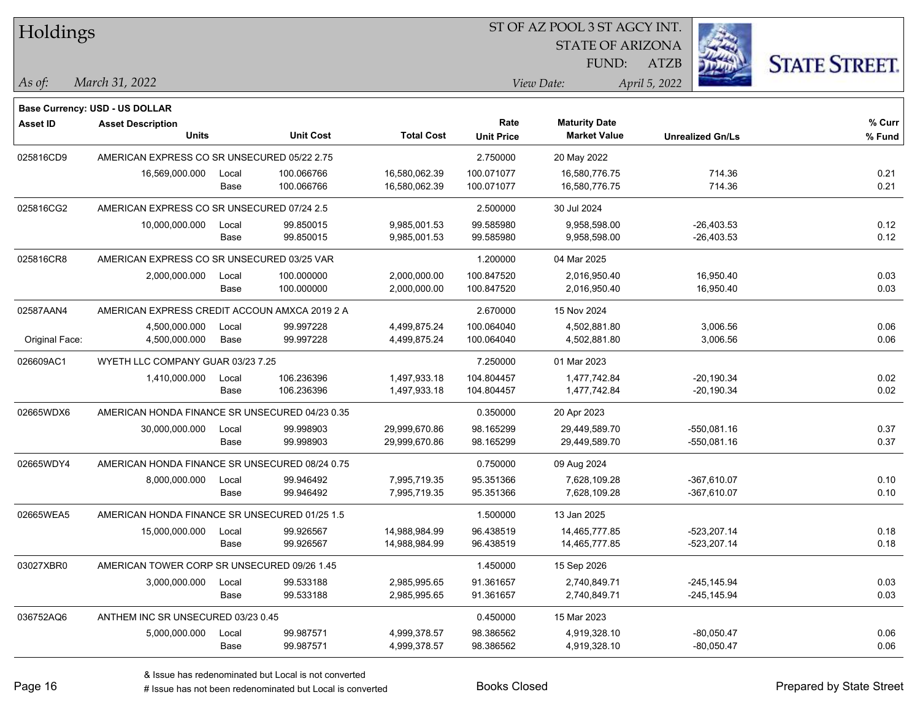| Holdings        |                                                |       |                  |                   |                   | ST OF AZ POOL 3 ST AGCY INT. |                         |                      |
|-----------------|------------------------------------------------|-------|------------------|-------------------|-------------------|------------------------------|-------------------------|----------------------|
|                 |                                                |       |                  |                   |                   | <b>STATE OF ARIZONA</b>      |                         |                      |
|                 |                                                |       |                  |                   |                   | FUND:                        | <b>ATZB</b>             | <b>STATE STREET.</b> |
| As of:          | March 31, 2022                                 |       |                  |                   |                   | View Date:                   | April 5, 2022           |                      |
|                 | Base Currency: USD - US DOLLAR                 |       |                  |                   |                   |                              |                         |                      |
| <b>Asset ID</b> | <b>Asset Description</b>                       |       |                  |                   | Rate              | <b>Maturity Date</b>         |                         | % Curr               |
|                 | <b>Units</b>                                   |       | <b>Unit Cost</b> | <b>Total Cost</b> | <b>Unit Price</b> | <b>Market Value</b>          | <b>Unrealized Gn/Ls</b> | % Fund               |
| 025816CD9       | AMERICAN EXPRESS CO SR UNSECURED 05/22 2.75    |       |                  |                   | 2.750000          | 20 May 2022                  |                         |                      |
|                 | 16,569,000.000                                 | Local | 100.066766       | 16,580,062.39     | 100.071077        | 16,580,776.75                | 714.36                  | 0.21                 |
|                 |                                                | Base  | 100.066766       | 16,580,062.39     | 100.071077        | 16,580,776.75                | 714.36                  | 0.21                 |
| 025816CG2       | AMERICAN EXPRESS CO SR UNSECURED 07/24 2.5     |       |                  |                   | 2.500000          | 30 Jul 2024                  |                         |                      |
|                 | 10,000,000.000                                 | Local | 99.850015        | 9,985,001.53      | 99.585980         | 9,958,598.00                 | $-26,403.53$            | 0.12                 |
|                 |                                                | Base  | 99.850015        | 9,985,001.53      | 99.585980         | 9,958,598.00                 | $-26,403.53$            | 0.12                 |
| 025816CR8       | AMERICAN EXPRESS CO SR UNSECURED 03/25 VAR     |       |                  |                   | 1.200000          | 04 Mar 2025                  |                         |                      |
|                 | 2,000,000.000                                  | Local | 100.000000       | 2,000,000.00      | 100.847520        | 2,016,950.40                 | 16,950.40               | 0.03                 |
|                 |                                                | Base  | 100.000000       | 2,000,000.00      | 100.847520        | 2,016,950.40                 | 16,950.40               | 0.03                 |
| 02587AAN4       | AMERICAN EXPRESS CREDIT ACCOUN AMXCA 2019 2 A  |       |                  |                   | 2.670000          | 15 Nov 2024                  |                         |                      |
|                 | 4,500,000.000                                  | Local | 99.997228        | 4,499,875.24      | 100.064040        | 4,502,881.80                 | 3,006.56                | 0.06                 |
| Original Face:  | 4,500,000.000                                  | Base  | 99.997228        | 4,499,875.24      | 100.064040        | 4,502,881.80                 | 3,006.56                | 0.06                 |
| 026609AC1       | WYETH LLC COMPANY GUAR 03/23 7.25              |       |                  |                   | 7.250000          | 01 Mar 2023                  |                         |                      |
|                 | 1,410,000.000                                  | Local | 106.236396       | 1,497,933.18      | 104.804457        | 1,477,742.84                 | $-20,190.34$            | 0.02                 |
|                 |                                                | Base  | 106.236396       | 1,497,933.18      | 104.804457        | 1,477,742.84                 | $-20,190.34$            | 0.02                 |
| 02665WDX6       | AMERICAN HONDA FINANCE SR UNSECURED 04/23 0.35 |       |                  |                   | 0.350000          | 20 Apr 2023                  |                         |                      |
|                 | 30,000,000.000                                 | Local | 99.998903        | 29,999,670.86     | 98.165299         | 29,449,589.70                | -550,081.16             | 0.37                 |
|                 |                                                | Base  | 99.998903        | 29,999,670.86     | 98.165299         | 29,449,589.70                | -550,081.16             | 0.37                 |
| 02665WDY4       | AMERICAN HONDA FINANCE SR UNSECURED 08/24 0.75 |       |                  |                   | 0.750000          | 09 Aug 2024                  |                         |                      |
|                 | 8,000,000.000                                  | Local | 99.946492        | 7,995,719.35      | 95.351366         | 7,628,109.28                 | $-367,610.07$           | 0.10                 |
|                 |                                                | Base  | 99.946492        | 7,995,719.35      | 95.351366         | 7,628,109.28                 | $-367,610.07$           | 0.10                 |
| 02665WEA5       | AMERICAN HONDA FINANCE SR UNSECURED 01/25 1.5  |       |                  |                   | 1.500000          | 13 Jan 2025                  |                         |                      |
|                 | 15,000,000.000                                 | Local | 99.926567        | 14,988,984.99     | 96.438519         | 14,465,777.85                | $-523,207.14$           | 0.18                 |
|                 |                                                | Base  | 99.926567        | 14,988,984.99     | 96.438519         | 14,465,777.85                | -523,207.14             | 0.18                 |
| 03027XBR0       | AMERICAN TOWER CORP SR UNSECURED 09/26 1.45    |       |                  |                   | 1.450000          | 15 Sep 2026                  |                         |                      |
|                 | 3,000,000.000                                  | Local | 99.533188        | 2,985,995.65      | 91.361657         | 2,740,849.71                 | $-245, 145.94$          | 0.03                 |
|                 |                                                | Base  | 99.533188        | 2,985,995.65      | 91.361657         | 2,740,849.71                 | $-245,145.94$           | 0.03                 |
| 036752AQ6       | ANTHEM INC SR UNSECURED 03/23 0.45             |       |                  |                   | 0.450000          | 15 Mar 2023                  |                         |                      |
|                 | 5,000,000.000                                  | Local | 99.987571        | 4,999,378.57      | 98.386562         | 4,919,328.10                 | $-80,050.47$            | 0.06                 |
|                 |                                                | Base  | 99.987571        | 4,999,378.57      | 98.386562         | 4,919,328.10                 | $-80,050.47$            | 0.06                 |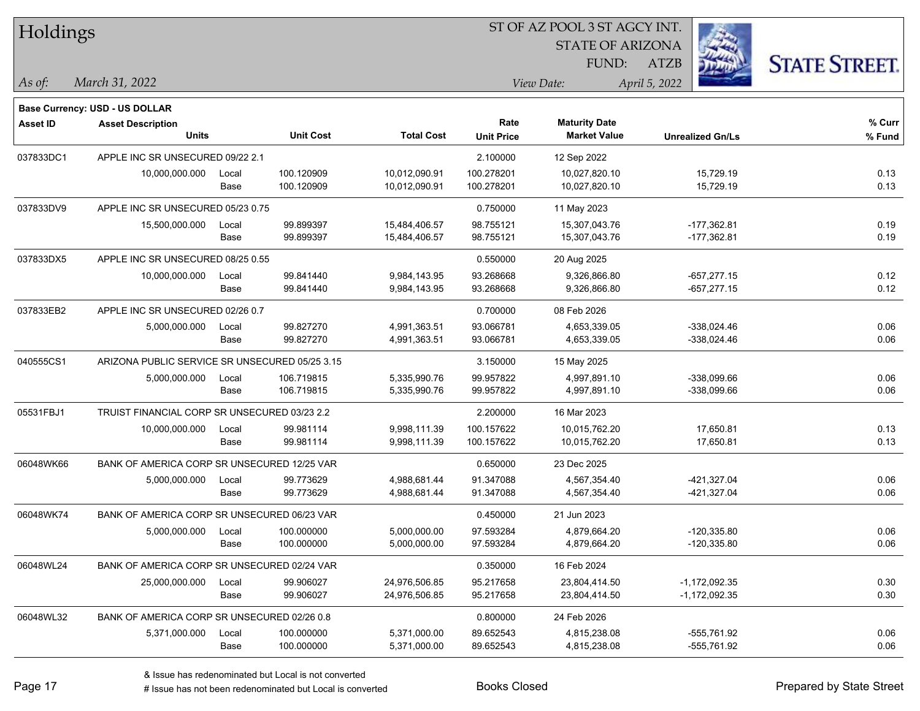| Holdings        |                                                |       |                  |                   | ST OF AZ POOL 3 ST AGCY INT. |                         |                         |                      |  |  |  |
|-----------------|------------------------------------------------|-------|------------------|-------------------|------------------------------|-------------------------|-------------------------|----------------------|--|--|--|
|                 |                                                |       |                  |                   |                              | <b>STATE OF ARIZONA</b> |                         |                      |  |  |  |
|                 |                                                |       |                  |                   |                              | FUND:                   | <b>ATZB</b>             | <b>STATE STREET.</b> |  |  |  |
| As of:          | March 31, 2022                                 |       |                  |                   |                              | View Date:              | April 5, 2022           |                      |  |  |  |
|                 | Base Currency: USD - US DOLLAR                 |       |                  |                   |                              |                         |                         |                      |  |  |  |
| <b>Asset ID</b> | <b>Asset Description</b>                       |       |                  |                   | Rate                         | <b>Maturity Date</b>    |                         | % Curr               |  |  |  |
|                 | <b>Units</b>                                   |       | <b>Unit Cost</b> | <b>Total Cost</b> | <b>Unit Price</b>            | <b>Market Value</b>     | <b>Unrealized Gn/Ls</b> | % Fund               |  |  |  |
| 037833DC1       | APPLE INC SR UNSECURED 09/22 2.1               |       |                  |                   | 2.100000                     | 12 Sep 2022             |                         |                      |  |  |  |
|                 | 10,000,000.000                                 | Local | 100.120909       | 10,012,090.91     | 100.278201                   | 10,027,820.10           | 15,729.19               | 0.13                 |  |  |  |
|                 |                                                | Base  | 100.120909       | 10,012,090.91     | 100.278201                   | 10,027,820.10           | 15,729.19               | 0.13                 |  |  |  |
| 037833DV9       | APPLE INC SR UNSECURED 05/23 0.75              |       |                  |                   | 0.750000                     | 11 May 2023             |                         |                      |  |  |  |
|                 | 15,500,000.000                                 | Local | 99.899397        | 15,484,406.57     | 98.755121                    | 15,307,043.76           | $-177,362.81$           | 0.19                 |  |  |  |
|                 |                                                | Base  | 99.899397        | 15,484,406.57     | 98.755121                    | 15,307,043.76           | $-177,362.81$           | 0.19                 |  |  |  |
| 037833DX5       | APPLE INC SR UNSECURED 08/25 0.55              |       |                  |                   | 0.550000                     | 20 Aug 2025             |                         |                      |  |  |  |
|                 | 10,000,000.000                                 | Local | 99.841440        | 9,984,143.95      | 93.268668                    | 9,326,866.80            | $-657,277.15$           | 0.12                 |  |  |  |
|                 |                                                | Base  | 99.841440        | 9,984,143.95      | 93.268668                    | 9,326,866.80            | $-657,277.15$           | 0.12                 |  |  |  |
| 037833EB2       | APPLE INC SR UNSECURED 02/26 0.7               |       |                  |                   | 0.700000                     | 08 Feb 2026             |                         |                      |  |  |  |
|                 | 5,000,000.000                                  | Local | 99.827270        | 4,991,363.51      | 93.066781                    | 4,653,339.05            | $-338,024.46$           | 0.06                 |  |  |  |
|                 |                                                | Base  | 99.827270        | 4,991,363.51      | 93.066781                    | 4,653,339.05            | $-338,024.46$           | 0.06                 |  |  |  |
| 040555CS1       | ARIZONA PUBLIC SERVICE SR UNSECURED 05/25 3.15 |       |                  |                   | 3.150000                     | 15 May 2025             |                         |                      |  |  |  |
|                 | 5,000,000.000                                  | Local | 106.719815       | 5,335,990.76      | 99.957822                    | 4,997,891.10            | $-338,099.66$           | 0.06                 |  |  |  |
|                 |                                                | Base  | 106.719815       | 5,335,990.76      | 99.957822                    | 4,997,891.10            | $-338,099.66$           | 0.06                 |  |  |  |
| 05531FBJ1       | TRUIST FINANCIAL CORP SR UNSECURED 03/23 2.2   |       |                  |                   | 2.200000                     | 16 Mar 2023             |                         |                      |  |  |  |
|                 | 10,000,000.000                                 | Local | 99.981114        | 9,998,111.39      | 100.157622                   | 10,015,762.20           | 17,650.81               | 0.13                 |  |  |  |
|                 |                                                | Base  | 99.981114        | 9,998,111.39      | 100.157622                   | 10,015,762.20           | 17,650.81               | 0.13                 |  |  |  |
| 06048WK66       | BANK OF AMERICA CORP SR UNSECURED 12/25 VAR    |       |                  |                   | 0.650000                     | 23 Dec 2025             |                         |                      |  |  |  |
|                 | 5,000,000.000                                  | Local | 99.773629        | 4,988,681.44      | 91.347088                    | 4,567,354.40            | $-421,327.04$           | 0.06                 |  |  |  |
|                 |                                                | Base  | 99.773629        | 4,988,681.44      | 91.347088                    | 4,567,354.40            | -421,327.04             | 0.06                 |  |  |  |
| 06048WK74       | BANK OF AMERICA CORP SR UNSECURED 06/23 VAR    |       |                  |                   | 0.450000                     | 21 Jun 2023             |                         |                      |  |  |  |
|                 | 5,000,000.000                                  | Local | 100.000000       | 5,000,000.00      | 97.593284                    | 4,879,664.20            | $-120,335.80$           | 0.06                 |  |  |  |
|                 |                                                | Base  | 100.000000       | 5,000,000.00      | 97.593284                    | 4,879,664.20            | $-120,335.80$           | 0.06                 |  |  |  |
| 06048WL24       | BANK OF AMERICA CORP SR UNSECURED 02/24 VAR    |       |                  |                   | 0.350000                     | 16 Feb 2024             |                         |                      |  |  |  |
|                 | 25,000,000.000                                 | Local | 99.906027        | 24,976,506.85     | 95.217658                    | 23,804,414.50           | $-1,172,092.35$         | 0.30                 |  |  |  |
|                 |                                                | Base  | 99.906027        | 24,976,506.85     | 95.217658                    | 23,804,414.50           | -1,172,092.35           | 0.30                 |  |  |  |
| 06048WL32       | BANK OF AMERICA CORP SR UNSECURED 02/26 0.8    |       |                  |                   | 0.800000                     | 24 Feb 2026             |                         |                      |  |  |  |
|                 | 5,371,000.000                                  | Local | 100.000000       | 5,371,000.00      | 89.652543                    | 4,815,238.08            | -555,761.92             | 0.06                 |  |  |  |
|                 |                                                | Base  | 100.000000       | 5,371,000.00      | 89.652543                    | 4,815,238.08            | -555,761.92             | 0.06                 |  |  |  |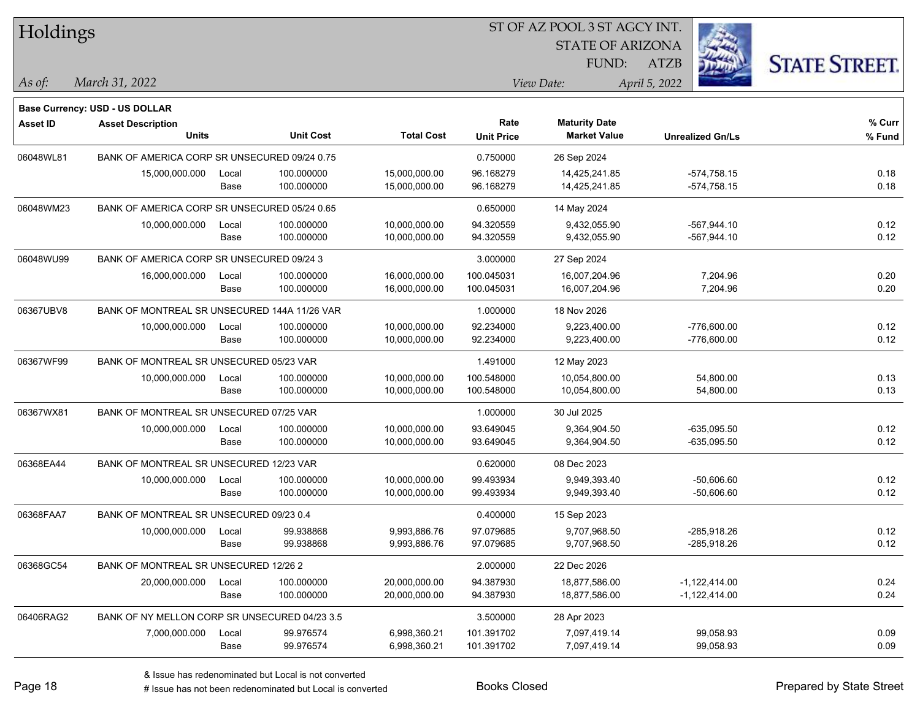| Holdings        |                                               |       |                  |                   |                   | 51 OF AZ POOL 3 51 AGCY INT. |                         |                      |
|-----------------|-----------------------------------------------|-------|------------------|-------------------|-------------------|------------------------------|-------------------------|----------------------|
|                 |                                               |       |                  |                   |                   | <b>STATE OF ARIZONA</b>      | Ż.                      |                      |
|                 |                                               |       |                  |                   |                   | FUND:                        | ATZB                    | <b>STATE STREET.</b> |
| As of:          | March 31, 2022                                |       |                  |                   |                   | View Date:                   | April 5, 2022           |                      |
|                 | <b>Base Currency: USD - US DOLLAR</b>         |       |                  |                   |                   |                              |                         |                      |
| <b>Asset ID</b> | <b>Asset Description</b>                      |       |                  |                   | Rate              | <b>Maturity Date</b>         |                         | % Curr               |
|                 | <b>Units</b>                                  |       | <b>Unit Cost</b> | <b>Total Cost</b> | <b>Unit Price</b> | <b>Market Value</b>          | <b>Unrealized Gn/Ls</b> | % Fund               |
| 06048WL81       | BANK OF AMERICA CORP SR UNSECURED 09/24 0.75  |       |                  |                   | 0.750000          | 26 Sep 2024                  |                         |                      |
|                 | 15,000,000.000                                | Local | 100.000000       | 15,000,000.00     | 96.168279         | 14,425,241.85                | $-574,758.15$           | 0.18                 |
|                 |                                               | Base  | 100.000000       | 15,000,000.00     | 96.168279         | 14,425,241.85                | $-574,758.15$           | 0.18                 |
| 06048WM23       | BANK OF AMERICA CORP SR UNSECURED 05/24 0.65  |       |                  |                   | 0.650000          | 14 May 2024                  |                         |                      |
|                 | 10,000,000.000                                | Local | 100.000000       | 10,000,000.00     | 94.320559         | 9,432,055.90                 | $-567,944.10$           | 0.12                 |
|                 |                                               | Base  | 100.000000       | 10,000,000.00     | 94.320559         | 9,432,055.90                 | $-567,944.10$           | 0.12                 |
| 06048WU99       | BANK OF AMERICA CORP SR UNSECURED 09/24 3     |       |                  |                   | 3.000000          | 27 Sep 2024                  |                         |                      |
|                 | 16,000,000.000                                | Local | 100.000000       | 16,000,000.00     | 100.045031        | 16,007,204.96                | 7,204.96                | 0.20                 |
|                 |                                               | Base  | 100.000000       | 16,000,000.00     | 100.045031        | 16,007,204.96                | 7,204.96                | 0.20                 |
| 06367UBV8       | BANK OF MONTREAL SR UNSECURED 144A 11/26 VAR  |       |                  |                   | 1.000000          | 18 Nov 2026                  |                         |                      |
|                 | 10,000,000.000                                | Local | 100.000000       | 10,000,000.00     | 92.234000         | 9,223,400.00                 | $-776,600.00$           | 0.12                 |
|                 |                                               | Base  | 100.000000       | 10,000,000.00     | 92.234000         | 9,223,400.00                 | -776,600.00             | 0.12                 |
| 06367WF99       | BANK OF MONTREAL SR UNSECURED 05/23 VAR       |       |                  |                   | 1.491000          | 12 May 2023                  |                         |                      |
|                 | 10,000,000.000                                | Local | 100.000000       | 10,000,000.00     | 100.548000        | 10,054,800.00                | 54,800.00               | 0.13                 |
|                 |                                               | Base  | 100.000000       | 10,000,000.00     | 100.548000        | 10,054,800.00                | 54,800.00               | 0.13                 |
| 06367WX81       | BANK OF MONTREAL SR UNSECURED 07/25 VAR       |       |                  |                   | 1.000000          | 30 Jul 2025                  |                         |                      |
|                 | 10,000,000.000                                | Local | 100.000000       | 10,000,000.00     | 93.649045         | 9,364,904.50                 | $-635,095.50$           | 0.12                 |
|                 |                                               | Base  | 100.000000       | 10,000,000.00     | 93.649045         | 9,364,904.50                 | $-635,095.50$           | 0.12                 |
| 06368EA44       | BANK OF MONTREAL SR UNSECURED 12/23 VAR       |       |                  |                   | 0.620000          | 08 Dec 2023                  |                         |                      |
|                 | 10,000,000.000                                | Local | 100.000000       | 10,000,000.00     | 99.493934         | 9,949,393.40                 | $-50,606.60$            | 0.12                 |
|                 |                                               | Base  | 100.000000       | 10,000,000.00     | 99.493934         | 9,949,393.40                 | $-50,606.60$            | 0.12                 |
| 06368FAA7       | BANK OF MONTREAL SR UNSECURED 09/23 0.4       |       |                  |                   | 0.400000          | 15 Sep 2023                  |                         |                      |
|                 | 10,000,000.000                                | Local | 99.938868        | 9,993,886.76      | 97.079685         | 9,707,968.50                 | -285,918.26             | 0.12                 |
|                 |                                               | Base  | 99.938868        | 9,993,886.76      | 97.079685         | 9,707,968.50                 | -285,918.26             | 0.12                 |
| 06368GC54       | BANK OF MONTREAL SR UNSECURED 12/26 2         |       |                  |                   | 2.000000          | 22 Dec 2026                  |                         |                      |
|                 | 20,000,000.000                                | Local | 100.000000       | 20,000,000.00     | 94.387930         | 18,877,586.00                | $-1,122,414.00$         | 0.24                 |
|                 |                                               | Base  | 100.000000       | 20,000,000.00     | 94.387930         | 18,877,586.00                | $-1,122,414.00$         | 0.24                 |
| 06406RAG2       | BANK OF NY MELLON CORP SR UNSECURED 04/23 3.5 |       |                  |                   | 3.500000          | 28 Apr 2023                  |                         |                      |
|                 | 7,000,000.000                                 | Local | 99.976574        | 6,998,360.21      | 101.391702        | 7,097,419.14                 | 99,058.93               | 0.09                 |
|                 |                                               | Base  | 99.976574        | 6,998,360.21      | 101.391702        | 7,097,419.14                 | 99,058.93               | 0.09                 |

ST OF A Z POOL 2 ST ACCV INT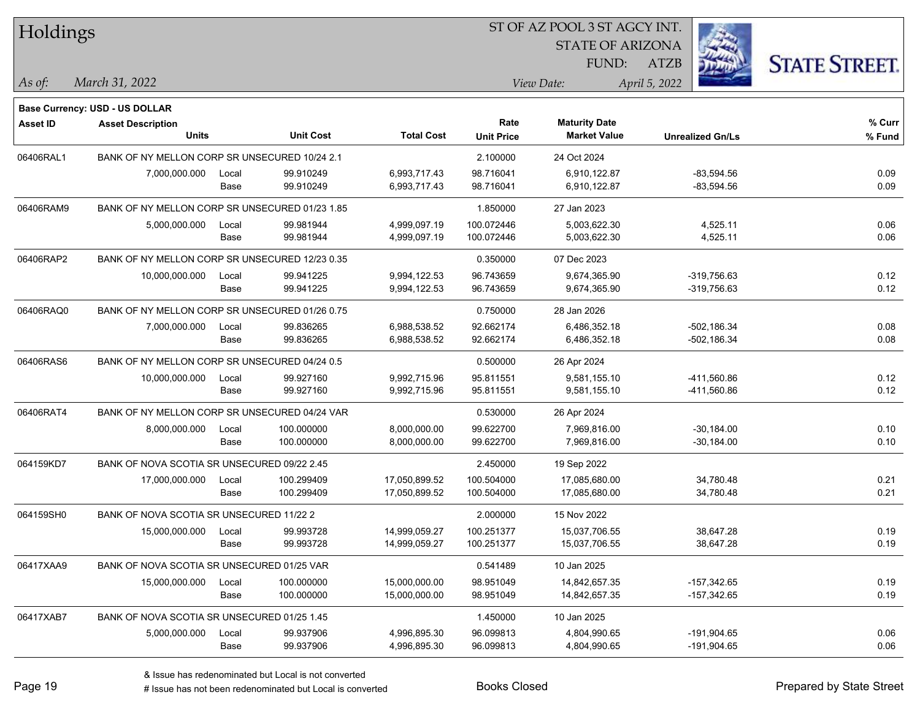| Holdings        |                                                |       |                  |                   |                   | ST OF AZ POOL 3 ST AGCY INT. |                         |                      |
|-----------------|------------------------------------------------|-------|------------------|-------------------|-------------------|------------------------------|-------------------------|----------------------|
|                 |                                                |       |                  |                   |                   | <b>STATE OF ARIZONA</b>      |                         |                      |
|                 |                                                |       |                  |                   |                   | FUND:                        | <b>ATZB</b>             | <b>STATE STREET.</b> |
| As of:          | March 31, 2022                                 |       |                  |                   |                   | View Date:                   | April 5, 2022           |                      |
|                 | <b>Base Currency: USD - US DOLLAR</b>          |       |                  |                   |                   |                              |                         |                      |
| <b>Asset ID</b> | <b>Asset Description</b>                       |       |                  |                   | Rate              | <b>Maturity Date</b>         |                         | % Curr               |
|                 | <b>Units</b>                                   |       | <b>Unit Cost</b> | <b>Total Cost</b> | <b>Unit Price</b> | <b>Market Value</b>          | <b>Unrealized Gn/Ls</b> | % Fund               |
| 06406RAL1       | BANK OF NY MELLON CORP SR UNSECURED 10/24 2.1  |       |                  |                   | 2.100000          | 24 Oct 2024                  |                         |                      |
|                 | 7,000,000.000                                  | Local | 99.910249        | 6,993,717.43      | 98.716041         | 6,910,122.87                 | $-83,594.56$            | 0.09                 |
|                 |                                                | Base  | 99.910249        | 6,993,717.43      | 98.716041         | 6,910,122.87                 | $-83,594.56$            | 0.09                 |
| 06406RAM9       | BANK OF NY MELLON CORP SR UNSECURED 01/23 1.85 |       |                  |                   | 1.850000          | 27 Jan 2023                  |                         |                      |
|                 | 5,000,000.000                                  | Local | 99.981944        | 4,999,097.19      | 100.072446        | 5,003,622.30                 | 4,525.11                | 0.06                 |
|                 |                                                | Base  | 99.981944        | 4,999,097.19      | 100.072446        | 5,003,622.30                 | 4,525.11                | 0.06                 |
| 06406RAP2       | BANK OF NY MELLON CORP SR UNSECURED 12/23 0.35 |       |                  |                   | 0.350000          | 07 Dec 2023                  |                         |                      |
|                 | 10,000,000.000                                 | Local | 99.941225        | 9,994,122.53      | 96.743659         | 9,674,365.90                 | -319,756.63             | 0.12                 |
|                 |                                                | Base  | 99.941225        | 9,994,122.53      | 96.743659         | 9,674,365.90                 | $-319,756.63$           | 0.12                 |
| 06406RAQ0       | BANK OF NY MELLON CORP SR UNSECURED 01/26 0.75 |       |                  |                   | 0.750000          | 28 Jan 2026                  |                         |                      |
|                 | 7,000,000.000                                  | Local | 99.836265        | 6,988,538.52      | 92.662174         | 6,486,352.18                 | $-502, 186.34$          | 0.08                 |
|                 |                                                | Base  | 99.836265        | 6,988,538.52      | 92.662174         | 6,486,352.18                 | $-502, 186.34$          | 0.08                 |
| 06406RAS6       | BANK OF NY MELLON CORP SR UNSECURED 04/24 0.5  |       |                  |                   | 0.500000          | 26 Apr 2024                  |                         |                      |
|                 | 10,000,000.000                                 | Local | 99.927160        | 9,992,715.96      | 95.811551         | 9,581,155.10                 | -411,560.86             | 0.12                 |
|                 |                                                | Base  | 99.927160        | 9,992,715.96      | 95.811551         | 9,581,155.10                 | -411,560.86             | 0.12                 |
| 06406RAT4       | BANK OF NY MELLON CORP SR UNSECURED 04/24 VAR  |       |                  |                   | 0.530000          | 26 Apr 2024                  |                         |                      |
|                 | 8,000,000.000                                  | Local | 100.000000       | 8,000,000.00      | 99.622700         | 7,969,816.00                 | $-30,184.00$            | 0.10                 |
|                 |                                                | Base  | 100.000000       | 8,000,000.00      | 99.622700         | 7,969,816.00                 | $-30,184.00$            | 0.10                 |
| 064159KD7       | BANK OF NOVA SCOTIA SR UNSECURED 09/22 2.45    |       |                  |                   | 2.450000          | 19 Sep 2022                  |                         |                      |
|                 | 17,000,000.000                                 | Local | 100.299409       | 17,050,899.52     | 100.504000        | 17,085,680.00                | 34,780.48               | 0.21                 |
|                 |                                                | Base  | 100.299409       | 17,050,899.52     | 100.504000        | 17,085,680.00                | 34,780.48               | 0.21                 |
| 064159SH0       | BANK OF NOVA SCOTIA SR UNSECURED 11/22 2       |       |                  |                   | 2.000000          | 15 Nov 2022                  |                         |                      |
|                 | 15,000,000.000                                 | Local | 99.993728        | 14,999,059.27     | 100.251377        | 15,037,706.55                | 38,647.28               | 0.19                 |
|                 |                                                | Base  | 99.993728        | 14,999,059.27     | 100.251377        | 15,037,706.55                | 38,647.28               | 0.19                 |
| 06417XAA9       | BANK OF NOVA SCOTIA SR UNSECURED 01/25 VAR     |       |                  |                   | 0.541489          | 10 Jan 2025                  |                         |                      |
|                 | 15,000,000.000                                 | Local | 100.000000       | 15,000,000.00     | 98.951049         | 14,842,657.35                | -157,342.65             | 0.19                 |
|                 |                                                | Base  | 100.000000       | 15,000,000.00     | 98.951049         | 14,842,657.35                | $-157,342.65$           | 0.19                 |
| 06417XAB7       | BANK OF NOVA SCOTIA SR UNSECURED 01/25 1.45    |       |                  |                   | 1.450000          | 10 Jan 2025                  |                         |                      |
|                 | 5,000,000.000                                  | Local | 99.937906        | 4,996,895.30      | 96.099813         | 4,804,990.65                 | $-191,904.65$           | 0.06                 |
|                 |                                                | Base  | 99.937906        | 4,996,895.30      | 96.099813         | 4,804,990.65                 | -191,904.65             | 0.06                 |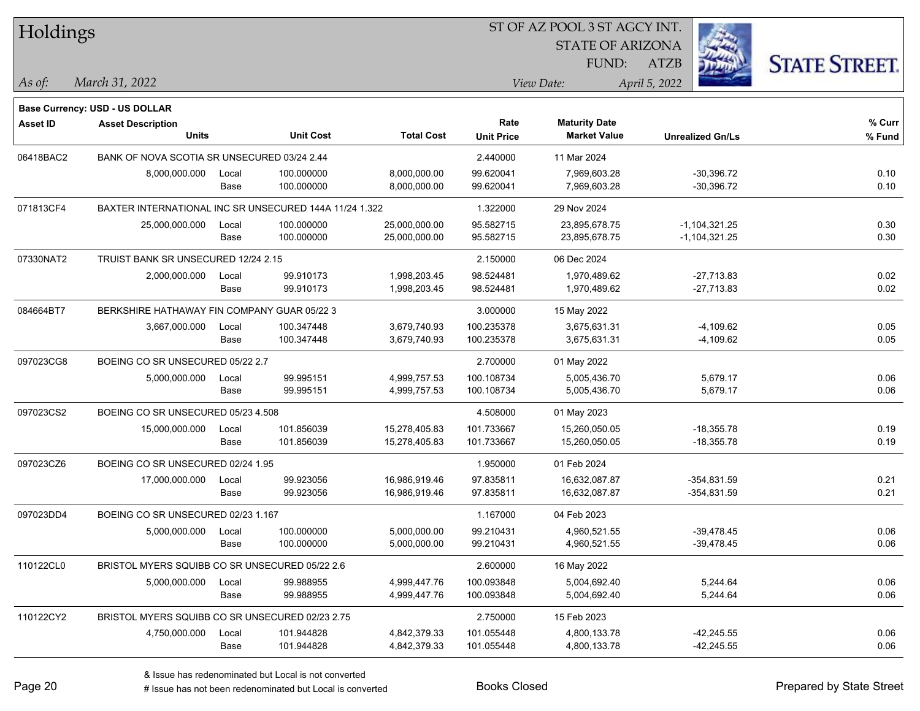| Holdings        |                                                        |       |                  |                   | SI OF AZ POOL 3 SI AGCY IN I. |                         |                         |                      |  |  |
|-----------------|--------------------------------------------------------|-------|------------------|-------------------|-------------------------------|-------------------------|-------------------------|----------------------|--|--|
|                 |                                                        |       |                  |                   |                               | <b>STATE OF ARIZONA</b> | i.                      |                      |  |  |
|                 |                                                        |       |                  |                   |                               | FUND:                   | ATZB                    | <b>STATE STREET.</b> |  |  |
| As of:          | March 31, 2022                                         |       |                  |                   |                               | View Date:              | April 5, 2022           |                      |  |  |
|                 |                                                        |       |                  |                   |                               |                         |                         |                      |  |  |
|                 | Base Currency: USD - US DOLLAR                         |       |                  |                   |                               |                         |                         |                      |  |  |
| <b>Asset ID</b> | <b>Asset Description</b>                               |       |                  |                   | Rate                          | <b>Maturity Date</b>    |                         | % Curr               |  |  |
|                 | <b>Units</b>                                           |       | <b>Unit Cost</b> | <b>Total Cost</b> | <b>Unit Price</b>             | <b>Market Value</b>     | <b>Unrealized Gn/Ls</b> | % Fund               |  |  |
| 06418BAC2       | BANK OF NOVA SCOTIA SR UNSECURED 03/24 2.44            |       |                  |                   | 2.440000                      | 11 Mar 2024             |                         |                      |  |  |
|                 | 8,000,000.000                                          | Local | 100.000000       | 8,000,000.00      | 99.620041                     | 7,969,603.28            | $-30,396.72$            | 0.10                 |  |  |
|                 |                                                        | Base  | 100.000000       | 8,000,000.00      | 99.620041                     | 7,969,603.28            | $-30,396.72$            | 0.10                 |  |  |
| 071813CF4       | BAXTER INTERNATIONAL INC SR UNSECURED 144A 11/24 1.322 |       |                  |                   | 1.322000                      | 29 Nov 2024             |                         |                      |  |  |
|                 | 25,000,000.000                                         | Local | 100.000000       | 25,000,000.00     | 95.582715                     | 23,895,678.75           | $-1, 104, 321.25$       | 0.30                 |  |  |
|                 |                                                        | Base  | 100.000000       | 25,000,000.00     | 95.582715                     | 23,895,678.75           | $-1, 104, 321.25$       | 0.30                 |  |  |
| 07330NAT2       | TRUIST BANK SR UNSECURED 12/24 2.15                    |       |                  |                   | 2.150000                      | 06 Dec 2024             |                         |                      |  |  |
|                 | 2,000,000.000                                          | Local | 99.910173        | 1,998,203.45      | 98.524481                     | 1,970,489.62            | $-27,713.83$            | 0.02                 |  |  |
|                 |                                                        | Base  | 99.910173        | 1,998,203.45      | 98.524481                     | 1,970,489.62            | $-27,713.83$            | 0.02                 |  |  |
| 084664BT7       | BERKSHIRE HATHAWAY FIN COMPANY GUAR 05/22 3            |       |                  |                   | 3.000000                      | 15 May 2022             |                         |                      |  |  |
|                 | 3,667,000.000                                          | Local | 100.347448       | 3,679,740.93      | 100.235378                    | 3,675,631.31            | $-4,109.62$             | 0.05                 |  |  |
|                 |                                                        | Base  | 100.347448       | 3,679,740.93      | 100.235378                    | 3,675,631.31            | $-4,109.62$             | 0.05                 |  |  |
| 097023CG8       | BOEING CO SR UNSECURED 05/22 2.7                       |       |                  |                   | 2.700000                      | 01 May 2022             |                         |                      |  |  |
|                 | 5,000,000.000                                          | Local | 99.995151        | 4,999,757.53      | 100.108734                    | 5,005,436.70            | 5,679.17                | 0.06                 |  |  |
|                 |                                                        | Base  | 99.995151        | 4,999,757.53      | 100.108734                    | 5,005,436.70            | 5,679.17                | 0.06                 |  |  |
| 097023CS2       | BOEING CO SR UNSECURED 05/23 4.508                     |       |                  |                   | 4.508000                      | 01 May 2023             |                         |                      |  |  |
|                 | 15,000,000.000                                         | Local | 101.856039       | 15,278,405.83     | 101.733667                    | 15,260,050.05           | $-18,355.78$            | 0.19                 |  |  |
|                 |                                                        | Base  | 101.856039       | 15,278,405.83     | 101.733667                    | 15,260,050.05           | $-18,355.78$            | 0.19                 |  |  |
| 097023CZ6       | BOEING CO SR UNSECURED 02/24 1.95                      |       |                  |                   | 1.950000                      | 01 Feb 2024             |                         |                      |  |  |
|                 | 17,000,000.000                                         | Local | 99.923056        | 16,986,919.46     | 97.835811                     | 16,632,087.87           | $-354,831.59$           | 0.21                 |  |  |
|                 |                                                        | Base  | 99.923056        | 16,986,919.46     | 97.835811                     | 16,632,087.87           | $-354,831.59$           | 0.21                 |  |  |
| 097023DD4       | BOEING CO SR UNSECURED 02/23 1.167                     |       |                  |                   | 1.167000                      | 04 Feb 2023             |                         |                      |  |  |
|                 | 5,000,000.000                                          | Local | 100.000000       | 5,000,000.00      | 99.210431                     | 4,960,521.55            | $-39,478.45$            | 0.06                 |  |  |
|                 |                                                        | Base  | 100.000000       | 5,000,000.00      | 99.210431                     | 4,960,521.55            | -39,478.45              | 0.06                 |  |  |
| 110122CL0       | BRISTOL MYERS SQUIBB CO SR UNSECURED 05/22 2.6         |       |                  |                   | 2.600000                      | 16 May 2022             |                         |                      |  |  |
|                 | 5,000,000.000                                          | Local | 99.988955        | 4,999,447.76      | 100.093848                    | 5,004,692.40            | 5,244.64                | 0.06                 |  |  |
|                 |                                                        | Base  | 99.988955        | 4,999,447.76      | 100.093848                    | 5,004,692.40            | 5,244.64                | 0.06                 |  |  |
| 110122CY2       | BRISTOL MYERS SQUIBB CO SR UNSECURED 02/23 2.75        |       |                  |                   | 2.750000                      | 15 Feb 2023             |                         |                      |  |  |
|                 | 4,750,000.000                                          | Local | 101.944828       | 4,842,379.33      | 101.055448                    | 4,800,133.78            | $-42,245.55$            | 0.06                 |  |  |
|                 |                                                        | Base  | 101.944828       | 4,842,379.33      | 101.055448                    | 4,800,133.78            | $-42,245.55$            | 0.06                 |  |  |
|                 |                                                        |       |                  |                   |                               |                         |                         |                      |  |  |

 $\overline{S}$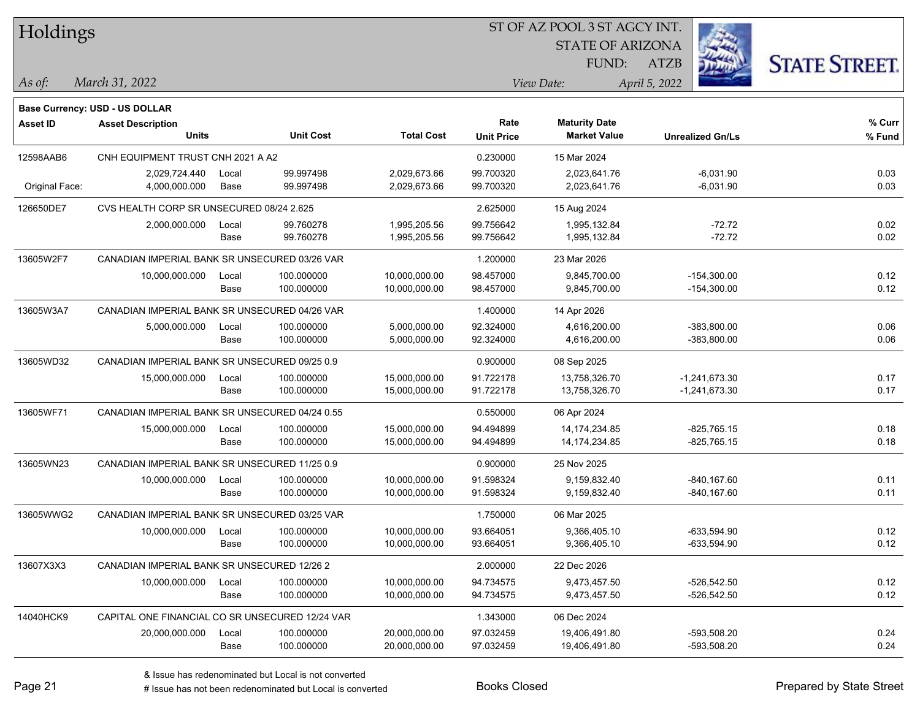| Holdings        |                                                            |       | ST OF AZ POOL 3 ST AGCY INT. |                   |                   |                         |                         |                      |  |  |  |  |
|-----------------|------------------------------------------------------------|-------|------------------------------|-------------------|-------------------|-------------------------|-------------------------|----------------------|--|--|--|--|
|                 |                                                            |       |                              |                   |                   | <b>STATE OF ARIZONA</b> |                         |                      |  |  |  |  |
|                 |                                                            |       |                              |                   |                   | FUND:                   | ATZB                    | <b>STATE STREET.</b> |  |  |  |  |
| $ $ As of:      | March 31, 2022                                             |       |                              |                   |                   | View Date:              | April 5, 2022           |                      |  |  |  |  |
|                 |                                                            |       |                              |                   |                   |                         |                         |                      |  |  |  |  |
| <b>Asset ID</b> | Base Currency: USD - US DOLLAR<br><b>Asset Description</b> |       |                              |                   | Rate              | <b>Maturity Date</b>    |                         | % Curr               |  |  |  |  |
|                 | <b>Units</b>                                               |       | <b>Unit Cost</b>             | <b>Total Cost</b> | <b>Unit Price</b> | <b>Market Value</b>     | <b>Unrealized Gn/Ls</b> | % Fund               |  |  |  |  |
| 12598AAB6       | CNH EQUIPMENT TRUST CNH 2021 A A2                          |       |                              |                   | 0.230000          | 15 Mar 2024             |                         |                      |  |  |  |  |
|                 | 2,029,724.440                                              | Local | 99.997498                    | 2,029,673.66      | 99.700320         | 2,023,641.76            | $-6,031.90$             | 0.03                 |  |  |  |  |
| Original Face:  | 4,000,000.000                                              | Base  | 99.997498                    | 2,029,673.66      | 99.700320         | 2,023,641.76            | $-6,031.90$             | 0.03                 |  |  |  |  |
| 126650DE7       | CVS HEALTH CORP SR UNSECURED 08/24 2.625                   |       |                              |                   | 2.625000          | 15 Aug 2024             |                         |                      |  |  |  |  |
|                 | 2,000,000.000                                              | Local | 99.760278                    | 1,995,205.56      | 99.756642         | 1,995,132.84            | $-72.72$                | 0.02                 |  |  |  |  |
|                 |                                                            | Base  | 99.760278                    | 1,995,205.56      | 99.756642         | 1,995,132.84            | $-72.72$                | 0.02                 |  |  |  |  |
| 13605W2F7       | CANADIAN IMPERIAL BANK SR UNSECURED 03/26 VAR              |       |                              |                   | 1.200000          | 23 Mar 2026             |                         |                      |  |  |  |  |
|                 | 10,000,000.000                                             | Local | 100.000000                   | 10,000,000.00     | 98.457000         | 9,845,700.00            | $-154,300.00$           | 0.12                 |  |  |  |  |
|                 |                                                            | Base  | 100.000000                   | 10,000,000.00     | 98.457000         | 9,845,700.00            | $-154,300.00$           | 0.12                 |  |  |  |  |
| 13605W3A7       | CANADIAN IMPERIAL BANK SR UNSECURED 04/26 VAR              |       |                              |                   | 1.400000          | 14 Apr 2026             |                         |                      |  |  |  |  |
|                 | 5,000,000.000                                              | Local | 100.000000                   | 5,000,000.00      | 92.324000         | 4,616,200.00            | $-383,800.00$           | 0.06                 |  |  |  |  |
|                 |                                                            | Base  | 100.000000                   | 5,000,000.00      | 92.324000         | 4,616,200.00            | $-383,800.00$           | 0.06                 |  |  |  |  |
| 13605WD32       | CANADIAN IMPERIAL BANK SR UNSECURED 09/25 0.9              |       |                              |                   | 0.900000          | 08 Sep 2025             |                         |                      |  |  |  |  |
|                 | 15,000,000.000                                             | Local | 100.000000                   | 15,000,000.00     | 91.722178         | 13,758,326.70           | -1,241,673.30           | 0.17                 |  |  |  |  |
|                 |                                                            | Base  | 100.000000                   | 15,000,000.00     | 91.722178         | 13,758,326.70           | $-1,241,673.30$         | 0.17                 |  |  |  |  |
| 13605WF71       | CANADIAN IMPERIAL BANK SR UNSECURED 04/24 0.55             |       |                              |                   | 0.550000          | 06 Apr 2024             |                         |                      |  |  |  |  |
|                 | 15,000,000.000                                             | Local | 100.000000                   | 15,000,000.00     | 94.494899         | 14, 174, 234.85         | $-825,765.15$           | 0.18                 |  |  |  |  |
|                 |                                                            | Base  | 100.000000                   | 15,000,000.00     | 94.494899         | 14, 174, 234.85         | $-825,765.15$           | 0.18                 |  |  |  |  |
| 13605WN23       | CANADIAN IMPERIAL BANK SR UNSECURED 11/25 0.9              |       |                              |                   | 0.900000          | 25 Nov 2025             |                         |                      |  |  |  |  |
|                 | 10,000,000.000                                             | Local | 100.000000                   | 10,000,000.00     | 91.598324         | 9,159,832.40            | $-840, 167.60$          | 0.11                 |  |  |  |  |
|                 |                                                            | Base  | 100.000000                   | 10,000,000.00     | 91.598324         | 9,159,832.40            | $-840, 167.60$          | 0.11                 |  |  |  |  |
| 13605WWG2       | CANADIAN IMPERIAL BANK SR UNSECURED 03/25 VAR              |       |                              |                   | 1.750000          | 06 Mar 2025             |                         |                      |  |  |  |  |
|                 | 10,000,000.000                                             | Local | 100.000000                   | 10,000,000.00     | 93.664051         | 9,366,405.10            | -633,594.90             | 0.12                 |  |  |  |  |
|                 |                                                            | Base  | 100.000000                   | 10,000,000.00     | 93.664051         | 9,366,405.10            | -633,594.90             | 0.12                 |  |  |  |  |
| 13607X3X3       | CANADIAN IMPERIAL BANK SR UNSECURED 12/26 2                |       |                              |                   | 2.000000          | 22 Dec 2026             |                         |                      |  |  |  |  |
|                 | 10,000,000.000                                             | Local | 100.000000                   | 10,000,000.00     | 94.734575         | 9,473,457.50            | $-526,542.50$           | 0.12                 |  |  |  |  |
|                 |                                                            | Base  | 100.000000                   | 10,000,000.00     | 94.734575         | 9,473,457.50            | $-526,542.50$           | 0.12                 |  |  |  |  |
| 14040HCK9       | CAPITAL ONE FINANCIAL CO SR UNSECURED 12/24 VAR            |       |                              |                   | 1.343000          | 06 Dec 2024             |                         |                      |  |  |  |  |
|                 | 20,000,000.000                                             | Local | 100.000000                   | 20,000,000.00     | 97.032459         | 19,406,491.80           | -593,508.20             | 0.24                 |  |  |  |  |
|                 |                                                            | Base  | 100.000000                   | 20,000,000.00     | 97.032459         | 19,406,491.80           | -593,508.20             | 0.24                 |  |  |  |  |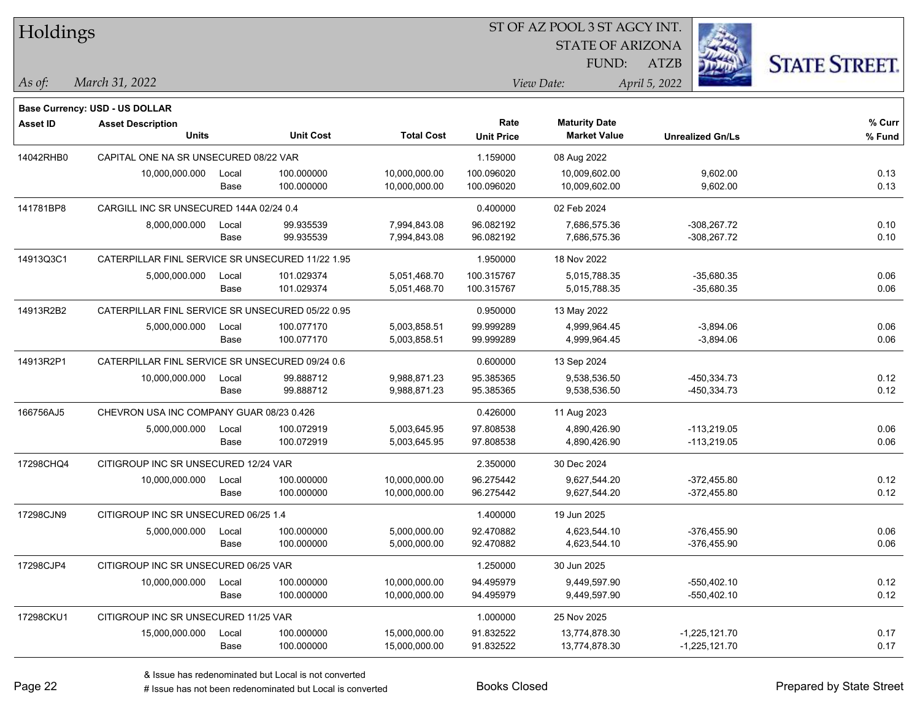| Holdings  |                                                  |               |                          |                                |                          | 51 OF AZ POOL 3 51 AGCY INT.   |                                |                      |
|-----------|--------------------------------------------------|---------------|--------------------------|--------------------------------|--------------------------|--------------------------------|--------------------------------|----------------------|
|           |                                                  |               |                          |                                |                          | <b>STATE OF ARIZONA</b>        |                                |                      |
|           |                                                  |               |                          |                                |                          | FUND:                          | ATZB                           | <b>STATE STREET.</b> |
| As of:    | March 31, 2022                                   |               |                          |                                |                          | View Date:                     | April 5, 2022                  |                      |
|           | <b>Base Currency: USD - US DOLLAR</b>            |               |                          |                                |                          |                                |                                |                      |
| Asset ID  | <b>Asset Description</b>                         |               |                          |                                | Rate                     | <b>Maturity Date</b>           |                                | % Curr               |
|           | <b>Units</b>                                     |               | <b>Unit Cost</b>         | <b>Total Cost</b>              | <b>Unit Price</b>        | <b>Market Value</b>            | <b>Unrealized Gn/Ls</b>        | % Fund               |
| 14042RHB0 | CAPITAL ONE NA SR UNSECURED 08/22 VAR            |               |                          |                                | 1.159000                 | 08 Aug 2022                    |                                |                      |
|           | 10,000,000.000                                   | Local<br>Base | 100.000000<br>100.000000 | 10,000,000.00<br>10,000,000.00 | 100.096020<br>100.096020 | 10,009,602.00<br>10,009,602.00 | 9,602.00<br>9,602.00           | 0.13<br>0.13         |
| 141781BP8 | CARGILL INC SR UNSECURED 144A 02/24 0.4          |               |                          |                                | 0.400000                 | 02 Feb 2024                    |                                |                      |
|           | 8,000,000.000                                    | Local<br>Base | 99.935539<br>99.935539   | 7,994,843.08<br>7,994,843.08   | 96.082192<br>96.082192   | 7,686,575.36<br>7,686,575.36   | $-308,267.72$<br>$-308,267.72$ | 0.10<br>0.10         |
| 14913Q3C1 | CATERPILLAR FINL SERVICE SR UNSECURED 11/22 1.95 |               |                          |                                | 1.950000                 | 18 Nov 2022                    |                                |                      |
|           | 5,000,000.000                                    | Local         | 101.029374               | 5,051,468.70                   | 100.315767               | 5,015,788.35                   | $-35,680.35$                   | 0.06                 |
|           |                                                  | Base          | 101.029374               | 5,051,468.70                   | 100.315767               | 5,015,788.35                   | $-35,680.35$                   | 0.06                 |
| 14913R2B2 | CATERPILLAR FINL SERVICE SR UNSECURED 05/22 0.95 |               |                          |                                | 0.950000                 | 13 May 2022                    |                                |                      |
|           | 5,000,000.000                                    | Local         | 100.077170               | 5,003,858.51                   | 99.999289                | 4,999,964.45                   | $-3,894.06$                    | 0.06                 |
|           |                                                  | Base          | 100.077170               | 5,003,858.51                   | 99.999289                | 4,999,964.45                   | $-3,894.06$                    | 0.06                 |
| 14913R2P1 | CATERPILLAR FINL SERVICE SR UNSECURED 09/24 0.6  |               |                          |                                | 0.600000                 | 13 Sep 2024                    |                                |                      |
|           | 10,000,000.000                                   | Local         | 99.888712                | 9,988,871.23                   | 95.385365                | 9,538,536.50                   | -450,334.73                    | 0.12                 |
|           |                                                  | Base          | 99.888712                | 9,988,871.23                   | 95.385365                | 9,538,536.50                   | -450,334.73                    | 0.12                 |
| 166756AJ5 | CHEVRON USA INC COMPANY GUAR 08/23 0.426         |               |                          |                                | 0.426000                 | 11 Aug 2023                    |                                |                      |
|           | 5,000,000.000                                    | Local         | 100.072919               | 5,003,645.95                   | 97.808538                | 4,890,426.90                   | $-113,219.05$                  | 0.06                 |
|           |                                                  | Base          | 100.072919               | 5,003,645.95                   | 97.808538                | 4,890,426.90                   | $-113,219.05$                  | 0.06                 |
| 17298CHQ4 | CITIGROUP INC SR UNSECURED 12/24 VAR             |               |                          |                                | 2.350000                 | 30 Dec 2024                    |                                |                      |
|           | 10,000,000.000                                   | Local         | 100.000000               | 10,000,000.00                  | 96.275442                | 9,627,544.20                   | $-372,455.80$                  | 0.12                 |
|           |                                                  | Base          | 100.000000               | 10,000,000.00                  | 96.275442                | 9,627,544.20                   | $-372,455.80$                  | 0.12                 |
| 17298CJN9 | CITIGROUP INC SR UNSECURED 06/25 1.4             |               |                          |                                | 1.400000                 | 19 Jun 2025                    |                                |                      |
|           | 5,000,000.000                                    | Local         | 100.000000               | 5,000,000.00                   | 92.470882                | 4,623,544.10                   | $-376,455.90$                  | 0.06                 |
|           |                                                  | Base          | 100.000000               | 5,000,000.00                   | 92.470882                | 4,623,544.10                   | $-376.455.90$                  | 0.06                 |
| 17298CJP4 | CITIGROUP INC SR UNSECURED 06/25 VAR             |               |                          |                                | 1.250000                 | 30 Jun 2025                    |                                |                      |
|           | 10,000,000.000                                   | Local         | 100.000000               | 10,000,000.00                  | 94.495979                | 9,449,597.90                   | $-550,402.10$                  | 0.12                 |
|           |                                                  | Base          | 100.000000               | 10,000,000.00                  | 94.495979                | 9,449,597.90                   | -550,402.10                    | 0.12                 |
| 17298CKU1 | CITIGROUP INC SR UNSECURED 11/25 VAR             |               |                          |                                | 1.000000                 | 25 Nov 2025                    |                                |                      |
|           | 15,000,000.000                                   | Local         | 100.000000               | 15,000,000.00                  | 91.832522                | 13,774,878.30                  | $-1,225,121.70$                | 0.17                 |
|           |                                                  | Base          | 100.000000               | 15,000,000.00                  | 91.832522                | 13,774,878.30                  | $-1,225,121.70$                | 0.17                 |

 $\overline{S}$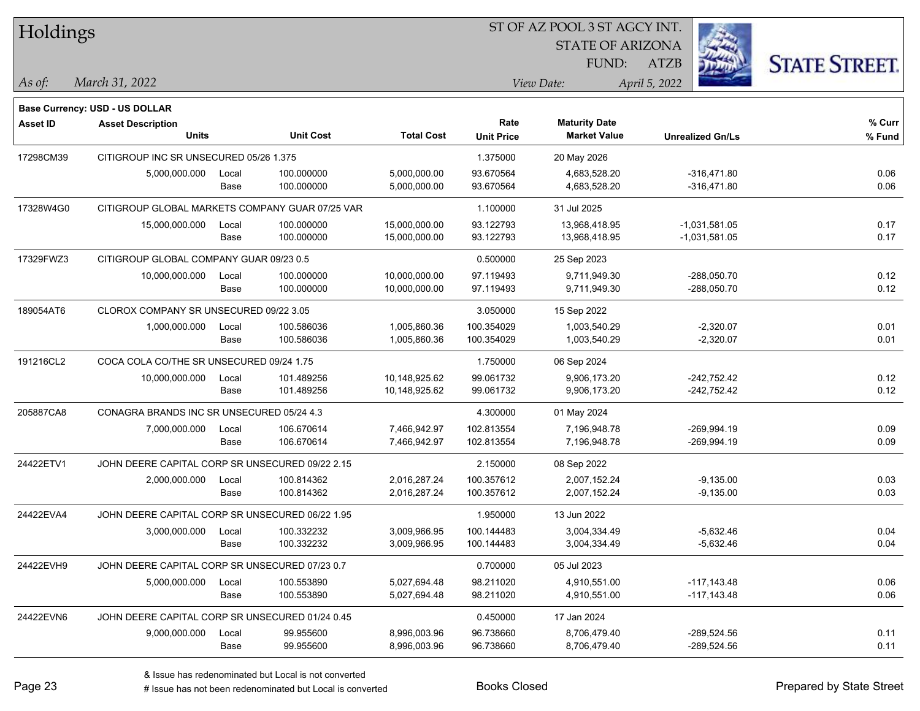| Holdings  |                                                 |       |                  |                   | ST OF AZ POOL 3 ST AGCY INT. |                                             |                         |                      |  |  |
|-----------|-------------------------------------------------|-------|------------------|-------------------|------------------------------|---------------------------------------------|-------------------------|----------------------|--|--|
|           |                                                 |       |                  |                   |                              | <b>STATE OF ARIZONA</b>                     |                         |                      |  |  |
|           |                                                 |       |                  |                   |                              | FUND:                                       | ATZB                    | <b>STATE STREET.</b> |  |  |
| As of:    | March 31, 2022                                  |       |                  |                   |                              | View Date:                                  | April 5, 2022           |                      |  |  |
|           |                                                 |       |                  |                   |                              |                                             |                         |                      |  |  |
|           | Base Currency: USD - US DOLLAR                  |       |                  |                   |                              |                                             |                         |                      |  |  |
| Asset ID  | <b>Asset Description</b><br><b>Units</b>        |       | <b>Unit Cost</b> | <b>Total Cost</b> | Rate<br><b>Unit Price</b>    | <b>Maturity Date</b><br><b>Market Value</b> | <b>Unrealized Gn/Ls</b> | % Curr<br>% Fund     |  |  |
|           |                                                 |       |                  |                   |                              |                                             |                         |                      |  |  |
| 17298CM39 | CITIGROUP INC SR UNSECURED 05/26 1.375          |       |                  |                   | 1.375000                     | 20 May 2026                                 |                         |                      |  |  |
|           | 5,000,000.000                                   | Local | 100.000000       | 5,000,000.00      | 93.670564                    | 4,683,528.20                                | $-316,471.80$           | 0.06                 |  |  |
|           |                                                 | Base  | 100.000000       | 5,000,000.00      | 93.670564                    | 4,683,528.20                                | $-316,471.80$           | 0.06                 |  |  |
| 17328W4G0 | CITIGROUP GLOBAL MARKETS COMPANY GUAR 07/25 VAR |       |                  |                   | 1.100000                     | 31 Jul 2025                                 |                         |                      |  |  |
|           | 15,000,000.000                                  | Local | 100.000000       | 15,000,000.00     | 93.122793                    | 13,968,418.95                               | -1,031,581.05           | 0.17                 |  |  |
|           |                                                 | Base  | 100.000000       | 15,000,000.00     | 93.122793                    | 13,968,418.95                               | $-1,031,581.05$         | 0.17                 |  |  |
| 17329FWZ3 | CITIGROUP GLOBAL COMPANY GUAR 09/23 0.5         |       |                  |                   | 0.500000                     | 25 Sep 2023                                 |                         |                      |  |  |
|           | 10,000,000.000                                  | Local | 100.000000       | 10,000,000.00     | 97.119493                    | 9,711,949.30                                | $-288,050.70$           | 0.12                 |  |  |
|           |                                                 | Base  | 100.000000       | 10,000,000.00     | 97.119493                    | 9,711,949.30                                | $-288,050.70$           | 0.12                 |  |  |
| 189054AT6 | CLOROX COMPANY SR UNSECURED 09/22 3.05          |       |                  |                   | 3.050000                     | 15 Sep 2022                                 |                         |                      |  |  |
|           | 1,000,000.000                                   | Local | 100.586036       | 1,005,860.36      | 100.354029                   | 1,003,540.29                                | $-2,320.07$             | 0.01                 |  |  |
|           |                                                 | Base  | 100.586036       | 1,005,860.36      | 100.354029                   | 1,003,540.29                                | $-2,320.07$             | 0.01                 |  |  |
| 191216CL2 | COCA COLA CO/THE SR UNSECURED 09/24 1.75        |       |                  | 1.750000          | 06 Sep 2024                  |                                             |                         |                      |  |  |
|           | 10,000,000.000                                  | Local | 101.489256       | 10,148,925.62     | 99.061732                    | 9,906,173.20                                | $-242,752.42$           | 0.12                 |  |  |
|           |                                                 | Base  | 101.489256       | 10,148,925.62     | 99.061732                    | 9,906,173.20                                | $-242,752.42$           | 0.12                 |  |  |
| 205887CA8 | CONAGRA BRANDS INC SR UNSECURED 05/24 4.3       |       |                  |                   | 4.300000                     | 01 May 2024                                 |                         |                      |  |  |
|           | 7,000,000.000                                   | Local | 106.670614       | 7,466,942.97      | 102.813554                   | 7,196,948.78                                | $-269,994.19$           | 0.09                 |  |  |
|           |                                                 | Base  | 106.670614       | 7,466,942.97      | 102.813554                   | 7,196,948.78                                | $-269,994.19$           | 0.09                 |  |  |
| 24422ETV1 | JOHN DEERE CAPITAL CORP SR UNSECURED 09/22 2.15 |       |                  |                   | 2.150000                     | 08 Sep 2022                                 |                         |                      |  |  |
|           | 2,000,000.000                                   | Local | 100.814362       | 2,016,287.24      | 100.357612                   | 2,007,152.24                                | $-9,135.00$             | 0.03                 |  |  |
|           |                                                 | Base  | 100.814362       | 2,016,287.24      | 100.357612                   | 2,007,152.24                                | $-9,135.00$             | 0.03                 |  |  |
| 24422EVA4 | JOHN DEERE CAPITAL CORP SR UNSECURED 06/22 1.95 |       |                  |                   | 1.950000                     | 13 Jun 2022                                 |                         |                      |  |  |
|           | 3,000,000.000                                   | Local | 100.332232       | 3.009.966.95      | 100.144483                   | 3,004,334.49                                | $-5,632.46$             | 0.04                 |  |  |
|           |                                                 | Base  | 100.332232       | 3,009,966.95      | 100.144483                   | 3,004,334.49                                | $-5,632.46$             | 0.04                 |  |  |
| 24422EVH9 | JOHN DEERE CAPITAL CORP SR UNSECURED 07/23 0.7  |       |                  |                   | 0.700000                     | 05 Jul 2023                                 |                         |                      |  |  |
|           | 5,000,000.000                                   | Local | 100.553890       | 5,027,694.48      | 98.211020                    | 4,910,551.00                                | $-117,143.48$           | 0.06                 |  |  |
|           |                                                 | Base  | 100.553890       | 5,027,694.48      | 98.211020                    | 4,910,551.00                                | $-117,143.48$           | 0.06                 |  |  |
| 24422EVN6 | JOHN DEERE CAPITAL CORP SR UNSECURED 01/24 0.45 |       |                  |                   | 0.450000                     | 17 Jan 2024                                 |                         |                      |  |  |
|           | 9,000,000.000                                   | Local | 99.955600        | 8,996,003.96      | 96.738660                    | 8,706,479.40                                | $-289,524.56$           | 0.11                 |  |  |
|           |                                                 | Base  | 99.955600        | 8,996,003.96      | 96.738660                    | 8,706,479.40                                | $-289,524.56$           | 0.11                 |  |  |
|           |                                                 |       |                  |                   |                              |                                             |                         |                      |  |  |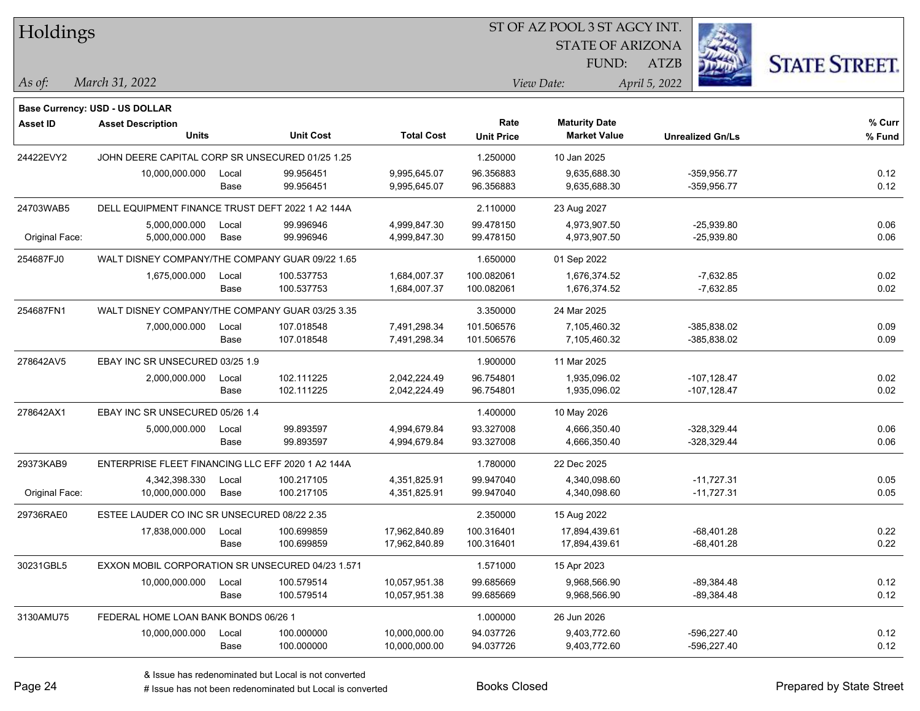| Holdings        |                                                   |       |                  |                   |                           | ST OF AZ POOL 3 ST AGCY INT.                |                         |                      |
|-----------------|---------------------------------------------------|-------|------------------|-------------------|---------------------------|---------------------------------------------|-------------------------|----------------------|
|                 |                                                   |       |                  |                   |                           | <b>STATE OF ARIZONA</b>                     |                         |                      |
|                 |                                                   |       |                  |                   |                           | FUND:                                       | <b>ATZB</b>             | <b>STATE STREET.</b> |
| $\vert$ As of:  | March 31, 2022                                    |       |                  |                   |                           | View Date:                                  | April 5, 2022           |                      |
|                 |                                                   |       |                  |                   |                           |                                             |                         |                      |
|                 | <b>Base Currency: USD - US DOLLAR</b>             |       |                  |                   |                           |                                             |                         |                      |
| <b>Asset ID</b> | <b>Asset Description</b><br><b>Units</b>          |       | <b>Unit Cost</b> | <b>Total Cost</b> | Rate<br><b>Unit Price</b> | <b>Maturity Date</b><br><b>Market Value</b> | <b>Unrealized Gn/Ls</b> | % Curr<br>% Fund     |
|                 |                                                   |       |                  |                   |                           |                                             |                         |                      |
| 24422EVY2       | JOHN DEERE CAPITAL CORP SR UNSECURED 01/25 1.25   |       |                  |                   | 1.250000                  | 10 Jan 2025                                 |                         |                      |
|                 | 10,000,000.000                                    | Local | 99.956451        | 9,995,645.07      | 96.356883                 | 9,635,688.30                                | $-359,956.77$           | 0.12                 |
|                 |                                                   | Base  | 99.956451        | 9,995,645.07      | 96.356883                 | 9,635,688.30                                | $-359,956.77$           | 0.12                 |
| 24703WAB5       | DELL EQUIPMENT FINANCE TRUST DEFT 2022 1 A2 144A  |       |                  |                   | 2.110000                  | 23 Aug 2027                                 |                         |                      |
|                 | 5,000,000.000                                     | Local | 99.996946        | 4,999,847.30      | 99.478150                 | 4,973,907.50                                | $-25,939.80$            | 0.06                 |
| Original Face:  | 5,000,000.000                                     | Base  | 99.996946        | 4,999,847.30      | 99.478150                 | 4,973,907.50                                | $-25,939.80$            | 0.06                 |
| 254687FJ0       | WALT DISNEY COMPANY/THE COMPANY GUAR 09/22 1.65   |       |                  |                   | 1.650000                  | 01 Sep 2022                                 |                         |                      |
|                 | 1,675,000.000                                     | Local | 100.537753       | 1,684,007.37      | 100.082061                | 1,676,374.52                                | $-7,632.85$             | 0.02                 |
|                 |                                                   | Base  | 100.537753       | 1,684,007.37      | 100.082061                | 1,676,374.52                                | $-7,632.85$             | 0.02                 |
| 254687FN1       | WALT DISNEY COMPANY/THE COMPANY GUAR 03/25 3.35   |       |                  |                   | 3.350000                  | 24 Mar 2025                                 |                         |                      |
|                 | 7,000,000.000                                     | Local | 107.018548       | 7,491,298.34      | 101.506576                | 7,105,460.32                                | -385,838.02             | 0.09                 |
|                 |                                                   | Base  | 107.018548       | 7,491,298.34      | 101.506576                | 7,105,460.32                                | $-385,838.02$           | 0.09                 |
| 278642AV5       | EBAY INC SR UNSECURED 03/25 1.9                   |       |                  |                   | 1.900000                  | 11 Mar 2025                                 |                         |                      |
|                 | 2,000,000.000                                     | Local | 102.111225       | 2,042,224.49      | 96.754801                 | 1,935,096.02                                | $-107, 128.47$          | 0.02                 |
|                 |                                                   | Base  | 102.111225       | 2,042,224.49      | 96.754801                 | 1,935,096.02                                | $-107, 128.47$          | 0.02                 |
| 278642AX1       | EBAY INC SR UNSECURED 05/26 1.4                   |       |                  |                   | 1.400000                  | 10 May 2026                                 |                         |                      |
|                 | 5,000,000.000                                     | Local | 99.893597        | 4,994,679.84      | 93.327008                 | 4,666,350.40                                | $-328,329.44$           | 0.06                 |
|                 |                                                   | Base  | 99.893597        | 4,994,679.84      | 93.327008                 | 4,666,350.40                                | $-328,329.44$           | 0.06                 |
| 29373KAB9       | ENTERPRISE FLEET FINANCING LLC EFF 2020 1 A2 144A |       |                  |                   | 1.780000                  | 22 Dec 2025                                 |                         |                      |
|                 | 4,342,398.330                                     | Local | 100.217105       | 4,351,825.91      | 99.947040                 | 4,340,098.60                                | $-11,727.31$            | 0.05                 |
| Original Face:  | 10,000,000.000                                    | Base  | 100.217105       | 4,351,825.91      | 99.947040                 | 4,340,098.60                                | $-11,727.31$            | 0.05                 |
| 29736RAE0       | ESTEE LAUDER CO INC SR UNSECURED 08/22 2.35       |       |                  |                   | 2.350000                  | 15 Aug 2022                                 |                         |                      |
|                 | 17,838,000.000                                    | Local | 100.699859       | 17,962,840.89     | 100.316401                | 17,894,439.61                               | $-68,401.28$            | 0.22                 |
|                 |                                                   | Base  | 100.699859       | 17,962,840.89     | 100.316401                | 17,894,439.61                               | -68,401.28              | 0.22                 |
| 30231GBL5       | EXXON MOBIL CORPORATION SR UNSECURED 04/23 1.571  |       |                  |                   | 1.571000                  | 15 Apr 2023                                 |                         |                      |
|                 | 10,000,000.000                                    | Local | 100.579514       | 10,057,951.38     | 99.685669                 | 9,968,566.90                                | $-89,384.48$            | 0.12                 |
|                 |                                                   | Base  | 100.579514       | 10,057,951.38     | 99.685669                 | 9,968,566.90                                | $-89,384.48$            | 0.12                 |
| 3130AMU75       | FEDERAL HOME LOAN BANK BONDS 06/26 1              |       |                  |                   | 1.000000                  | 26 Jun 2026                                 |                         |                      |
|                 | 10,000,000.000                                    | Local | 100.000000       | 10,000,000.00     | 94.037726                 | 9,403,772.60                                | -596,227.40             | 0.12                 |
|                 |                                                   | Base  | 100.000000       | 10,000,000.00     | 94.037726                 | 9,403,772.60                                | -596,227.40             | 0.12                 |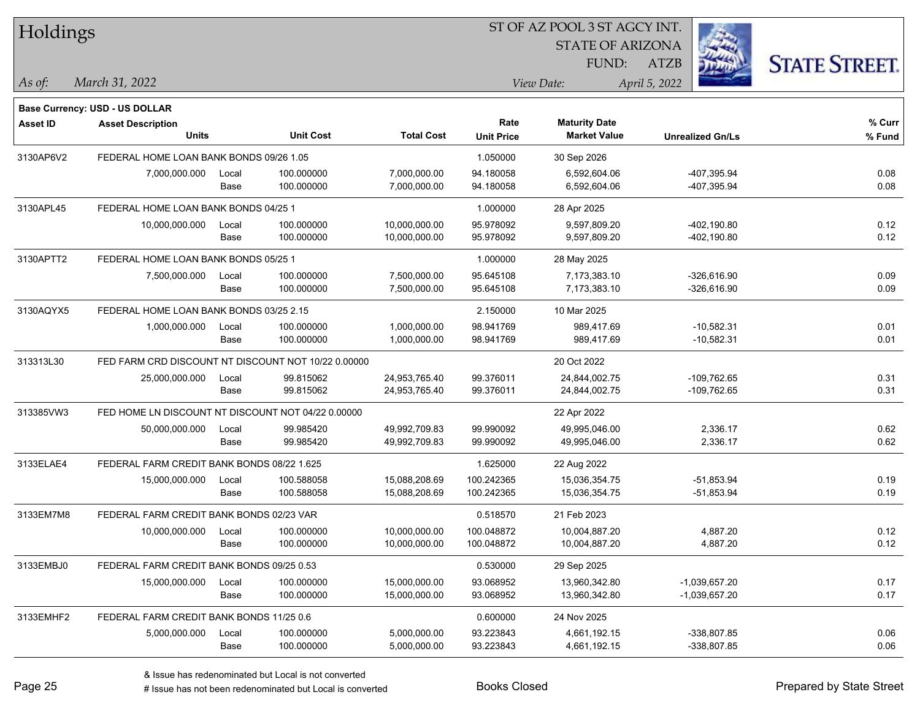| Holdings        |                                                     |       |                  |                   | ST OF AZ POOL 3 ST AGCY INT. |                             |                         |                      |  |
|-----------------|-----------------------------------------------------|-------|------------------|-------------------|------------------------------|-----------------------------|-------------------------|----------------------|--|
|                 |                                                     |       |                  |                   |                              | <b>STATE OF ARIZONA</b>     |                         |                      |  |
|                 |                                                     |       |                  |                   |                              | FUND:                       | ATZB                    | <b>STATE STREET.</b> |  |
| $\vert$ As of:  | March 31, 2022                                      |       |                  |                   |                              | April 5, 2022<br>View Date: |                         |                      |  |
|                 |                                                     |       |                  |                   |                              |                             |                         |                      |  |
|                 | Base Currency: USD - US DOLLAR                      |       |                  |                   | Rate                         | <b>Maturity Date</b>        |                         | % Curr               |  |
| <b>Asset ID</b> | <b>Asset Description</b><br><b>Units</b>            |       | <b>Unit Cost</b> | <b>Total Cost</b> | <b>Unit Price</b>            | <b>Market Value</b>         | <b>Unrealized Gn/Ls</b> | % Fund               |  |
| 3130AP6V2       | FEDERAL HOME LOAN BANK BONDS 09/26 1.05             |       |                  |                   | 1.050000                     | 30 Sep 2026                 |                         |                      |  |
|                 | 7,000,000.000                                       | Local | 100.000000       | 7,000,000.00      | 94.180058                    | 6,592,604.06                | -407,395.94             | 0.08                 |  |
|                 |                                                     | Base  | 100.000000       | 7,000,000.00      | 94.180058                    | 6,592,604.06                | -407,395.94             | 0.08                 |  |
| 3130APL45       | FEDERAL HOME LOAN BANK BONDS 04/25 1                |       |                  |                   | 1.000000                     | 28 Apr 2025                 |                         |                      |  |
|                 | 10,000,000.000                                      | Local | 100.000000       | 10,000,000.00     | 95.978092                    | 9,597,809.20                | $-402,190.80$           | 0.12                 |  |
|                 |                                                     | Base  | 100.000000       | 10,000,000.00     | 95.978092                    | 9,597,809.20                | $-402,190.80$           | 0.12                 |  |
| 3130APTT2       | FEDERAL HOME LOAN BANK BONDS 05/25 1                |       |                  |                   | 1.000000                     | 28 May 2025                 |                         |                      |  |
|                 | 7,500,000.000                                       | Local | 100.000000       | 7,500,000.00      | 95.645108                    | 7,173,383.10                | $-326,616.90$           | 0.09                 |  |
|                 |                                                     | Base  | 100.000000       | 7,500,000.00      | 95.645108                    | 7,173,383.10                | $-326,616.90$           | 0.09                 |  |
| 3130AQYX5       | FEDERAL HOME LOAN BANK BONDS 03/25 2.15             |       |                  |                   | 2.150000                     | 10 Mar 2025                 |                         |                      |  |
|                 | 1,000,000.000                                       | Local | 100.000000       | 1,000,000.00      | 98.941769                    | 989,417.69                  | $-10,582.31$            | 0.01                 |  |
|                 |                                                     | Base  | 100.000000       | 1,000,000.00      | 98.941769                    | 989,417.69                  | $-10,582.31$            | 0.01                 |  |
| 313313L30       | FED FARM CRD DISCOUNT NT DISCOUNT NOT 10/22 0.00000 |       |                  |                   |                              | 20 Oct 2022                 |                         |                      |  |
|                 | 25,000,000.000                                      | Local | 99.815062        | 24,953,765.40     | 99.376011                    | 24,844,002.75               | $-109,762.65$           | 0.31                 |  |
|                 |                                                     | Base  | 99.815062        | 24,953,765.40     | 99.376011                    | 24,844,002.75               | $-109,762.65$           | 0.31                 |  |
| 313385VW3       | FED HOME LN DISCOUNT NT DISCOUNT NOT 04/22 0.00000  |       |                  |                   |                              | 22 Apr 2022                 |                         |                      |  |
|                 | 50,000,000.000                                      | Local | 99.985420        | 49,992,709.83     | 99.990092                    | 49,995,046.00               | 2,336.17                | 0.62                 |  |
|                 |                                                     | Base  | 99.985420        | 49,992,709.83     | 99.990092                    | 49,995,046.00               | 2,336.17                | 0.62                 |  |
| 3133ELAE4       | FEDERAL FARM CREDIT BANK BONDS 08/22 1.625          |       |                  |                   | 1.625000                     | 22 Aug 2022                 |                         |                      |  |
|                 | 15,000,000.000                                      | Local | 100.588058       | 15,088,208.69     | 100.242365                   | 15,036,354.75               | $-51,853.94$            | 0.19                 |  |
|                 |                                                     | Base  | 100.588058       | 15,088,208.69     | 100.242365                   | 15,036,354.75               | $-51,853.94$            | 0.19                 |  |
| 3133EM7M8       | FEDERAL FARM CREDIT BANK BONDS 02/23 VAR            |       |                  |                   | 0.518570                     | 21 Feb 2023                 |                         |                      |  |
|                 | 10,000,000.000                                      | Local | 100.000000       | 10,000,000.00     | 100.048872                   | 10,004,887.20               | 4.887.20                | 0.12                 |  |
|                 |                                                     | Base  | 100.000000       | 10,000,000.00     | 100.048872                   | 10,004,887.20               | 4,887.20                | 0.12                 |  |
| 3133EMBJ0       | FEDERAL FARM CREDIT BANK BONDS 09/25 0.53           |       |                  |                   | 0.530000                     | 29 Sep 2025                 |                         |                      |  |
|                 | 15,000,000.000                                      | Local | 100.000000       | 15,000,000.00     | 93.068952                    | 13,960,342.80               | -1,039,657.20           | 0.17                 |  |
|                 |                                                     | Base  | 100.000000       | 15,000,000.00     | 93.068952                    | 13,960,342.80               | $-1,039,657.20$         | 0.17                 |  |
| 3133EMHF2       | FEDERAL FARM CREDIT BANK BONDS 11/25 0.6            |       |                  |                   | 0.600000                     | 24 Nov 2025                 |                         |                      |  |
|                 | 5,000,000.000                                       | Local | 100.000000       | 5,000,000.00      | 93.223843                    | 4,661,192.15                | -338,807.85             | 0.06                 |  |
|                 |                                                     | Base  | 100.000000       | 5,000,000.00      | 93.223843                    | 4,661,192.15                | -338,807.85             | 0.06                 |  |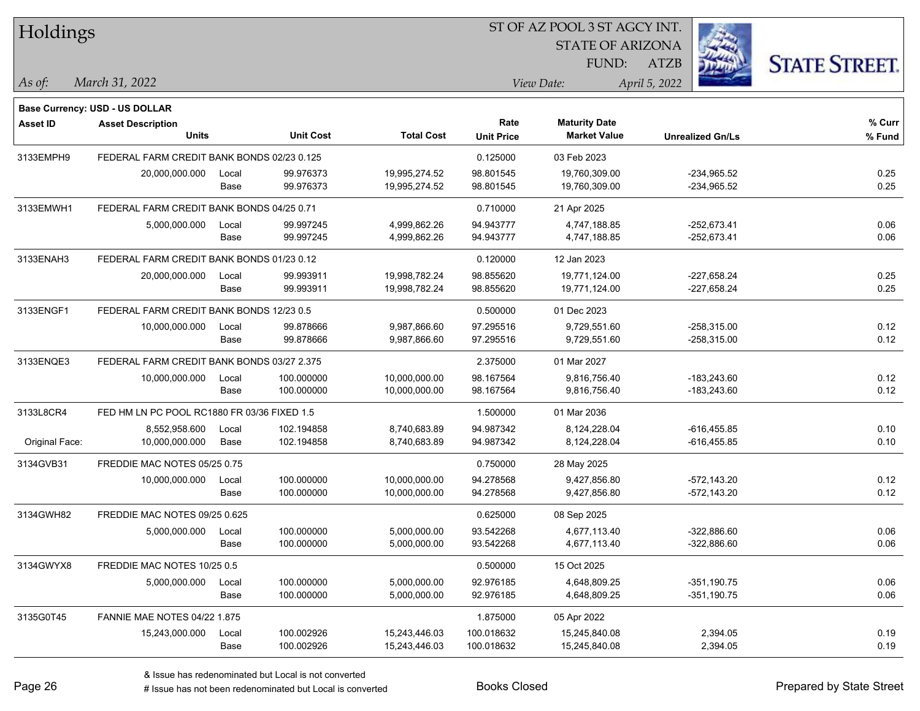| Holdings        |                                             |       |                  |                   |                               | 51 OF AZ POOL 3 51 AGCY INT. |                         |                      |  |
|-----------------|---------------------------------------------|-------|------------------|-------------------|-------------------------------|------------------------------|-------------------------|----------------------|--|
|                 |                                             |       |                  |                   | é.<br><b>STATE OF ARIZONA</b> |                              |                         |                      |  |
|                 |                                             |       |                  |                   |                               | FUND:                        | ATZB                    | <b>STATE STREET.</b> |  |
| As of:          | March 31, 2022                              |       |                  |                   |                               | View Date:                   | April 5, 2022           |                      |  |
|                 |                                             |       |                  |                   |                               |                              |                         |                      |  |
|                 | Base Currency: USD - US DOLLAR              |       |                  |                   |                               |                              |                         |                      |  |
| <b>Asset ID</b> | <b>Asset Description</b>                    |       |                  |                   | Rate                          | <b>Maturity Date</b>         |                         | % Curr               |  |
|                 | <b>Units</b>                                |       | <b>Unit Cost</b> | <b>Total Cost</b> | <b>Unit Price</b>             | <b>Market Value</b>          | <b>Unrealized Gn/Ls</b> | % Fund               |  |
| 3133EMPH9       | FEDERAL FARM CREDIT BANK BONDS 02/23 0.125  |       |                  |                   | 0.125000                      | 03 Feb 2023                  |                         |                      |  |
|                 | 20,000,000.000                              | Local | 99.976373        | 19,995,274.52     | 98.801545                     | 19,760,309.00                | $-234,965.52$           | 0.25                 |  |
|                 |                                             | Base  | 99.976373        | 19,995,274.52     | 98.801545                     | 19,760,309.00                | -234,965.52             | 0.25                 |  |
| 3133EMWH1       | FEDERAL FARM CREDIT BANK BONDS 04/25 0.71   |       |                  |                   | 0.710000                      | 21 Apr 2025                  |                         |                      |  |
|                 | 5,000,000.000                               | Local | 99.997245        | 4,999,862.26      | 94.943777                     | 4,747,188.85                 | $-252,673.41$           | 0.06                 |  |
|                 |                                             | Base  | 99.997245        | 4,999,862.26      | 94.943777                     | 4,747,188.85                 | $-252,673.41$           | 0.06                 |  |
| 3133ENAH3       | FEDERAL FARM CREDIT BANK BONDS 01/23 0.12   |       |                  |                   | 0.120000                      | 12 Jan 2023                  |                         |                      |  |
|                 | 20,000,000.000                              | Local | 99.993911        | 19,998,782.24     | 98.855620                     | 19,771,124.00                | $-227,658.24$           | 0.25                 |  |
|                 |                                             | Base  | 99.993911        | 19,998,782.24     | 98.855620                     | 19,771,124.00                | $-227,658.24$           | 0.25                 |  |
| 3133ENGF1       | FEDERAL FARM CREDIT BANK BONDS 12/23 0.5    |       |                  |                   | 0.500000                      | 01 Dec 2023                  |                         |                      |  |
|                 | 10,000,000.000                              | Local | 99.878666        | 9,987,866.60      | 97.295516                     | 9,729,551.60                 | $-258,315.00$           | 0.12                 |  |
|                 |                                             | Base  | 99.878666        | 9,987,866.60      | 97.295516                     | 9,729,551.60                 | $-258,315.00$           | 0.12                 |  |
| 3133ENQE3       | FEDERAL FARM CREDIT BANK BONDS 03/27 2.375  |       |                  |                   | 2.375000                      | 01 Mar 2027                  |                         |                      |  |
|                 | 10,000,000.000                              | Local | 100.000000       | 10,000,000.00     | 98.167564                     | 9,816,756.40                 | $-183,243.60$           | 0.12                 |  |
|                 |                                             | Base  | 100.000000       | 10,000,000.00     | 98.167564                     | 9,816,756.40                 | $-183,243.60$           | 0.12                 |  |
| 3133L8CR4       | FED HM LN PC POOL RC1880 FR 03/36 FIXED 1.5 |       |                  |                   | 1.500000                      | 01 Mar 2036                  |                         |                      |  |
|                 | 8,552,958.600                               | Local | 102.194858       | 8,740,683.89      | 94.987342                     | 8,124,228.04                 | $-616,455.85$           | 0.10                 |  |
| Original Face:  | 10,000,000.000                              | Base  | 102.194858       | 8,740,683.89      | 94.987342                     | 8,124,228.04                 | $-616,455.85$           | 0.10                 |  |
| 3134GVB31       | FREDDIE MAC NOTES 05/25 0.75                |       |                  |                   | 0.750000                      | 28 May 2025                  |                         |                      |  |
|                 | 10,000,000.000                              | Local | 100.000000       | 10,000,000.00     | 94.278568                     | 9,427,856.80                 | $-572,143.20$           | 0.12                 |  |
|                 |                                             | Base  | 100.000000       | 10,000,000.00     | 94.278568                     | 9,427,856.80                 | $-572,143.20$           | 0.12                 |  |
| 3134GWH82       | FREDDIE MAC NOTES 09/25 0.625               |       |                  |                   | 0.625000                      | 08 Sep 2025                  |                         |                      |  |
|                 | 5,000,000.000                               | Local | 100.000000       | 5,000,000.00      | 93.542268                     | 4,677,113.40                 | $-322,886.60$           | 0.06                 |  |
|                 |                                             | Base  | 100.000000       | 5,000,000.00      | 93.542268                     | 4,677,113.40                 | $-322,886.60$           | 0.06                 |  |
| 3134GWYX8       | FREDDIE MAC NOTES 10/25 0.5                 |       |                  |                   | 0.500000                      | 15 Oct 2025                  |                         |                      |  |
|                 | 5,000,000.000                               | Local | 100.000000       | 5,000,000.00      | 92.976185                     | 4,648,809.25                 | $-351,190.75$           | 0.06                 |  |
|                 |                                             | Base  | 100.000000       | 5,000,000.00      | 92.976185                     | 4,648,809.25                 | $-351,190.75$           | 0.06                 |  |
| 3135G0T45       | <b>FANNIE MAE NOTES 04/22 1.875</b>         |       |                  |                   | 1.875000                      | 05 Apr 2022                  |                         |                      |  |
|                 | 15,243,000.000                              | Local | 100.002926       | 15,243,446.03     | 100.018632                    | 15,245,840.08                | 2,394.05                | 0.19                 |  |
|                 |                                             | Base  | 100.002926       | 15,243,446.03     | 100.018632                    | 15,245,840.08                | 2,394.05                | 0.19                 |  |
|                 |                                             |       |                  |                   |                               |                              |                         |                      |  |

 $\overline{\text{SUSP}}$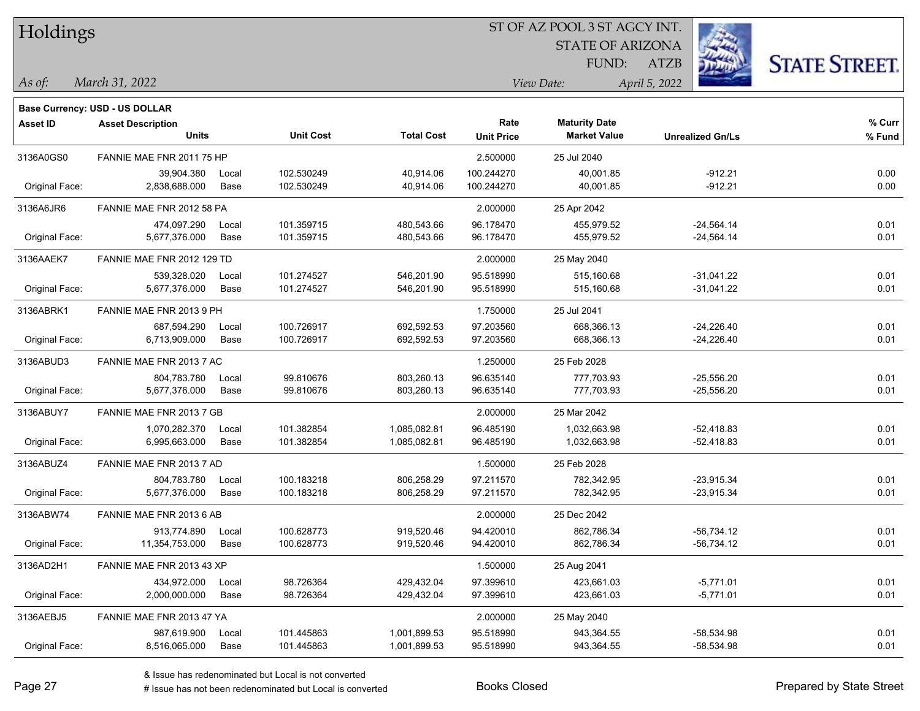| Holdings        |                                |       |                  |                   | ST OF AZ POOL 3 ST AGCY INT. |                         |                         |                      |  |  |
|-----------------|--------------------------------|-------|------------------|-------------------|------------------------------|-------------------------|-------------------------|----------------------|--|--|
|                 |                                |       |                  |                   |                              | <b>STATE OF ARIZONA</b> |                         |                      |  |  |
|                 |                                |       |                  |                   |                              | FUND:                   | <b>ATZB</b>             | <b>STATE STREET.</b> |  |  |
| As of:          | March 31, 2022                 |       |                  |                   |                              | View Date:              | April 5, 2022           |                      |  |  |
|                 | Base Currency: USD - US DOLLAR |       |                  |                   |                              |                         |                         |                      |  |  |
| <b>Asset ID</b> | <b>Asset Description</b>       |       |                  |                   | Rate                         | <b>Maturity Date</b>    |                         | % Curr               |  |  |
|                 | <b>Units</b>                   |       | <b>Unit Cost</b> | <b>Total Cost</b> | <b>Unit Price</b>            | <b>Market Value</b>     | <b>Unrealized Gn/Ls</b> | % Fund               |  |  |
| 3136A0GS0       | FANNIE MAE FNR 2011 75 HP      |       |                  |                   | 2.500000                     | 25 Jul 2040             |                         |                      |  |  |
|                 | 39.904.380                     | Local | 102.530249       | 40,914.06         | 100.244270                   | 40,001.85               | $-912.21$               | 0.00                 |  |  |
| Original Face:  | 2,838,688.000                  | Base  | 102.530249       | 40,914.06         | 100.244270                   | 40,001.85               | $-912.21$               | 0.00                 |  |  |
| 3136A6JR6       | FANNIE MAE FNR 2012 58 PA      |       |                  |                   | 2.000000                     | 25 Apr 2042             |                         |                      |  |  |
|                 | 474,097.290                    | Local | 101.359715       | 480,543.66        | 96.178470                    | 455,979.52              | $-24,564.14$            | 0.01                 |  |  |
| Original Face:  | 5,677,376.000                  | Base  | 101.359715       | 480,543.66        | 96.178470                    | 455,979.52              | $-24,564.14$            | 0.01                 |  |  |
| 3136AAEK7       | FANNIE MAE FNR 2012 129 TD     |       |                  |                   | 2.000000                     | 25 May 2040             |                         |                      |  |  |
|                 | 539,328.020                    | Local | 101.274527       | 546,201.90        | 95.518990                    | 515,160.68              | $-31,041.22$            | 0.01                 |  |  |
| Original Face:  | 5,677,376.000                  | Base  | 101.274527       | 546,201.90        | 95.518990                    | 515,160.68              | $-31,041.22$            | 0.01                 |  |  |
| 3136ABRK1       | FANNIE MAE FNR 2013 9 PH       |       |                  |                   | 1.750000                     | 25 Jul 2041             |                         |                      |  |  |
|                 | 687,594.290                    | Local | 100.726917       | 692,592.53        | 97.203560                    | 668,366.13              | $-24,226.40$            | 0.01                 |  |  |
| Original Face:  | 6,713,909.000                  | Base  | 100.726917       | 692,592.53        | 97.203560                    | 668,366.13              | $-24,226.40$            | 0.01                 |  |  |
| 3136ABUD3       | FANNIE MAE FNR 2013 7 AC       |       |                  |                   | 1.250000                     | 25 Feb 2028             |                         |                      |  |  |
|                 | 804,783.780                    | Local | 99.810676        | 803,260.13        | 96.635140                    | 777,703.93              | $-25,556.20$            | 0.01                 |  |  |
| Original Face:  | 5,677,376.000                  | Base  | 99.810676        | 803,260.13        | 96.635140                    | 777,703.93              | $-25,556.20$            | 0.01                 |  |  |
| 3136ABUY7       | FANNIE MAE FNR 2013 7 GB       |       |                  |                   | 2.000000                     | 25 Mar 2042             |                         |                      |  |  |
|                 | 1,070,282.370                  | Local | 101.382854       | 1,085,082.81      | 96.485190                    | 1,032,663.98            | $-52,418.83$            | 0.01                 |  |  |
| Original Face:  | 6,995,663.000                  | Base  | 101.382854       | 1,085,082.81      | 96.485190                    | 1,032,663.98            | $-52,418.83$            | 0.01                 |  |  |
| 3136ABUZ4       | FANNIE MAE FNR 2013 7 AD       |       |                  |                   | 1.500000                     | 25 Feb 2028             |                         |                      |  |  |
|                 | 804,783.780                    | Local | 100.183218       | 806,258.29        | 97.211570                    | 782,342.95              | $-23,915.34$            | 0.01                 |  |  |
| Original Face:  | 5,677,376.000                  | Base  | 100.183218       | 806,258.29        | 97.211570                    | 782,342.95              | -23,915.34              | 0.01                 |  |  |
| 3136ABW74       | FANNIE MAE FNR 2013 6 AB       |       |                  |                   | 2.000000                     | 25 Dec 2042             |                         |                      |  |  |
|                 | 913,774.890                    | Local | 100.628773       | 919,520.46        | 94.420010                    | 862,786.34              | $-56,734.12$            | 0.01                 |  |  |
| Original Face:  | 11,354,753.000                 | Base  | 100.628773       | 919,520.46        | 94.420010                    | 862,786.34              | $-56,734.12$            | 0.01                 |  |  |
| 3136AD2H1       | FANNIE MAE FNR 2013 43 XP      |       |                  |                   | 1.500000                     | 25 Aug 2041             |                         |                      |  |  |
|                 | 434,972.000                    | Local | 98.726364        | 429,432.04        | 97.399610                    | 423,661.03              | $-5,771.01$             | 0.01                 |  |  |
| Original Face:  | 2,000,000.000                  | Base  | 98.726364        | 429,432.04        | 97.399610                    | 423,661.03              | $-5,771.01$             | 0.01                 |  |  |
| 3136AEBJ5       | FANNIE MAE FNR 2013 47 YA      |       |                  |                   | 2.000000                     | 25 May 2040             |                         |                      |  |  |
|                 | 987,619.900                    | Local | 101.445863       | 1,001,899.53      | 95.518990                    | 943,364.55              | $-58,534.98$            | 0.01                 |  |  |
| Original Face:  | 8,516,065.000                  | Base  | 101.445863       | 1,001,899.53      | 95.518990                    | 943,364.55              | $-58,534.98$            | 0.01                 |  |  |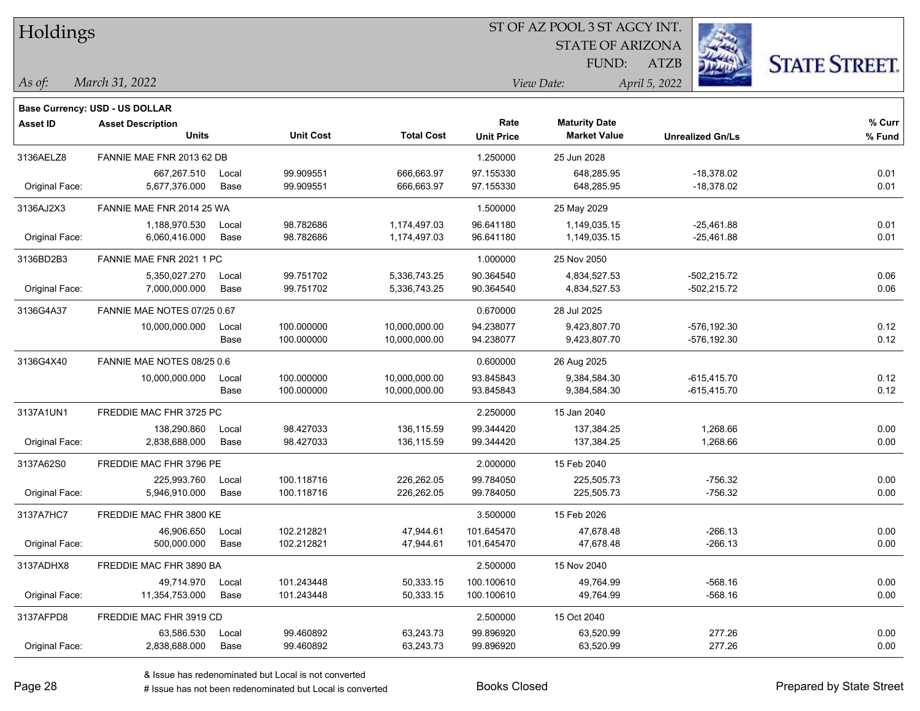| Holdings        |                                |       |                  |                   | ST OF AZ POOL 3 ST AGCY INT. |                         |                         |                      |  |  |
|-----------------|--------------------------------|-------|------------------|-------------------|------------------------------|-------------------------|-------------------------|----------------------|--|--|
|                 |                                |       |                  |                   |                              | <b>STATE OF ARIZONA</b> |                         |                      |  |  |
|                 |                                |       |                  |                   |                              | FUND:                   | <b>ATZB</b>             | <b>STATE STREET.</b> |  |  |
| As of:          | March 31, 2022                 |       |                  |                   |                              | View Date:              | April 5, 2022           |                      |  |  |
|                 | Base Currency: USD - US DOLLAR |       |                  |                   |                              |                         |                         |                      |  |  |
| <b>Asset ID</b> | <b>Asset Description</b>       |       |                  |                   | Rate                         | <b>Maturity Date</b>    |                         | $%$ Curr             |  |  |
|                 | Units                          |       | <b>Unit Cost</b> | <b>Total Cost</b> | <b>Unit Price</b>            | <b>Market Value</b>     | <b>Unrealized Gn/Ls</b> | % Fund               |  |  |
| 3136AELZ8       | FANNIE MAE FNR 2013 62 DB      |       |                  |                   | 1.250000                     | 25 Jun 2028             |                         |                      |  |  |
|                 | 667,267.510                    | Local | 99.909551        | 666,663.97        | 97.155330                    | 648,285.95              | $-18,378.02$            | 0.01                 |  |  |
| Original Face:  | 5.677.376.000                  | Base  | 99.909551        | 666,663.97        | 97.155330                    | 648,285.95              | $-18,378.02$            | 0.01                 |  |  |
| 3136AJ2X3       | FANNIE MAE FNR 2014 25 WA      |       |                  |                   | 1.500000                     | 25 May 2029             |                         |                      |  |  |
|                 | 1,188,970.530                  | Local | 98.782686        | 1,174,497.03      | 96.641180                    | 1,149,035.15            | $-25,461.88$            | 0.01                 |  |  |
| Original Face:  | 6,060,416.000                  | Base  | 98.782686        | 1,174,497.03      | 96.641180                    | 1,149,035.15            | $-25,461.88$            | 0.01                 |  |  |
| 3136BD2B3       | FANNIE MAE FNR 2021 1 PC       |       |                  |                   | 1.000000                     | 25 Nov 2050             |                         |                      |  |  |
|                 | 5,350,027.270                  | Local | 99.751702        | 5,336,743.25      | 90.364540                    | 4,834,527.53            | -502,215.72             | 0.06                 |  |  |
| Original Face:  | 7,000,000.000                  | Base  | 99.751702        | 5,336,743.25      | 90.364540                    | 4,834,527.53            | $-502,215.72$           | 0.06                 |  |  |
| 3136G4A37       | FANNIE MAE NOTES 07/25 0.67    |       |                  |                   | 0.670000                     | 28 Jul 2025             |                         |                      |  |  |
|                 | 10,000,000.000                 | Local | 100.000000       | 10,000,000.00     | 94.238077                    | 9,423,807.70            | $-576, 192.30$          | 0.12                 |  |  |
|                 |                                | Base  | 100.000000       | 10,000,000.00     | 94.238077                    | 9,423,807.70            | $-576, 192.30$          | 0.12                 |  |  |
| 3136G4X40       | FANNIE MAE NOTES 08/25 0.6     |       |                  |                   | 0.600000                     | 26 Aug 2025             |                         |                      |  |  |
|                 | 10,000,000.000                 | Local | 100.000000       | 10,000,000.00     | 93.845843                    | 9,384,584.30            | $-615,415.70$           | 0.12                 |  |  |
|                 |                                | Base  | 100.000000       | 10,000,000.00     | 93.845843                    | 9,384,584.30            | -615,415.70             | 0.12                 |  |  |
| 3137A1UN1       | FREDDIE MAC FHR 3725 PC        |       |                  |                   | 2.250000                     | 15 Jan 2040             |                         |                      |  |  |
|                 | 138,290.860                    | Local | 98.427033        | 136,115.59        | 99.344420                    | 137,384.25              | 1,268.66                | 0.00                 |  |  |
| Original Face:  | 2,838,688.000                  | Base  | 98.427033        | 136,115.59        | 99.344420                    | 137,384.25              | 1,268.66                | 0.00                 |  |  |
| 3137A62S0       | FREDDIE MAC FHR 3796 PE        |       |                  |                   | 2.000000                     | 15 Feb 2040             |                         |                      |  |  |
|                 | 225,993.760                    | Local | 100.118716       | 226,262.05        | 99.784050                    | 225,505.73              | $-756.32$               | 0.00                 |  |  |
| Original Face:  | 5,946,910.000                  | Base  | 100.118716       | 226,262.05        | 99.784050                    | 225,505.73              | $-756.32$               | 0.00                 |  |  |
| 3137A7HC7       | FREDDIE MAC FHR 3800 KE        |       |                  |                   | 3.500000                     | 15 Feb 2026             |                         |                      |  |  |
|                 | 46,906.650                     | Local | 102.212821       | 47,944.61         | 101.645470                   | 47,678.48               | -266.13                 | 0.00                 |  |  |
| Original Face:  | 500,000.000                    | Base  | 102.212821       | 47,944.61         | 101.645470                   | 47,678.48               | $-266.13$               | 0.00                 |  |  |
| 3137ADHX8       | FREDDIE MAC FHR 3890 BA        |       |                  |                   | 2.500000                     | 15 Nov 2040             |                         |                      |  |  |
|                 | 49,714.970                     | Local | 101.243448       | 50,333.15         | 100.100610                   | 49,764.99               | $-568.16$               | 0.00                 |  |  |
| Original Face:  | 11,354,753.000                 | Base  | 101.243448       | 50,333.15         | 100.100610                   | 49,764.99               | $-568.16$               | 0.00                 |  |  |
| 3137AFPD8       | FREDDIE MAC FHR 3919 CD        |       |                  |                   | 2.500000                     | 15 Oct 2040             |                         |                      |  |  |
|                 | 63,586.530                     | Local | 99.460892        | 63,243.73         | 99.896920                    | 63,520.99               | 277.26                  | 0.00                 |  |  |
| Original Face:  | 2,838,688.000                  | Base  | 99.460892        | 63,243.73         | 99.896920                    | 63,520.99               | 277.26                  | 0.00                 |  |  |

# Issue has not been redenominated but Local is converted Books Closed Prepared by State Street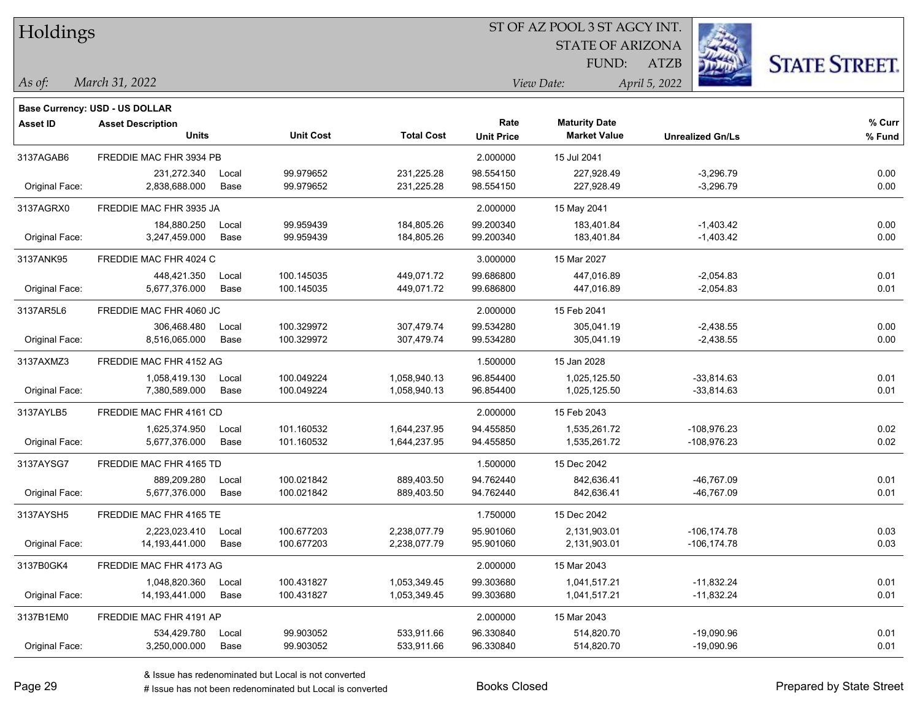| Holdings        |                                       |       |                  |                   | ST OF AZ POOL 3 ST AGCY INT. |                         |                         |                      |  |  |
|-----------------|---------------------------------------|-------|------------------|-------------------|------------------------------|-------------------------|-------------------------|----------------------|--|--|
|                 |                                       |       |                  |                   |                              | <b>STATE OF ARIZONA</b> |                         |                      |  |  |
|                 |                                       |       |                  |                   |                              | FUND:                   | ATZB                    | <b>STATE STREET.</b> |  |  |
| $\vert$ As of:  | March 31, 2022                        |       |                  |                   |                              | View Date:              | April 5, 2022           |                      |  |  |
|                 | <b>Base Currency: USD - US DOLLAR</b> |       |                  |                   |                              |                         |                         |                      |  |  |
| <b>Asset ID</b> | <b>Asset Description</b>              |       |                  |                   | Rate                         | <b>Maturity Date</b>    |                         | % Curr               |  |  |
|                 | <b>Units</b>                          |       | <b>Unit Cost</b> | <b>Total Cost</b> | <b>Unit Price</b>            | <b>Market Value</b>     | <b>Unrealized Gn/Ls</b> | % Fund               |  |  |
| 3137AGAB6       | FREDDIE MAC FHR 3934 PB               |       |                  |                   | 2.000000                     | 15 Jul 2041             |                         |                      |  |  |
|                 | 231,272.340                           | Local | 99.979652        | 231,225.28        | 98.554150                    | 227,928.49              | $-3,296.79$             | 0.00                 |  |  |
| Original Face:  | 2,838,688.000                         | Base  | 99.979652        | 231,225.28        | 98.554150                    | 227,928.49              | $-3,296.79$             | 0.00                 |  |  |
| 3137AGRX0       | FREDDIE MAC FHR 3935 JA               |       |                  |                   | 2.000000                     | 15 May 2041             |                         |                      |  |  |
|                 | 184,880.250                           | Local | 99.959439        | 184,805.26        | 99.200340                    | 183,401.84              | $-1,403.42$             | 0.00                 |  |  |
| Original Face:  | 3,247,459.000                         | Base  | 99.959439        | 184,805.26        | 99.200340                    | 183,401.84              | $-1,403.42$             | 0.00                 |  |  |
| 3137ANK95       | FREDDIE MAC FHR 4024 C                |       |                  |                   | 3.000000                     | 15 Mar 2027             |                         |                      |  |  |
|                 | 448,421.350                           | Local | 100.145035       | 449,071.72        | 99.686800                    | 447.016.89              | $-2,054.83$             | 0.01                 |  |  |
| Original Face:  | 5,677,376.000                         | Base  | 100.145035       | 449,071.72        | 99.686800                    | 447,016.89              | $-2,054.83$             | 0.01                 |  |  |
| 3137AR5L6       | FREDDIE MAC FHR 4060 JC               |       |                  |                   | 2.000000                     | 15 Feb 2041             |                         |                      |  |  |
|                 | 306,468.480                           | Local | 100.329972       | 307,479.74        | 99.534280                    | 305,041.19              | $-2,438.55$             | 0.00                 |  |  |
| Original Face:  | 8,516,065.000                         | Base  | 100.329972       | 307,479.74        | 99.534280                    | 305,041.19              | $-2,438.55$             | 0.00                 |  |  |
| 3137AXMZ3       | FREDDIE MAC FHR 4152 AG               |       |                  |                   | 1.500000                     | 15 Jan 2028             |                         |                      |  |  |
|                 | 1,058,419.130                         | Local | 100.049224       | 1,058,940.13      | 96.854400                    | 1,025,125.50            | $-33,814.63$            | 0.01                 |  |  |
| Original Face:  | 7,380,589.000                         | Base  | 100.049224       | 1,058,940.13      | 96.854400                    | 1,025,125.50            | $-33,814.63$            | 0.01                 |  |  |
| 3137AYLB5       | FREDDIE MAC FHR 4161 CD               |       |                  |                   | 2.000000                     | 15 Feb 2043             |                         |                      |  |  |
|                 | 1,625,374.950                         | Local | 101.160532       | 1,644,237.95      | 94.455850                    | 1,535,261.72            | -108,976.23             | 0.02                 |  |  |
| Original Face:  | 5,677,376.000                         | Base  | 101.160532       | 1,644,237.95      | 94.455850                    | 1,535,261.72            | -108,976.23             | 0.02                 |  |  |
| 3137AYSG7       | FREDDIE MAC FHR 4165 TD               |       |                  |                   | 1.500000                     | 15 Dec 2042             |                         |                      |  |  |
|                 | 889,209.280                           | Local | 100.021842       | 889,403.50        | 94.762440                    | 842,636.41              | -46,767.09              | 0.01                 |  |  |
| Original Face:  | 5,677,376.000                         | Base  | 100.021842       | 889,403.50        | 94.762440                    | 842,636.41              | -46,767.09              | 0.01                 |  |  |
| 3137AYSH5       | FREDDIE MAC FHR 4165 TE               |       |                  |                   | 1.750000                     | 15 Dec 2042             |                         |                      |  |  |
|                 | 2,223,023.410                         | Local | 100.677203       | 2,238,077.79      | 95.901060                    | 2,131,903.01            | $-106, 174.78$          | 0.03                 |  |  |
| Original Face:  | 14,193,441.000                        | Base  | 100.677203       | 2,238,077.79      | 95.901060                    | 2,131,903.01            | $-106, 174.78$          | 0.03                 |  |  |
| 3137B0GK4       | FREDDIE MAC FHR 4173 AG               |       |                  |                   | 2.000000                     | 15 Mar 2043             |                         |                      |  |  |
|                 | 1,048,820.360                         | Local | 100.431827       | 1,053,349.45      | 99.303680                    | 1,041,517.21            | $-11,832.24$            | 0.01                 |  |  |
| Original Face:  | 14,193,441.000                        | Base  | 100.431827       | 1,053,349.45      | 99.303680                    | 1,041,517.21            | $-11,832.24$            | 0.01                 |  |  |
| 3137B1EM0       | FREDDIE MAC FHR 4191 AP               |       |                  |                   | 2.000000                     | 15 Mar 2043             |                         |                      |  |  |
|                 | 534,429.780                           | Local | 99.903052        | 533,911.66        | 96.330840                    | 514,820.70              | $-19,090.96$            | 0.01                 |  |  |
| Original Face:  | 3,250,000.000                         | Base  | 99.903052        | 533,911.66        | 96.330840                    | 514,820.70              | $-19,090.96$            | 0.01                 |  |  |

ST OF AZ POOL 3 ST AGCY INT.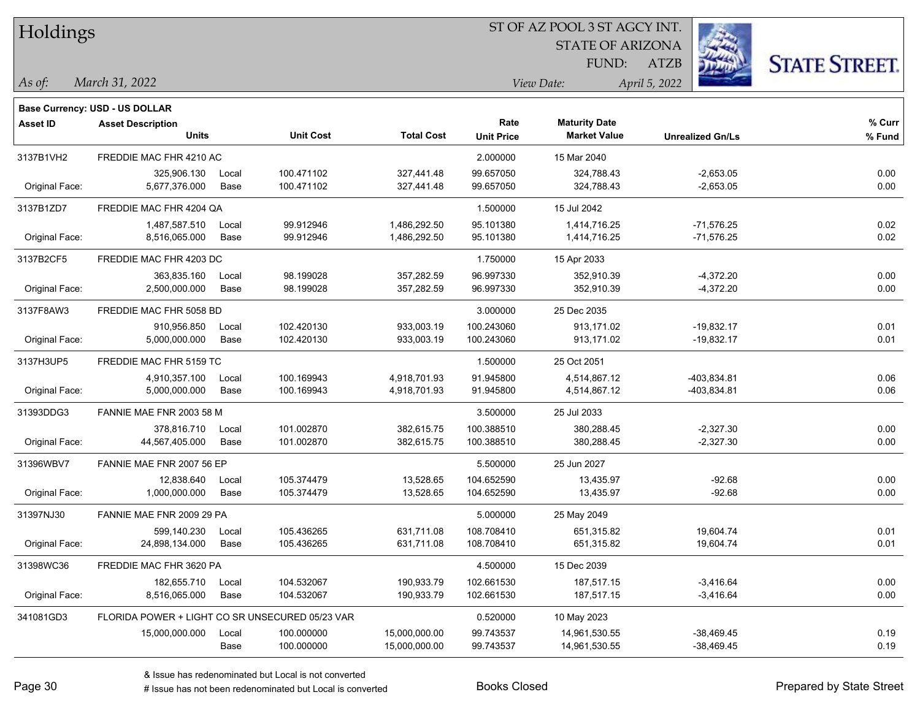| Holdings        |                                                 |       |                  |                   |                   | ST OF AZ POOL 3 ST AGCY INT. |                         |                      |
|-----------------|-------------------------------------------------|-------|------------------|-------------------|-------------------|------------------------------|-------------------------|----------------------|
|                 |                                                 |       |                  |                   |                   | <b>STATE OF ARIZONA</b>      |                         |                      |
|                 |                                                 |       |                  |                   |                   | FUND:                        | <b>ATZB</b>             | <b>STATE STREET.</b> |
| As of:          | March 31, 2022                                  |       |                  |                   |                   | View Date:                   | April 5, 2022           |                      |
|                 | <b>Base Currency: USD - US DOLLAR</b>           |       |                  |                   |                   |                              |                         |                      |
| <b>Asset ID</b> | <b>Asset Description</b>                        |       |                  |                   | Rate              | <b>Maturity Date</b>         |                         | % Curr               |
|                 | <b>Units</b>                                    |       | <b>Unit Cost</b> | <b>Total Cost</b> | <b>Unit Price</b> | <b>Market Value</b>          | <b>Unrealized Gn/Ls</b> | % Fund               |
| 3137B1VH2       | FREDDIE MAC FHR 4210 AC                         |       |                  |                   | 2.000000          | 15 Mar 2040                  |                         |                      |
|                 | 325,906.130                                     | Local | 100.471102       | 327,441.48        | 99.657050         | 324,788.43                   | $-2,653.05$             | 0.00                 |
| Original Face:  | 5,677,376.000                                   | Base  | 100.471102       | 327,441.48        | 99.657050         | 324,788.43                   | $-2,653.05$             | 0.00                 |
| 3137B1ZD7       | FREDDIE MAC FHR 4204 QA                         |       |                  |                   | 1.500000          | 15 Jul 2042                  |                         |                      |
|                 | 1,487,587.510                                   | Local | 99.912946        | 1,486,292.50      | 95.101380         | 1,414,716.25                 | $-71,576.25$            | 0.02                 |
| Original Face:  | 8,516,065.000                                   | Base  | 99.912946        | 1,486,292.50      | 95.101380         | 1,414,716.25                 | $-71,576.25$            | 0.02                 |
| 3137B2CF5       | FREDDIE MAC FHR 4203 DC                         |       |                  |                   | 1.750000          | 15 Apr 2033                  |                         |                      |
|                 | 363,835.160                                     | Local | 98.199028        | 357,282.59        | 96.997330         | 352,910.39                   | $-4,372.20$             | 0.00                 |
| Original Face:  | 2,500,000.000                                   | Base  | 98.199028        | 357,282.59        | 96.997330         | 352,910.39                   | $-4,372.20$             | 0.00                 |
| 3137F8AW3       | FREDDIE MAC FHR 5058 BD                         |       |                  |                   | 3.000000          | 25 Dec 2035                  |                         |                      |
|                 | 910,956.850                                     | Local | 102.420130       | 933,003.19        | 100.243060        | 913,171.02                   | $-19,832.17$            | 0.01                 |
| Original Face:  | 5,000,000.000                                   | Base  | 102.420130       | 933,003.19        | 100.243060        | 913,171.02                   | $-19,832.17$            | 0.01                 |
| 3137H3UP5       | FREDDIE MAC FHR 5159 TC                         |       |                  |                   | 1.500000          | 25 Oct 2051                  |                         |                      |
|                 | 4,910,357.100                                   | Local | 100.169943       | 4,918,701.93      | 91.945800         | 4,514,867.12                 | -403,834.81             | 0.06                 |
| Original Face:  | 5,000,000.000                                   | Base  | 100.169943       | 4,918,701.93      | 91.945800         | 4,514,867.12                 | -403,834.81             | 0.06                 |
| 31393DDG3       | FANNIE MAE FNR 2003 58 M                        |       |                  |                   | 3.500000          | 25 Jul 2033                  |                         |                      |
|                 | 378,816.710                                     | Local | 101.002870       | 382,615.75        | 100.388510        | 380,288.45                   | $-2,327.30$             | 0.00                 |
| Original Face:  | 44,567,405.000                                  | Base  | 101.002870       | 382,615.75        | 100.388510        | 380,288.45                   | $-2,327.30$             | 0.00                 |
| 31396WBV7       | FANNIE MAE FNR 2007 56 EP                       |       |                  |                   | 5.500000          | 25 Jun 2027                  |                         |                      |
|                 | 12,838.640                                      | Local | 105.374479       | 13,528.65         | 104.652590        | 13,435.97                    | $-92.68$                | 0.00                 |
| Original Face:  | 1,000,000.000                                   | Base  | 105.374479       | 13,528.65         | 104.652590        | 13,435.97                    | $-92.68$                | 0.00                 |
| 31397NJ30       | FANNIE MAE FNR 2009 29 PA                       |       |                  |                   | 5.000000          | 25 May 2049                  |                         |                      |
|                 | 599,140.230                                     | Local | 105.436265       | 631,711.08        | 108.708410        | 651,315.82                   | 19,604.74               | 0.01                 |
| Original Face:  | 24,898,134.000                                  | Base  | 105.436265       | 631,711.08        | 108.708410        | 651,315.82                   | 19,604.74               | 0.01                 |
| 31398WC36       | FREDDIE MAC FHR 3620 PA                         |       |                  |                   | 4.500000          | 15 Dec 2039                  |                         |                      |
|                 | 182,655.710                                     | Local | 104.532067       | 190,933.79        | 102.661530        | 187,517.15                   | $-3,416.64$             | 0.00                 |
| Original Face:  | 8,516,065.000                                   | Base  | 104.532067       | 190,933.79        | 102.661530        | 187,517.15                   | $-3,416.64$             | 0.00                 |
| 341081GD3       | FLORIDA POWER + LIGHT CO SR UNSECURED 05/23 VAR |       |                  |                   | 0.520000          | 10 May 2023                  |                         |                      |
|                 | 15,000,000.000                                  | Local | 100.000000       | 15,000,000.00     | 99.743537         | 14,961,530.55                | $-38,469.45$            | 0.19                 |
|                 |                                                 | Base  | 100.000000       | 15,000,000.00     | 99.743537         | 14,961,530.55                | $-38,469.45$            | 0.19                 |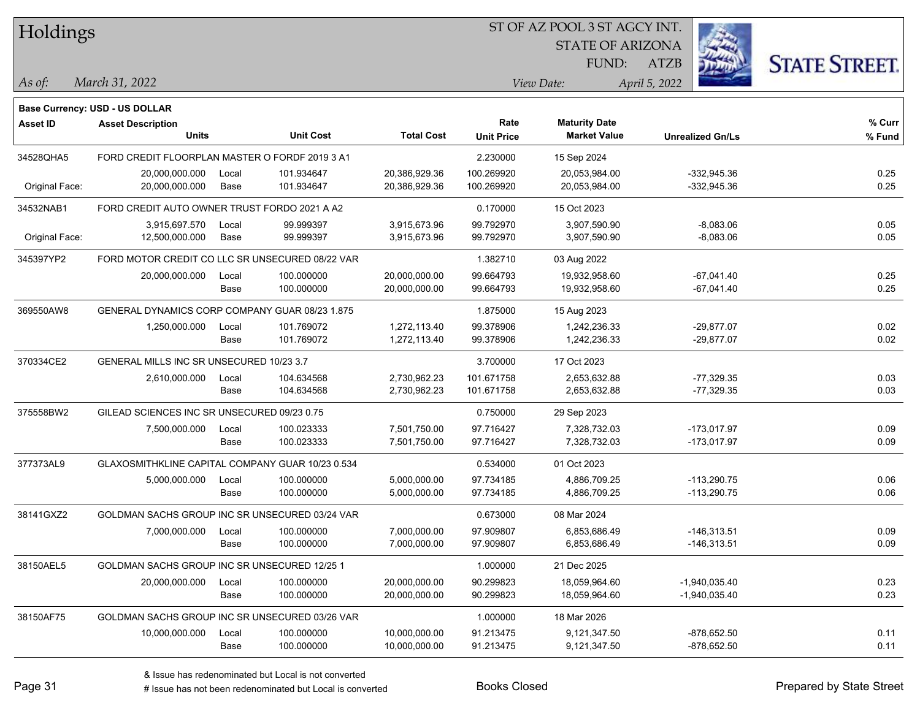| Holdings        |                                                  |       |                  |                   | ST OF AZ POOL 3 ST AGCY INT. |                         |                         |                      |  |  |
|-----------------|--------------------------------------------------|-------|------------------|-------------------|------------------------------|-------------------------|-------------------------|----------------------|--|--|
|                 |                                                  |       |                  |                   |                              | <b>STATE OF ARIZONA</b> |                         |                      |  |  |
|                 |                                                  |       |                  |                   |                              | FUND:                   | <b>ATZB</b>             | <b>STATE STREET.</b> |  |  |
| As of:          | March 31, 2022                                   |       |                  |                   |                              | View Date:              | April 5, 2022           |                      |  |  |
|                 | Base Currency: USD - US DOLLAR                   |       |                  |                   |                              |                         |                         |                      |  |  |
| <b>Asset ID</b> | <b>Asset Description</b>                         |       |                  |                   | Rate                         | <b>Maturity Date</b>    |                         | % Curr               |  |  |
|                 | Units                                            |       | <b>Unit Cost</b> | <b>Total Cost</b> | <b>Unit Price</b>            | <b>Market Value</b>     | <b>Unrealized Gn/Ls</b> | % Fund               |  |  |
| 34528QHA5       | FORD CREDIT FLOORPLAN MASTER O FORDF 2019 3 A1   |       |                  |                   | 2.230000                     | 15 Sep 2024             |                         |                      |  |  |
|                 | 20,000,000.000                                   | Local | 101.934647       | 20,386,929.36     | 100.269920                   | 20,053,984.00           | -332,945.36             | 0.25                 |  |  |
| Original Face:  | 20,000,000.000                                   | Base  | 101.934647       | 20,386,929.36     | 100.269920                   | 20,053,984.00           | $-332,945.36$           | 0.25                 |  |  |
| 34532NAB1       | FORD CREDIT AUTO OWNER TRUST FORDO 2021 A A2     |       |                  |                   | 0.170000                     | 15 Oct 2023             |                         |                      |  |  |
|                 | 3,915,697.570                                    | Local | 99.999397        | 3,915,673.96      | 99.792970                    | 3,907,590.90            | $-8,083.06$             | 0.05                 |  |  |
| Original Face:  | 12,500,000.000                                   | Base  | 99.999397        | 3,915,673.96      | 99.792970                    | 3,907,590.90            | $-8,083.06$             | 0.05                 |  |  |
| 345397YP2       | FORD MOTOR CREDIT CO LLC SR UNSECURED 08/22 VAR  |       |                  |                   | 1.382710                     | 03 Aug 2022             |                         |                      |  |  |
|                 | 20,000,000.000                                   | Local | 100.000000       | 20,000,000.00     | 99.664793                    | 19,932,958.60           | $-67,041.40$            | 0.25                 |  |  |
|                 |                                                  | Base  | 100.000000       | 20,000,000.00     | 99.664793                    | 19,932,958.60           | $-67,041.40$            | 0.25                 |  |  |
| 369550AW8       | GENERAL DYNAMICS CORP COMPANY GUAR 08/23 1.875   |       |                  |                   | 1.875000                     | 15 Aug 2023             |                         |                      |  |  |
|                 | 1,250,000.000                                    | Local | 101.769072       | 1,272,113.40      | 99.378906                    | 1,242,236.33            | $-29,877.07$            | 0.02                 |  |  |
|                 |                                                  | Base  | 101.769072       | 1,272,113.40      | 99.378906                    | 1,242,236.33            | $-29,877.07$            | 0.02                 |  |  |
| 370334CE2       | GENERAL MILLS INC SR UNSECURED 10/23 3.7         |       |                  |                   | 3.700000                     | 17 Oct 2023             |                         |                      |  |  |
|                 | 2,610,000.000                                    | Local | 104.634568       | 2,730,962.23      | 101.671758                   | 2,653,632.88            | $-77,329.35$            | 0.03                 |  |  |
|                 |                                                  | Base  | 104.634568       | 2,730,962.23      | 101.671758                   | 2,653,632.88            | $-77,329.35$            | 0.03                 |  |  |
| 375558BW2       | GILEAD SCIENCES INC SR UNSECURED 09/23 0.75      |       |                  |                   | 0.750000                     | 29 Sep 2023             |                         |                      |  |  |
|                 | 7,500,000.000                                    | Local | 100.023333       | 7,501,750.00      | 97.716427                    | 7,328,732.03            | $-173,017.97$           | 0.09                 |  |  |
|                 |                                                  | Base  | 100.023333       | 7,501,750.00      | 97.716427                    | 7,328,732.03            | $-173,017.97$           | 0.09                 |  |  |
| 377373AL9       | GLAXOSMITHKLINE CAPITAL COMPANY GUAR 10/23 0.534 |       |                  |                   | 0.534000                     | 01 Oct 2023             |                         |                      |  |  |
|                 | 5,000,000.000                                    | Local | 100.000000       | 5,000,000.00      | 97.734185                    | 4,886,709.25            | $-113,290.75$           | 0.06                 |  |  |
|                 |                                                  | Base  | 100.000000       | 5,000,000.00      | 97.734185                    | 4,886,709.25            | $-113,290.75$           | 0.06                 |  |  |
| 38141GXZ2       | GOLDMAN SACHS GROUP INC SR UNSECURED 03/24 VAR   |       |                  |                   | 0.673000                     | 08 Mar 2024             |                         |                      |  |  |
|                 | 7,000,000.000                                    | Local | 100.000000       | 7,000,000.00      | 97.909807                    | 6,853,686.49            | $-146,313.51$           | 0.09                 |  |  |
|                 |                                                  | Base  | 100.000000       | 7,000,000.00      | 97.909807                    | 6,853,686.49            | $-146,313.51$           | 0.09                 |  |  |
| 38150AEL5       | GOLDMAN SACHS GROUP INC SR UNSECURED 12/25 1     |       |                  |                   | 1.000000                     | 21 Dec 2025             |                         |                      |  |  |
|                 | 20,000,000.000                                   | Local | 100.000000       | 20,000,000.00     | 90.299823                    | 18,059,964.60           | $-1,940,035.40$         | 0.23                 |  |  |
|                 |                                                  | Base  | 100.000000       | 20,000,000.00     | 90.299823                    | 18,059,964.60           | -1,940,035.40           | 0.23                 |  |  |
| 38150AF75       | GOLDMAN SACHS GROUP INC SR UNSECURED 03/26 VAR   |       |                  |                   | 1.000000                     | 18 Mar 2026             |                         |                      |  |  |
|                 | 10,000,000.000                                   | Local | 100.000000       | 10,000,000.00     | 91.213475                    | 9,121,347.50            | $-878,652.50$           | 0.11                 |  |  |
|                 |                                                  | Base  | 100.000000       | 10,000,000.00     | 91.213475                    | 9,121,347.50            | $-878,652.50$           | 0.11                 |  |  |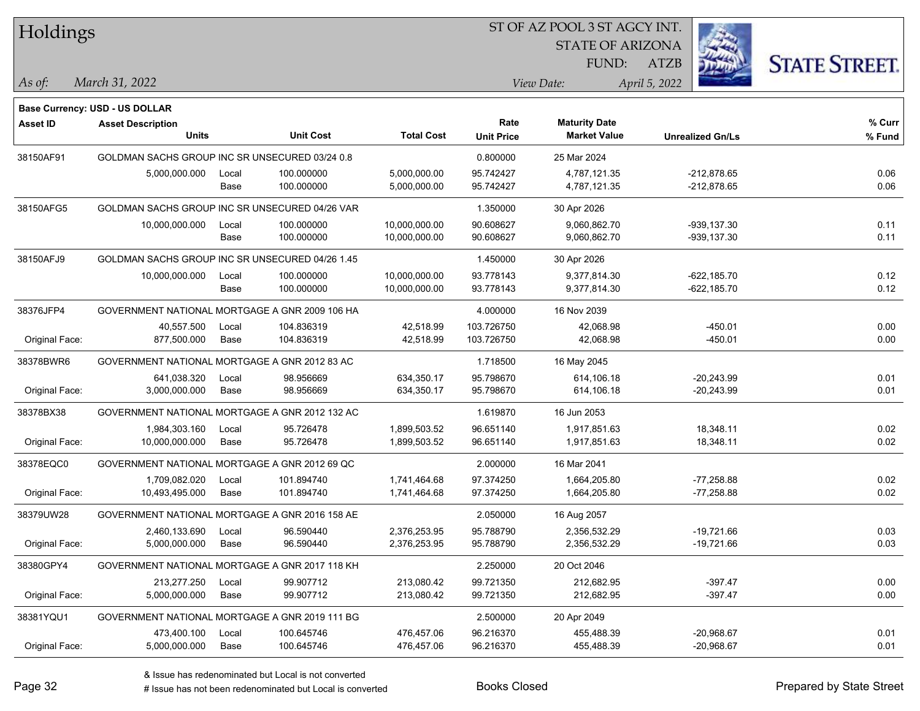| Holdings        |                                                 |       |                  |                   | 51 OF AZ POOL 3 51 AGCY INT. |                         |                         |                      |  |  |
|-----------------|-------------------------------------------------|-------|------------------|-------------------|------------------------------|-------------------------|-------------------------|----------------------|--|--|
|                 |                                                 |       |                  |                   |                              | <b>STATE OF ARIZONA</b> |                         |                      |  |  |
|                 |                                                 |       |                  |                   |                              | FUND:                   | ATZB                    | <b>STATE STREET.</b> |  |  |
|                 | March 31, 2022                                  |       |                  |                   |                              | View Date:              |                         |                      |  |  |
| As of:          |                                                 |       |                  |                   |                              |                         | April 5, 2022           |                      |  |  |
|                 | Base Currency: USD - US DOLLAR                  |       |                  |                   |                              |                         |                         |                      |  |  |
| <b>Asset ID</b> | <b>Asset Description</b>                        |       |                  |                   | Rate                         | <b>Maturity Date</b>    |                         | % Curr               |  |  |
|                 | <b>Units</b>                                    |       | <b>Unit Cost</b> | <b>Total Cost</b> | <b>Unit Price</b>            | <b>Market Value</b>     | <b>Unrealized Gn/Ls</b> | % Fund               |  |  |
| 38150AF91       | GOLDMAN SACHS GROUP INC SR UNSECURED 03/24 0.8  |       |                  |                   | 0.800000                     | 25 Mar 2024             |                         |                      |  |  |
|                 | 5,000,000.000                                   | Local | 100.000000       | 5,000,000.00      | 95.742427                    | 4,787,121.35            | $-212,878.65$           | 0.06                 |  |  |
|                 |                                                 | Base  | 100.000000       | 5,000,000.00      | 95.742427                    | 4,787,121.35            | $-212,878.65$           | 0.06                 |  |  |
| 38150AFG5       | GOLDMAN SACHS GROUP INC SR UNSECURED 04/26 VAR  |       |                  |                   | 1.350000                     | 30 Apr 2026             |                         |                      |  |  |
|                 | 10,000,000.000                                  | Local | 100.000000       | 10,000,000.00     | 90.608627                    | 9,060,862.70            | -939,137.30             | 0.11                 |  |  |
|                 |                                                 | Base  | 100.000000       | 10,000,000.00     | 90.608627                    | 9,060,862.70            | $-939, 137.30$          | 0.11                 |  |  |
| 38150AFJ9       | GOLDMAN SACHS GROUP INC SR UNSECURED 04/26 1.45 |       |                  |                   | 1.450000                     | 30 Apr 2026             |                         |                      |  |  |
|                 | 10,000,000.000                                  | Local | 100.000000       | 10,000,000.00     | 93.778143                    | 9,377,814.30            | $-622, 185.70$          | 0.12                 |  |  |
|                 |                                                 | Base  | 100.000000       | 10,000,000.00     | 93.778143                    | 9,377,814.30            | $-622, 185.70$          | 0.12                 |  |  |
| 38376JFP4       | GOVERNMENT NATIONAL MORTGAGE A GNR 2009 106 HA  |       |                  |                   | 4.000000                     | 16 Nov 2039             |                         |                      |  |  |
|                 | 40,557.500                                      | Local | 104.836319       | 42,518.99         | 103.726750                   | 42,068.98               | $-450.01$               | 0.00                 |  |  |
| Original Face:  | 877,500.000                                     | Base  | 104.836319       | 42,518.99         | 103.726750                   | 42,068.98               | $-450.01$               | 0.00                 |  |  |
| 38378BWR6       | GOVERNMENT NATIONAL MORTGAGE A GNR 2012 83 AC   |       |                  |                   | 1.718500                     | 16 May 2045             |                         |                      |  |  |
|                 | 641,038.320                                     | Local | 98.956669        | 634,350.17        | 95.798670                    | 614,106.18              | $-20,243.99$            | 0.01                 |  |  |
| Original Face:  | 3,000,000.000                                   | Base  | 98.956669        | 634,350.17        | 95.798670                    | 614,106.18              | $-20,243.99$            | 0.01                 |  |  |
| 38378BX38       | GOVERNMENT NATIONAL MORTGAGE A GNR 2012 132 AC  |       |                  |                   | 1.619870                     | 16 Jun 2053             |                         |                      |  |  |
|                 | 1,984,303.160                                   | Local | 95.726478        | 1,899,503.52      | 96.651140                    | 1,917,851.63            | 18,348.11               | 0.02                 |  |  |
| Original Face:  | 10,000,000.000                                  | Base  | 95.726478        | 1,899,503.52      | 96.651140                    | 1,917,851.63            | 18,348.11               | 0.02                 |  |  |
| 38378EQC0       | GOVERNMENT NATIONAL MORTGAGE A GNR 2012 69 QC   |       |                  |                   | 2.000000                     | 16 Mar 2041             |                         |                      |  |  |
|                 | 1,709,082.020                                   | Local | 101.894740       | 1,741,464.68      | 97.374250                    | 1,664,205.80            | $-77,258.88$            | 0.02                 |  |  |
| Original Face:  | 10,493,495.000                                  | Base  | 101.894740       | 1,741,464.68      | 97.374250                    | 1,664,205.80            | $-77,258.88$            | 0.02                 |  |  |
| 38379UW28       | GOVERNMENT NATIONAL MORTGAGE A GNR 2016 158 AE  |       |                  |                   | 2.050000                     | 16 Aug 2057             |                         |                      |  |  |
|                 | 2,460,133.690                                   | Local | 96.590440        | 2,376,253.95      | 95.788790                    | 2,356,532.29            | $-19,721.66$            | 0.03                 |  |  |
| Original Face:  | 5,000,000.000                                   | Base  | 96.590440        | 2,376,253.95      | 95.788790                    | 2,356,532.29            | $-19,721.66$            | 0.03                 |  |  |
| 38380GPY4       | GOVERNMENT NATIONAL MORTGAGE A GNR 2017 118 KH  |       |                  |                   | 2.250000                     | 20 Oct 2046             |                         |                      |  |  |
|                 | 213,277.250                                     | Local | 99.907712        | 213,080.42        | 99.721350                    | 212,682.95              | $-397.47$               | 0.00                 |  |  |
| Original Face:  | 5,000,000.000                                   | Base  | 99.907712        | 213,080.42        | 99.721350                    | 212,682.95              | $-397.47$               | 0.00                 |  |  |
| 38381YQU1       | GOVERNMENT NATIONAL MORTGAGE A GNR 2019 111 BG  |       |                  |                   | 2.500000                     | 20 Apr 2049             |                         |                      |  |  |
|                 | 473,400.100                                     | Local | 100.645746       | 476,457.06        | 96.216370                    | 455,488.39              | $-20,968.67$            | 0.01                 |  |  |
| Original Face:  | 5,000,000.000                                   | Base  | 100.645746       | 476,457.06        | 96.216370                    | 455,488.39              | $-20,968.67$            | 0.01                 |  |  |
|                 |                                                 |       |                  |                   |                              |                         |                         |                      |  |  |

 $\overline{S}$  of  $\overline{S}$  of  $\overline{S}$   $\overline{S}$   $\overline{S}$   $\overline{S}$   $\overline{S}$   $\overline{S}$   $\overline{S}$   $\overline{S}$   $\overline{S}$   $\overline{S}$   $\overline{S}$   $\overline{S}$   $\overline{S}$   $\overline{S}$   $\overline{S}$   $\overline{S}$   $\overline{S}$   $\overline{S}$   $\overline{S}$   $\overline{S}$   $\overline{S}$   $\overline{S}$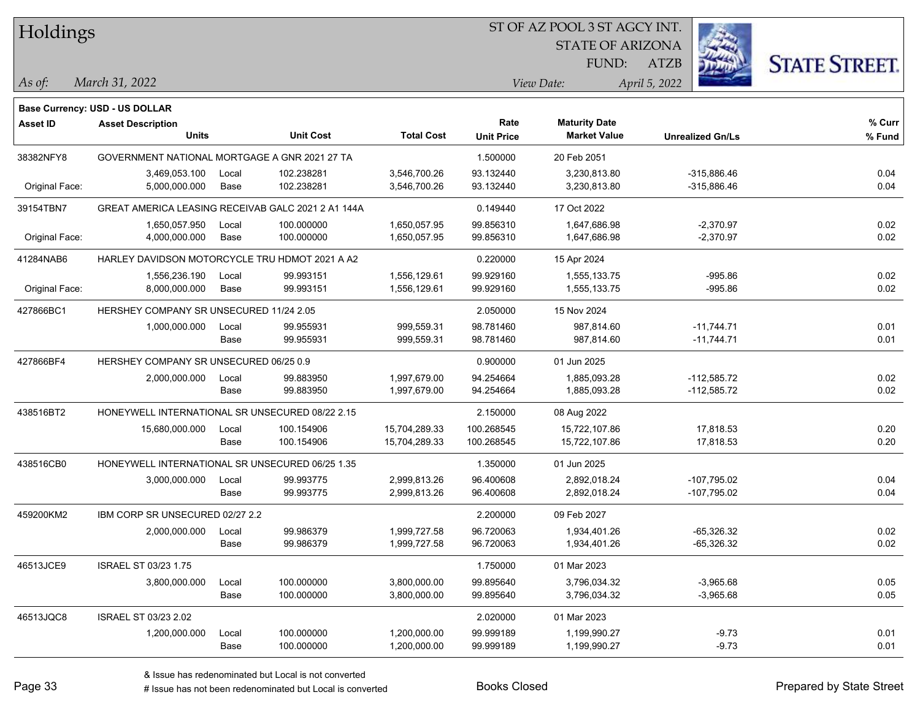| Holdings        |                                                    |       |                  |                   | ST OF AZ POOL 3 ST AGCY INT. |                         |                         |                      |  |  |
|-----------------|----------------------------------------------------|-------|------------------|-------------------|------------------------------|-------------------------|-------------------------|----------------------|--|--|
|                 |                                                    |       |                  |                   |                              | <b>STATE OF ARIZONA</b> |                         |                      |  |  |
|                 |                                                    |       |                  |                   |                              | FUND:                   | <b>ATZB</b>             | <b>STATE STREET.</b> |  |  |
| As of:          | March 31, 2022                                     |       |                  |                   |                              | View Date:              | April 5, 2022           |                      |  |  |
|                 | Base Currency: USD - US DOLLAR                     |       |                  |                   |                              |                         |                         |                      |  |  |
| <b>Asset ID</b> | <b>Asset Description</b>                           |       |                  |                   | Rate                         | <b>Maturity Date</b>    |                         | % Curr               |  |  |
|                 | <b>Units</b>                                       |       | <b>Unit Cost</b> | <b>Total Cost</b> | <b>Unit Price</b>            | <b>Market Value</b>     | <b>Unrealized Gn/Ls</b> | % Fund               |  |  |
| 38382NFY8       | GOVERNMENT NATIONAL MORTGAGE A GNR 2021 27 TA      |       |                  |                   | 1.500000                     | 20 Feb 2051             |                         |                      |  |  |
|                 | 3,469,053.100                                      | Local | 102.238281       | 3,546,700.26      | 93.132440                    | 3,230,813.80            | $-315,886.46$           | 0.04                 |  |  |
| Original Face:  | 5,000,000.000                                      | Base  | 102.238281       | 3,546,700.26      | 93.132440                    | 3,230,813.80            | $-315,886.46$           | 0.04                 |  |  |
| 39154TBN7       | GREAT AMERICA LEASING RECEIVAB GALC 2021 2 A1 144A |       |                  |                   | 0.149440                     | 17 Oct 2022             |                         |                      |  |  |
|                 | 1,650,057.950                                      | Local | 100.000000       | 1,650,057.95      | 99.856310                    | 1,647,686.98            | $-2,370.97$             | 0.02                 |  |  |
| Original Face:  | 4,000,000.000                                      | Base  | 100.000000       | 1,650,057.95      | 99.856310                    | 1,647,686.98            | $-2,370.97$             | 0.02                 |  |  |
| 41284NAB6       | HARLEY DAVIDSON MOTORCYCLE TRU HDMOT 2021 A A2     |       |                  |                   | 0.220000                     | 15 Apr 2024             |                         |                      |  |  |
|                 | 1,556,236.190                                      | Local | 99.993151        | 1,556,129.61      | 99.929160                    | 1,555,133.75            | $-995.86$               | 0.02                 |  |  |
| Original Face:  | 8,000,000.000                                      | Base  | 99.993151        | 1,556,129.61      | 99.929160                    | 1,555,133.75            | $-995.86$               | 0.02                 |  |  |
| 427866BC1       | HERSHEY COMPANY SR UNSECURED 11/24 2.05            |       |                  |                   | 2.050000                     | 15 Nov 2024             |                         |                      |  |  |
|                 | 1,000,000.000                                      | Local | 99.955931        | 999,559.31        | 98.781460                    | 987,814.60              | $-11,744.71$            | 0.01                 |  |  |
|                 |                                                    | Base  | 99.955931        | 999,559.31        | 98.781460                    | 987,814.60              | $-11,744.71$            | 0.01                 |  |  |
| 427866BF4       | HERSHEY COMPANY SR UNSECURED 06/25 0.9             |       |                  |                   | 0.900000                     | 01 Jun 2025             |                         |                      |  |  |
|                 | 2,000,000.000                                      | Local | 99.883950        | 1,997,679.00      | 94.254664                    | 1,885,093.28            | $-112,585.72$           | 0.02                 |  |  |
|                 |                                                    | Base  | 99.883950        | 1,997,679.00      | 94.254664                    | 1,885,093.28            | $-112,585.72$           | 0.02                 |  |  |
| 438516BT2       | HONEYWELL INTERNATIONAL SR UNSECURED 08/22 2.15    |       |                  |                   | 2.150000                     | 08 Aug 2022             |                         |                      |  |  |
|                 | 15,680,000.000                                     | Local | 100.154906       | 15,704,289.33     | 100.268545                   | 15,722,107.86           | 17,818.53               | 0.20                 |  |  |
|                 |                                                    | Base  | 100.154906       | 15,704,289.33     | 100.268545                   | 15,722,107.86           | 17,818.53               | 0.20                 |  |  |
| 438516CB0       | HONEYWELL INTERNATIONAL SR UNSECURED 06/25 1.35    |       |                  |                   | 1.350000                     | 01 Jun 2025             |                         |                      |  |  |
|                 | 3,000,000.000                                      | Local | 99.993775        | 2,999,813.26      | 96.400608                    | 2,892,018.24            | $-107,795.02$           | 0.04                 |  |  |
|                 |                                                    | Base  | 99.993775        | 2,999,813.26      | 96.400608                    | 2,892,018.24            | -107,795.02             | 0.04                 |  |  |
| 459200KM2       | IBM CORP SR UNSECURED 02/27 2.2                    |       |                  |                   | 2.200000                     | 09 Feb 2027             |                         |                      |  |  |
|                 | 2,000,000.000                                      | Local | 99.986379        | 1,999,727.58      | 96.720063                    | 1,934,401.26            | $-65,326.32$            | 0.02                 |  |  |
|                 |                                                    | Base  | 99.986379        | 1,999,727.58      | 96.720063                    | 1,934,401.26            | $-65,326.32$            | 0.02                 |  |  |
| 46513JCE9       | ISRAEL ST 03/23 1.75                               |       |                  |                   | 1.750000                     | 01 Mar 2023             |                         |                      |  |  |
|                 | 3,800,000.000                                      | Local | 100.000000       | 3,800,000.00      | 99.895640                    | 3,796,034.32            | $-3,965.68$             | 0.05                 |  |  |
|                 |                                                    | Base  | 100.000000       | 3,800,000.00      | 99.895640                    | 3,796,034.32            | $-3,965.68$             | 0.05                 |  |  |
| 46513JQC8       | ISRAEL ST 03/23 2.02                               |       |                  |                   | 2.020000                     | 01 Mar 2023             |                         |                      |  |  |
|                 | 1,200,000.000                                      | Local | 100.000000       | 1,200,000.00      | 99.999189                    | 1,199,990.27            | $-9.73$                 | 0.01                 |  |  |
|                 |                                                    | Base  | 100.000000       | 1,200,000.00      | 99.999189                    | 1,199,990.27            | $-9.73$                 | 0.01                 |  |  |

÷.

 $\overline{\phantom{0}}$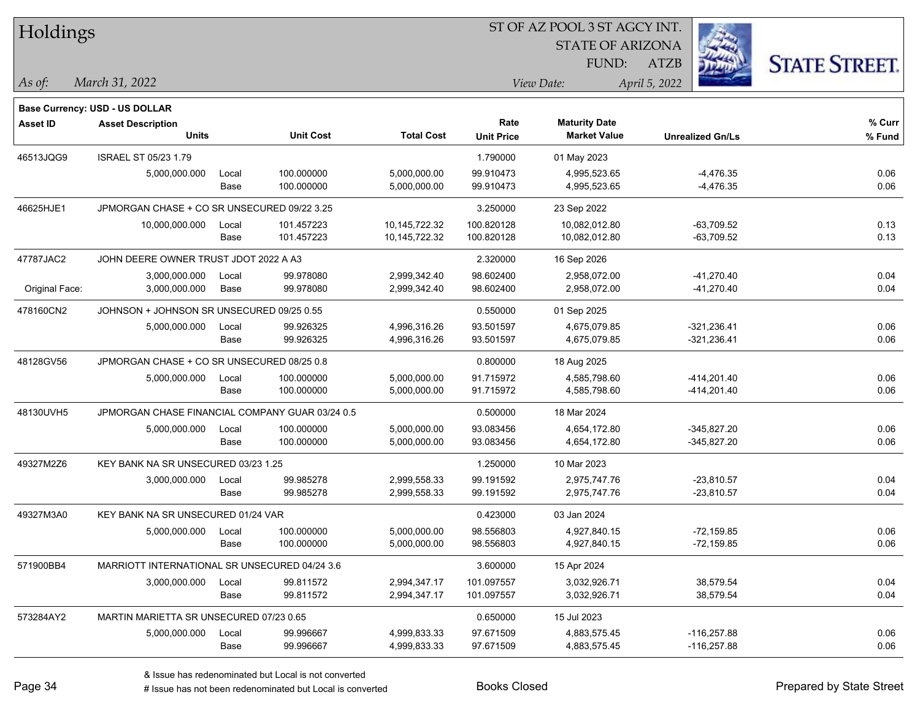| Holdings        |                                                 |       |                  |                   | ST OF AZ POOL 3 ST AGCY INT. |                                             |                         |                      |  |
|-----------------|-------------------------------------------------|-------|------------------|-------------------|------------------------------|---------------------------------------------|-------------------------|----------------------|--|
|                 |                                                 |       |                  |                   |                              | <b>STATE OF ARIZONA</b>                     |                         |                      |  |
|                 |                                                 |       |                  |                   |                              | FUND:                                       | <b>ATZB</b>             | <b>STATE STREET.</b> |  |
| As of:          | March 31, 2022                                  |       |                  |                   |                              | View Date:                                  | April 5, 2022           |                      |  |
|                 |                                                 |       |                  |                   |                              |                                             |                         |                      |  |
|                 | <b>Base Currency: USD - US DOLLAR</b>           |       |                  |                   |                              |                                             |                         |                      |  |
| <b>Asset ID</b> | <b>Asset Description</b><br><b>Units</b>        |       | <b>Unit Cost</b> | <b>Total Cost</b> | Rate<br><b>Unit Price</b>    | <b>Maturity Date</b><br><b>Market Value</b> | <b>Unrealized Gn/Ls</b> | % Curr<br>% Fund     |  |
|                 |                                                 |       |                  |                   |                              |                                             |                         |                      |  |
| 46513JQG9       | <b>ISRAEL ST 05/23 1.79</b>                     |       |                  |                   | 1.790000                     | 01 May 2023                                 |                         |                      |  |
|                 | 5,000,000.000                                   | Local | 100.000000       | 5,000,000.00      | 99.910473                    | 4,995,523.65                                | $-4,476.35$             | 0.06                 |  |
|                 |                                                 | Base  | 100.000000       | 5,000,000.00      | 99.910473                    | 4,995,523.65                                | $-4,476.35$             | 0.06                 |  |
| 46625HJE1       | JPMORGAN CHASE + CO SR UNSECURED 09/22 3.25     |       |                  |                   | 3.250000                     | 23 Sep 2022                                 |                         |                      |  |
|                 | 10,000,000.000                                  | Local | 101.457223       | 10,145,722.32     | 100.820128                   | 10,082,012.80                               | -63,709.52              | 0.13                 |  |
|                 |                                                 | Base  | 101.457223       | 10,145,722.32     | 100.820128                   | 10,082,012.80                               | $-63,709.52$            | 0.13                 |  |
| 47787JAC2       | JOHN DEERE OWNER TRUST JDOT 2022 A A3           |       |                  |                   | 2.320000                     | 16 Sep 2026                                 |                         |                      |  |
|                 | 3,000,000.000                                   | Local | 99.978080        | 2,999,342.40      | 98.602400                    | 2,958,072.00                                | $-41,270.40$            | 0.04                 |  |
| Original Face:  | 3,000,000.000                                   | Base  | 99.978080        | 2,999,342.40      | 98.602400                    | 2,958,072.00                                | $-41,270.40$            | 0.04                 |  |
| 478160CN2       | JOHNSON + JOHNSON SR UNSECURED 09/25 0.55       |       |                  |                   | 0.550000                     | 01 Sep 2025                                 |                         |                      |  |
|                 | 5,000,000.000                                   | Local | 99.926325        | 4,996,316.26      | 93.501597                    | 4,675,079.85                                | $-321,236.41$           | 0.06                 |  |
|                 |                                                 | Base  | 99.926325        | 4,996,316.26      | 93.501597                    | 4,675,079.85                                | $-321,236.41$           | 0.06                 |  |
| 48128GV56       | JPMORGAN CHASE + CO SR UNSECURED 08/25 0.8      |       |                  |                   | 0.800000                     | 18 Aug 2025                                 |                         |                      |  |
|                 | 5,000,000.000                                   | Local | 100.000000       | 5,000,000.00      | 91.715972                    | 4,585,798.60                                | -414,201.40             | 0.06                 |  |
|                 |                                                 | Base  | 100.000000       | 5,000,000.00      | 91.715972                    | 4,585,798.60                                | -414,201.40             | 0.06                 |  |
| 48130UVH5       | JPMORGAN CHASE FINANCIAL COMPANY GUAR 03/24 0.5 |       |                  |                   | 0.500000                     | 18 Mar 2024                                 |                         |                      |  |
|                 | 5,000,000.000                                   | Local | 100.000000       | 5,000,000.00      | 93.083456                    | 4,654,172.80                                | $-345,827.20$           | 0.06                 |  |
|                 |                                                 | Base  | 100.000000       | 5,000,000.00      | 93.083456                    | 4,654,172.80                                | $-345,827.20$           | 0.06                 |  |
| 49327M2Z6       | KEY BANK NA SR UNSECURED 03/23 1.25             |       |                  |                   | 1.250000                     | 10 Mar 2023                                 |                         |                      |  |
|                 | 3,000,000.000                                   | Local | 99.985278        | 2,999,558.33      | 99.191592                    | 2,975,747.76                                | $-23,810.57$            | 0.04                 |  |
|                 |                                                 | Base  | 99.985278        | 2,999,558.33      | 99.191592                    | 2,975,747.76                                | $-23,810.57$            | 0.04                 |  |
| 49327M3A0       | KEY BANK NA SR UNSECURED 01/24 VAR              |       |                  |                   | 0.423000                     | 03 Jan 2024                                 |                         |                      |  |
|                 | 5,000,000.000                                   | Local | 100.000000       | 5,000,000.00      | 98.556803                    | 4,927,840.15                                | $-72,159.85$            | 0.06                 |  |
|                 |                                                 | Base  | 100.000000       | 5,000,000.00      | 98.556803                    | 4,927,840.15                                | $-72,159.85$            | 0.06                 |  |
| 571900BB4       | MARRIOTT INTERNATIONAL SR UNSECURED 04/24 3.6   |       |                  |                   | 3.600000                     | 15 Apr 2024                                 |                         |                      |  |
|                 | 3,000,000.000                                   | Local | 99.811572        | 2,994,347.17      | 101.097557                   | 3,032,926.71                                | 38,579.54               | 0.04                 |  |
|                 |                                                 | Base  | 99.811572        | 2,994,347.17      | 101.097557                   | 3,032,926.71                                | 38,579.54               | 0.04                 |  |
| 573284AY2       | MARTIN MARIETTA SR UNSECURED 07/23 0.65         |       |                  |                   | 0.650000                     | 15 Jul 2023                                 |                         |                      |  |
|                 | 5,000,000.000                                   | Local | 99.996667        | 4,999,833.33      | 97.671509                    | 4,883,575.45                                | $-116,257.88$           | 0.06                 |  |
|                 |                                                 | Base  | 99.996667        | 4,999,833.33      | 97.671509                    | 4,883,575.45                                | $-116,257.88$           | 0.06                 |  |
|                 |                                                 |       |                  |                   |                              |                                             |                         |                      |  |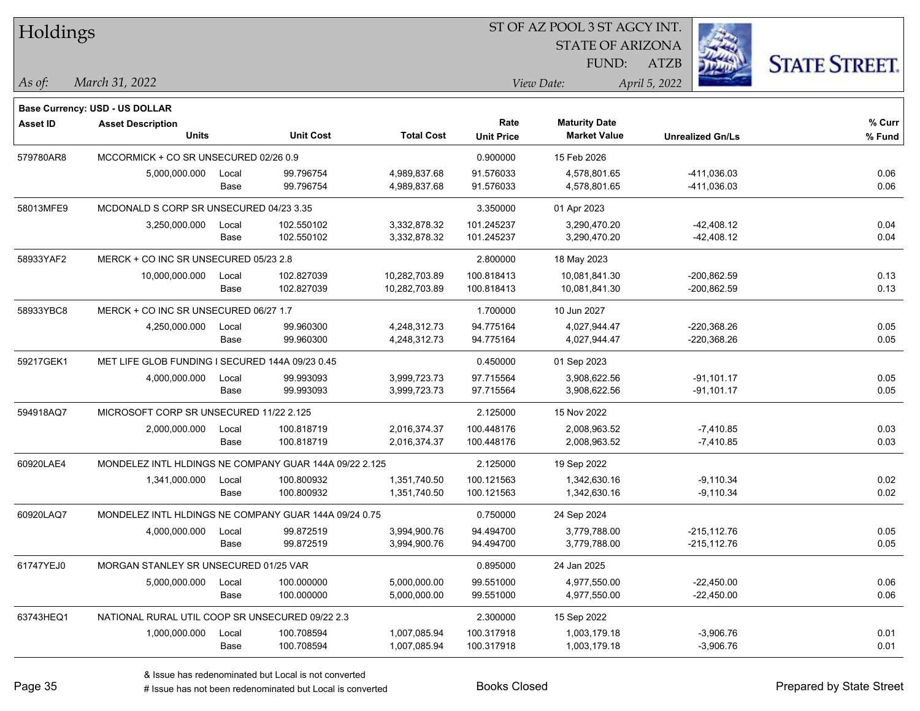| Holdings        |                                                        |       |                  |                   | ST OF AZ POOL 3 ST AGCY INT. |                         |                         |                      |  |  |
|-----------------|--------------------------------------------------------|-------|------------------|-------------------|------------------------------|-------------------------|-------------------------|----------------------|--|--|
|                 |                                                        |       |                  |                   |                              | <b>STATE OF ARIZONA</b> |                         |                      |  |  |
|                 |                                                        |       |                  |                   |                              | FUND:                   | ATZB                    | <b>STATE STREET.</b> |  |  |
| As of:          | March 31, 2022                                         |       |                  |                   |                              | View Date:              | April 5, 2022           |                      |  |  |
|                 |                                                        |       |                  |                   |                              |                         |                         |                      |  |  |
|                 | <b>Base Currency: USD - US DOLLAR</b>                  |       |                  |                   |                              |                         |                         |                      |  |  |
| <b>Asset ID</b> | <b>Asset Description</b>                               |       |                  |                   | Rate                         | <b>Maturity Date</b>    |                         | % Curr               |  |  |
|                 | Units                                                  |       | <b>Unit Cost</b> | <b>Total Cost</b> | <b>Unit Price</b>            | <b>Market Value</b>     | <b>Unrealized Gn/Ls</b> | % Fund               |  |  |
| 579780AR8       | MCCORMICK + CO SR UNSECURED 02/26 0.9                  |       |                  |                   | 0.900000                     | 15 Feb 2026             |                         |                      |  |  |
|                 | 5,000,000.000                                          | Local | 99.796754        | 4,989,837.68      | 91.576033                    | 4,578,801.65            | -411,036.03             | 0.06                 |  |  |
|                 |                                                        | Base  | 99.796754        | 4,989,837.68      | 91.576033                    | 4,578,801.65            | -411,036.03             | 0.06                 |  |  |
| 58013MFE9       | MCDONALD S CORP SR UNSECURED 04/23 3.35                |       |                  |                   | 3.350000                     | 01 Apr 2023             |                         |                      |  |  |
|                 | 3,250,000.000                                          | Local | 102.550102       | 3,332,878.32      | 101.245237                   | 3,290,470.20            | -42,408.12              | 0.04                 |  |  |
|                 |                                                        | Base  | 102.550102       | 3,332,878.32      | 101.245237                   | 3,290,470.20            | -42,408.12              | 0.04                 |  |  |
| 58933YAF2       | MERCK + CO INC SR UNSECURED 05/23 2.8                  |       |                  |                   | 2.800000                     | 18 May 2023             |                         |                      |  |  |
|                 | 10,000,000.000                                         | Local | 102.827039       | 10,282,703.89     | 100.818413                   | 10,081,841.30           | $-200,862.59$           | 0.13                 |  |  |
|                 |                                                        | Base  | 102.827039       | 10,282,703.89     | 100.818413                   | 10,081,841.30           | $-200,862.59$           | 0.13                 |  |  |
| 58933YBC8       | MERCK + CO INC SR UNSECURED 06/27 1.7                  |       |                  |                   | 1.700000                     | 10 Jun 2027             |                         |                      |  |  |
|                 | 4,250,000.000                                          | Local | 99.960300        | 4,248,312.73      | 94.775164                    | 4,027,944.47            | $-220,368.26$           | 0.05                 |  |  |
|                 |                                                        | Base  | 99.960300        | 4,248,312.73      | 94.775164                    | 4,027,944.47            | $-220,368.26$           | 0.05                 |  |  |
| 59217GEK1       | MET LIFE GLOB FUNDING I SECURED 144A 09/23 0.45        |       |                  |                   | 0.450000                     | 01 Sep 2023             |                         |                      |  |  |
|                 | 4,000,000.000                                          | Local | 99.993093        | 3,999,723.73      | 97.715564                    | 3,908,622.56            | $-91,101.17$            | 0.05                 |  |  |
|                 |                                                        | Base  | 99.993093        | 3,999,723.73      | 97.715564                    | 3,908,622.56            | $-91,101.17$            | 0.05                 |  |  |
| 594918AQ7       | MICROSOFT CORP SR UNSECURED 11/22 2.125                |       |                  |                   | 2.125000                     | 15 Nov 2022             |                         |                      |  |  |
|                 | 2,000,000.000                                          | Local | 100.818719       | 2,016,374.37      | 100.448176                   | 2,008,963.52            | $-7,410.85$             | 0.03                 |  |  |
|                 |                                                        | Base  | 100.818719       | 2,016,374.37      | 100.448176                   | 2,008,963.52            | $-7,410.85$             | 0.03                 |  |  |
| 60920LAE4       | MONDELEZ INTL HLDINGS NE COMPANY GUAR 144A 09/22 2.125 |       |                  |                   | 2.125000                     | 19 Sep 2022             |                         |                      |  |  |
|                 | 1,341,000.000                                          | Local | 100.800932       | 1,351,740.50      | 100.121563                   | 1,342,630.16            | $-9,110.34$             | 0.02                 |  |  |
|                 |                                                        | Base  | 100.800932       | 1,351,740.50      | 100.121563                   | 1,342,630.16            | $-9,110.34$             | 0.02                 |  |  |
| 60920LAQ7       | MONDELEZ INTL HLDINGS NE COMPANY GUAR 144A 09/24 0.75  |       |                  |                   | 0.750000                     | 24 Sep 2024             |                         |                      |  |  |
|                 | 4,000,000.000                                          | Local | 99.872519        | 3,994,900.76      | 94.494700                    | 3,779,788.00            | -215,112.76             | 0.05                 |  |  |
|                 |                                                        | Base  | 99.872519        | 3,994,900.76      | 94.494700                    | 3,779,788.00            | $-215, 112.76$          | 0.05                 |  |  |
| 61747YEJ0       | MORGAN STANLEY SR UNSECURED 01/25 VAR                  |       |                  |                   | 0.895000                     | 24 Jan 2025             |                         |                      |  |  |
|                 | 5,000,000.000                                          | Local | 100.000000       | 5,000,000.00      | 99.551000                    | 4,977,550.00            | $-22,450.00$            | 0.06                 |  |  |
|                 |                                                        | Base  | 100.000000       | 5,000,000.00      | 99.551000                    | 4,977,550.00            | $-22,450.00$            | 0.06                 |  |  |
| 63743HEQ1       | NATIONAL RURAL UTIL COOP SR UNSECURED 09/22 2.3        |       |                  |                   | 2.300000                     | 15 Sep 2022             |                         |                      |  |  |
|                 | 1,000,000.000                                          | Local | 100.708594       | 1,007,085.94      | 100.317918                   | 1,003,179.18            | $-3,906.76$             | 0.01                 |  |  |
|                 |                                                        | Base  | 100.708594       | 1,007,085.94      | 100.317918                   | 1,003,179.18            | $-3,906.76$             | 0.01                 |  |  |
|                 |                                                        |       |                  |                   |                              |                         |                         |                      |  |  |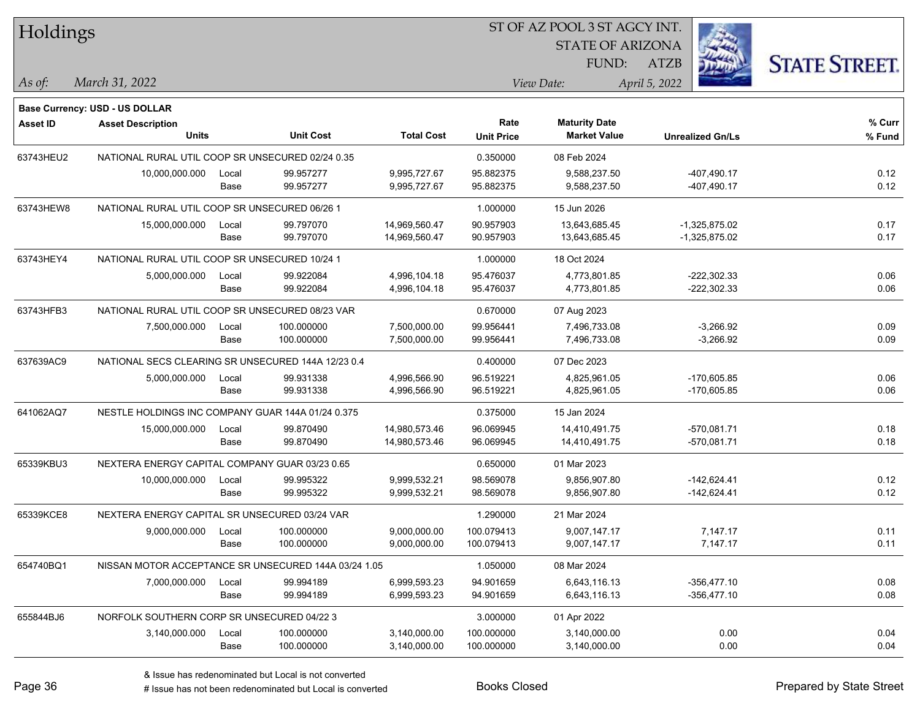| Holdings        |                                                    |       |                                                      |                   | ST OF AZ POOL 3 ST AGCY INT. |                         |                         |                      |  |  |
|-----------------|----------------------------------------------------|-------|------------------------------------------------------|-------------------|------------------------------|-------------------------|-------------------------|----------------------|--|--|
|                 |                                                    |       |                                                      |                   |                              | <b>STATE OF ARIZONA</b> |                         |                      |  |  |
|                 |                                                    |       |                                                      |                   |                              | <b>FUND:</b>            | <b>ATZB</b>             | <b>STATE STREET.</b> |  |  |
| As of:          | March 31, 2022                                     |       |                                                      |                   |                              | View Date:              | April 5, 2022           |                      |  |  |
|                 | Base Currency: USD - US DOLLAR                     |       |                                                      |                   |                              |                         |                         |                      |  |  |
| <b>Asset ID</b> | <b>Asset Description</b>                           |       |                                                      |                   | Rate                         | <b>Maturity Date</b>    |                         | % Curr               |  |  |
|                 | <b>Units</b>                                       |       | <b>Unit Cost</b>                                     | <b>Total Cost</b> | <b>Unit Price</b>            | <b>Market Value</b>     | <b>Unrealized Gn/Ls</b> | % Fund               |  |  |
| 63743HEU2       | NATIONAL RURAL UTIL COOP SR UNSECURED 02/24 0.35   |       |                                                      |                   | 0.350000                     | 08 Feb 2024             |                         |                      |  |  |
|                 | 10,000,000.000                                     | Local | 99.957277                                            | 9,995,727.67      | 95.882375                    | 9,588,237.50            | $-407,490.17$           | 0.12                 |  |  |
|                 |                                                    | Base  | 99.957277                                            | 9,995,727.67      | 95.882375                    | 9,588,237.50            | $-407,490.17$           | 0.12                 |  |  |
| 63743HEW8       | NATIONAL RURAL UTIL COOP SR UNSECURED 06/26 1      |       |                                                      |                   | 1.000000                     | 15 Jun 2026             |                         |                      |  |  |
|                 | 15,000,000.000                                     | Local | 99.797070                                            | 14,969,560.47     | 90.957903                    | 13,643,685.45           | $-1,325,875.02$         | 0.17                 |  |  |
|                 |                                                    | Base  | 99.797070                                            | 14,969,560.47     | 90.957903                    | 13,643,685.45           | $-1,325,875.02$         | 0.17                 |  |  |
| 63743HEY4       | NATIONAL RURAL UTIL COOP SR UNSECURED 10/24 1      |       |                                                      |                   | 1.000000                     | 18 Oct 2024             |                         |                      |  |  |
|                 | 5,000,000.000                                      | Local | 99.922084                                            | 4,996,104.18      | 95.476037                    | 4,773,801.85            | $-222,302.33$           | 0.06                 |  |  |
|                 |                                                    | Base  | 99.922084                                            | 4,996,104.18      | 95.476037                    | 4,773,801.85            | $-222,302.33$           | 0.06                 |  |  |
| 63743HFB3       | NATIONAL RURAL UTIL COOP SR UNSECURED 08/23 VAR    |       |                                                      |                   | 0.670000                     | 07 Aug 2023             |                         |                      |  |  |
|                 | 7,500,000.000                                      | Local | 100.000000                                           | 7,500,000.00      | 99.956441                    | 7,496,733.08            | $-3,266.92$             | 0.09                 |  |  |
|                 |                                                    | Base  | 100.000000                                           | 7,500,000.00      | 99.956441                    | 7,496,733.08            | $-3,266.92$             | 0.09                 |  |  |
| 637639AC9       | NATIONAL SECS CLEARING SR UNSECURED 144A 12/23 0.4 |       |                                                      |                   | 0.400000                     | 07 Dec 2023             |                         |                      |  |  |
|                 | 5,000,000.000                                      | Local | 99.931338                                            | 4,996,566.90      | 96.519221                    | 4,825,961.05            | $-170,605.85$           | 0.06                 |  |  |
|                 |                                                    | Base  | 99.931338                                            | 4,996,566.90      | 96.519221                    | 4,825,961.05            | $-170,605.85$           | 0.06                 |  |  |
| 641062AQ7       | NESTLE HOLDINGS INC COMPANY GUAR 144A 01/24 0.375  |       |                                                      |                   | 0.375000                     | 15 Jan 2024             |                         |                      |  |  |
|                 | 15,000,000.000                                     | Local | 99.870490                                            | 14,980,573.46     | 96.069945                    | 14,410,491.75           | -570,081.71             | 0.18                 |  |  |
|                 |                                                    | Base  | 99.870490                                            | 14,980,573.46     | 96.069945                    | 14,410,491.75           | -570,081.71             | 0.18                 |  |  |
| 65339KBU3       | NEXTERA ENERGY CAPITAL COMPANY GUAR 03/23 0.65     |       |                                                      |                   | 0.650000                     | 01 Mar 2023             |                         |                      |  |  |
|                 | 10,000,000.000                                     | Local | 99.995322                                            | 9,999,532.21      | 98.569078                    | 9,856,907.80            | $-142,624.41$           | 0.12                 |  |  |
|                 |                                                    | Base  | 99.995322                                            | 9,999,532.21      | 98.569078                    | 9,856,907.80            | $-142,624.41$           | 0.12                 |  |  |
| 65339KCE8       | NEXTERA ENERGY CAPITAL SR UNSECURED 03/24 VAR      |       |                                                      |                   | 1.290000                     | 21 Mar 2024             |                         |                      |  |  |
|                 | 9,000,000.000                                      | Local | 100.000000                                           | 9,000,000.00      | 100.079413                   | 9,007,147.17            | 7,147.17                | 0.11                 |  |  |
|                 |                                                    | Base  | 100.000000                                           | 9,000,000.00      | 100.079413                   | 9,007,147.17            | 7,147.17                | 0.11                 |  |  |
| 654740BQ1       |                                                    |       | NISSAN MOTOR ACCEPTANCE SR UNSECURED 144A 03/24 1.05 |                   | 1.050000                     | 08 Mar 2024             |                         |                      |  |  |
|                 | 7,000,000.000                                      | Local | 99.994189                                            | 6,999,593.23      | 94.901659                    | 6,643,116.13            | $-356,477.10$           | 0.08                 |  |  |
|                 |                                                    | Base  | 99.994189                                            | 6,999,593.23      | 94.901659                    | 6,643,116.13            | $-356,477.10$           | 0.08                 |  |  |
| 655844BJ6       | NORFOLK SOUTHERN CORP SR UNSECURED 04/22 3         |       |                                                      |                   | 3.000000                     | 01 Apr 2022             |                         |                      |  |  |
|                 | 3,140,000.000                                      | Local | 100.000000                                           | 3,140,000.00      | 100.000000                   | 3,140,000.00            | 0.00                    | 0.04                 |  |  |
|                 |                                                    | Base  | 100.000000                                           | 3,140,000.00      | 100.000000                   | 3,140,000.00            | 0.00                    | 0.04                 |  |  |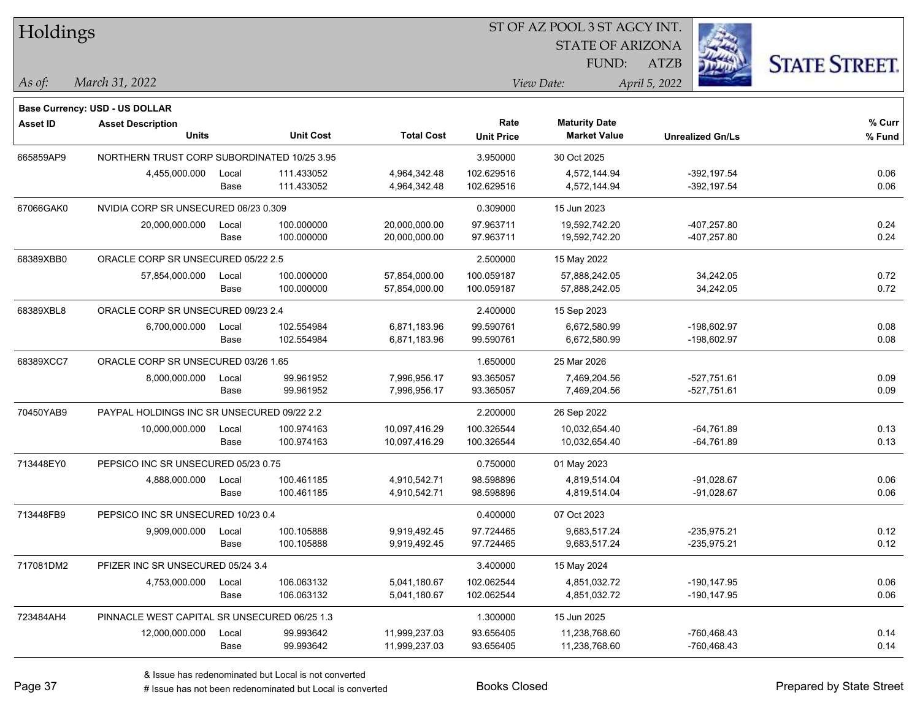| <b>STATE OF ARIZONA</b><br><b>STATE STREET</b><br>FUND:<br>ATZB<br>March 31, 2022<br>April 5, 2022<br>As of:<br>View Date:<br>Base Currency: USD - US DOLLAR<br><b>Maturity Date</b><br>% Curr<br>Rate<br><b>Asset ID</b><br><b>Asset Description</b><br><b>Units</b><br><b>Unit Cost</b><br><b>Total Cost</b><br><b>Market Value</b><br><b>Unit Price</b><br>% Fund<br><b>Unrealized Gn/Ls</b><br>665859AP9<br>NORTHERN TRUST CORP SUBORDINATED 10/25 3.95<br>3.950000<br>30 Oct 2025<br>102.629516<br>111.433052<br>4,964,342.48<br>4,572,144.94<br>$-392, 197.54$<br>0.06<br>4,455,000.000<br>Local<br>111.433052<br>0.06<br>4,964,342.48<br>102.629516<br>4,572,144.94<br>$-392, 197.54$<br>Base<br>67066GAK0<br>NVIDIA CORP SR UNSECURED 06/23 0.309<br>0.309000<br>15 Jun 2023<br>100.000000<br>97.963711<br>-407,257.80<br>0.24<br>20,000,000.00<br>19,592,742.20<br>20,000,000.000<br>Local<br>100.000000<br>97.963711<br>0.24<br>20,000,000.00<br>19,592,742.20<br>-407,257.80<br>Base<br>68389XBB0<br>ORACLE CORP SR UNSECURED 05/22 2.5<br>2.500000<br>15 May 2022<br>100.000000<br>0.72<br>57,854,000.00<br>100.059187<br>34,242.05<br>57,854,000.000<br>57,888,242.05<br>Local<br>0.72<br>100.000000<br>100.059187<br>57,888,242.05<br>34,242.05<br>Base<br>57,854,000.00<br>68389XBL8<br>ORACLE CORP SR UNSECURED 09/23 2.4<br>2.400000<br>15 Sep 2023<br>102.554984<br>99.590761<br>0.08<br>6,871,183.96<br>6,672,580.99<br>-198,602.97<br>6,700,000.000<br>Local<br>0.08<br>102.554984<br>6,871,183.96<br>99.590761<br>6,672,580.99<br>-198,602.97<br>Base<br>68389XCC7<br>ORACLE CORP SR UNSECURED 03/26 1.65<br>1.650000<br>25 Mar 2026<br>99.961952<br>93.365057<br>$-527,751.61$<br>0.09<br>8,000,000.000<br>7,996,956.17<br>7,469,204.56<br>Local<br>93.365057<br>0.09<br>99.961952<br>7,996,956.17<br>7,469,204.56<br>$-527,751.61$<br>Base<br>70450YAB9<br>PAYPAL HOLDINGS INC SR UNSECURED 09/22 2.2<br>2.200000<br>26 Sep 2022<br>0.13<br>100.974163<br>10,097,416.29<br>100.326544<br>10,032,654.40<br>$-64,761.89$<br>10,000,000.000<br>Local<br>0.13<br>100.974163<br>100.326544<br>10,032,654.40<br>Base<br>10,097,416.29<br>-64,761.89<br>713448EY0<br>PEPSICO INC SR UNSECURED 05/23 0.75<br>0.750000<br>01 May 2023<br>98.598896<br>0.06<br>100.461185<br>4,910,542.71<br>4,819,514.04<br>$-91,028.67$<br>4,888,000.000<br>Local<br>0.06<br>100.461185<br>4,910,542.71<br>98.598896<br>4,819,514.04<br>$-91,028.67$<br>Base<br>PEPSICO INC SR UNSECURED 10/23 0.4<br>713448FB9<br>0.400000<br>07 Oct 2023<br>97.724465<br>$-235,975.21$<br>0.12<br>9,909,000.000<br>100.105888<br>9,919,492.45<br>9,683,517.24<br>Local<br>0.12<br>100.105888<br>$-235,975.21$<br>9,919,492.45<br>97.724465<br>9,683,517.24<br>Base<br>717081DM2<br>PFIZER INC SR UNSECURED 05/24 3.4<br>3.400000<br>15 May 2024<br>106.063132<br>0.06<br>5,041,180.67<br>102.062544<br>4,851,032.72<br>$-190, 147.95$<br>4,753,000.000<br>Local<br>0.06<br>106.063132<br>4,851,032.72<br>-190,147.95<br>Base<br>5,041,180.67<br>102.062544<br>723484AH4<br>PINNACLE WEST CAPITAL SR UNSECURED 06/25 1.3<br>1.300000<br>15 Jun 2025<br>99.993642<br>11,999,237.03<br>93.656405<br>11,238,768.60<br>-760,468.43<br>0.14<br>12,000,000.000<br>Local<br>0.14<br>99.993642<br>11,999,237.03<br>93.656405<br>11,238,768.60<br>-760,468.43<br>Base | Holdings |  |  | 51 OF AZ POOL 351 AGCY INT. |  |  |  |  |  |
|----------------------------------------------------------------------------------------------------------------------------------------------------------------------------------------------------------------------------------------------------------------------------------------------------------------------------------------------------------------------------------------------------------------------------------------------------------------------------------------------------------------------------------------------------------------------------------------------------------------------------------------------------------------------------------------------------------------------------------------------------------------------------------------------------------------------------------------------------------------------------------------------------------------------------------------------------------------------------------------------------------------------------------------------------------------------------------------------------------------------------------------------------------------------------------------------------------------------------------------------------------------------------------------------------------------------------------------------------------------------------------------------------------------------------------------------------------------------------------------------------------------------------------------------------------------------------------------------------------------------------------------------------------------------------------------------------------------------------------------------------------------------------------------------------------------------------------------------------------------------------------------------------------------------------------------------------------------------------------------------------------------------------------------------------------------------------------------------------------------------------------------------------------------------------------------------------------------------------------------------------------------------------------------------------------------------------------------------------------------------------------------------------------------------------------------------------------------------------------------------------------------------------------------------------------------------------------------------------------------------------------------------------------------------------------------------------------------------------------------------------------------------------------------------------------------------------------------------------------------------------------------------------------------------------------------------------------------------------------------------------------------------------------------------------------------------------------------------------------------------------------------------------------------------------------------------------------------------------------------------------------------------------------------------------------------------------------------------|----------|--|--|-----------------------------|--|--|--|--|--|
|                                                                                                                                                                                                                                                                                                                                                                                                                                                                                                                                                                                                                                                                                                                                                                                                                                                                                                                                                                                                                                                                                                                                                                                                                                                                                                                                                                                                                                                                                                                                                                                                                                                                                                                                                                                                                                                                                                                                                                                                                                                                                                                                                                                                                                                                                                                                                                                                                                                                                                                                                                                                                                                                                                                                                                                                                                                                                                                                                                                                                                                                                                                                                                                                                                                                                                                                              |          |  |  |                             |  |  |  |  |  |
|                                                                                                                                                                                                                                                                                                                                                                                                                                                                                                                                                                                                                                                                                                                                                                                                                                                                                                                                                                                                                                                                                                                                                                                                                                                                                                                                                                                                                                                                                                                                                                                                                                                                                                                                                                                                                                                                                                                                                                                                                                                                                                                                                                                                                                                                                                                                                                                                                                                                                                                                                                                                                                                                                                                                                                                                                                                                                                                                                                                                                                                                                                                                                                                                                                                                                                                                              |          |  |  |                             |  |  |  |  |  |
|                                                                                                                                                                                                                                                                                                                                                                                                                                                                                                                                                                                                                                                                                                                                                                                                                                                                                                                                                                                                                                                                                                                                                                                                                                                                                                                                                                                                                                                                                                                                                                                                                                                                                                                                                                                                                                                                                                                                                                                                                                                                                                                                                                                                                                                                                                                                                                                                                                                                                                                                                                                                                                                                                                                                                                                                                                                                                                                                                                                                                                                                                                                                                                                                                                                                                                                                              |          |  |  |                             |  |  |  |  |  |
|                                                                                                                                                                                                                                                                                                                                                                                                                                                                                                                                                                                                                                                                                                                                                                                                                                                                                                                                                                                                                                                                                                                                                                                                                                                                                                                                                                                                                                                                                                                                                                                                                                                                                                                                                                                                                                                                                                                                                                                                                                                                                                                                                                                                                                                                                                                                                                                                                                                                                                                                                                                                                                                                                                                                                                                                                                                                                                                                                                                                                                                                                                                                                                                                                                                                                                                                              |          |  |  |                             |  |  |  |  |  |
|                                                                                                                                                                                                                                                                                                                                                                                                                                                                                                                                                                                                                                                                                                                                                                                                                                                                                                                                                                                                                                                                                                                                                                                                                                                                                                                                                                                                                                                                                                                                                                                                                                                                                                                                                                                                                                                                                                                                                                                                                                                                                                                                                                                                                                                                                                                                                                                                                                                                                                                                                                                                                                                                                                                                                                                                                                                                                                                                                                                                                                                                                                                                                                                                                                                                                                                                              |          |  |  |                             |  |  |  |  |  |
|                                                                                                                                                                                                                                                                                                                                                                                                                                                                                                                                                                                                                                                                                                                                                                                                                                                                                                                                                                                                                                                                                                                                                                                                                                                                                                                                                                                                                                                                                                                                                                                                                                                                                                                                                                                                                                                                                                                                                                                                                                                                                                                                                                                                                                                                                                                                                                                                                                                                                                                                                                                                                                                                                                                                                                                                                                                                                                                                                                                                                                                                                                                                                                                                                                                                                                                                              |          |  |  |                             |  |  |  |  |  |
|                                                                                                                                                                                                                                                                                                                                                                                                                                                                                                                                                                                                                                                                                                                                                                                                                                                                                                                                                                                                                                                                                                                                                                                                                                                                                                                                                                                                                                                                                                                                                                                                                                                                                                                                                                                                                                                                                                                                                                                                                                                                                                                                                                                                                                                                                                                                                                                                                                                                                                                                                                                                                                                                                                                                                                                                                                                                                                                                                                                                                                                                                                                                                                                                                                                                                                                                              |          |  |  |                             |  |  |  |  |  |
|                                                                                                                                                                                                                                                                                                                                                                                                                                                                                                                                                                                                                                                                                                                                                                                                                                                                                                                                                                                                                                                                                                                                                                                                                                                                                                                                                                                                                                                                                                                                                                                                                                                                                                                                                                                                                                                                                                                                                                                                                                                                                                                                                                                                                                                                                                                                                                                                                                                                                                                                                                                                                                                                                                                                                                                                                                                                                                                                                                                                                                                                                                                                                                                                                                                                                                                                              |          |  |  |                             |  |  |  |  |  |
|                                                                                                                                                                                                                                                                                                                                                                                                                                                                                                                                                                                                                                                                                                                                                                                                                                                                                                                                                                                                                                                                                                                                                                                                                                                                                                                                                                                                                                                                                                                                                                                                                                                                                                                                                                                                                                                                                                                                                                                                                                                                                                                                                                                                                                                                                                                                                                                                                                                                                                                                                                                                                                                                                                                                                                                                                                                                                                                                                                                                                                                                                                                                                                                                                                                                                                                                              |          |  |  |                             |  |  |  |  |  |
|                                                                                                                                                                                                                                                                                                                                                                                                                                                                                                                                                                                                                                                                                                                                                                                                                                                                                                                                                                                                                                                                                                                                                                                                                                                                                                                                                                                                                                                                                                                                                                                                                                                                                                                                                                                                                                                                                                                                                                                                                                                                                                                                                                                                                                                                                                                                                                                                                                                                                                                                                                                                                                                                                                                                                                                                                                                                                                                                                                                                                                                                                                                                                                                                                                                                                                                                              |          |  |  |                             |  |  |  |  |  |
|                                                                                                                                                                                                                                                                                                                                                                                                                                                                                                                                                                                                                                                                                                                                                                                                                                                                                                                                                                                                                                                                                                                                                                                                                                                                                                                                                                                                                                                                                                                                                                                                                                                                                                                                                                                                                                                                                                                                                                                                                                                                                                                                                                                                                                                                                                                                                                                                                                                                                                                                                                                                                                                                                                                                                                                                                                                                                                                                                                                                                                                                                                                                                                                                                                                                                                                                              |          |  |  |                             |  |  |  |  |  |
|                                                                                                                                                                                                                                                                                                                                                                                                                                                                                                                                                                                                                                                                                                                                                                                                                                                                                                                                                                                                                                                                                                                                                                                                                                                                                                                                                                                                                                                                                                                                                                                                                                                                                                                                                                                                                                                                                                                                                                                                                                                                                                                                                                                                                                                                                                                                                                                                                                                                                                                                                                                                                                                                                                                                                                                                                                                                                                                                                                                                                                                                                                                                                                                                                                                                                                                                              |          |  |  |                             |  |  |  |  |  |
|                                                                                                                                                                                                                                                                                                                                                                                                                                                                                                                                                                                                                                                                                                                                                                                                                                                                                                                                                                                                                                                                                                                                                                                                                                                                                                                                                                                                                                                                                                                                                                                                                                                                                                                                                                                                                                                                                                                                                                                                                                                                                                                                                                                                                                                                                                                                                                                                                                                                                                                                                                                                                                                                                                                                                                                                                                                                                                                                                                                                                                                                                                                                                                                                                                                                                                                                              |          |  |  |                             |  |  |  |  |  |
|                                                                                                                                                                                                                                                                                                                                                                                                                                                                                                                                                                                                                                                                                                                                                                                                                                                                                                                                                                                                                                                                                                                                                                                                                                                                                                                                                                                                                                                                                                                                                                                                                                                                                                                                                                                                                                                                                                                                                                                                                                                                                                                                                                                                                                                                                                                                                                                                                                                                                                                                                                                                                                                                                                                                                                                                                                                                                                                                                                                                                                                                                                                                                                                                                                                                                                                                              |          |  |  |                             |  |  |  |  |  |
|                                                                                                                                                                                                                                                                                                                                                                                                                                                                                                                                                                                                                                                                                                                                                                                                                                                                                                                                                                                                                                                                                                                                                                                                                                                                                                                                                                                                                                                                                                                                                                                                                                                                                                                                                                                                                                                                                                                                                                                                                                                                                                                                                                                                                                                                                                                                                                                                                                                                                                                                                                                                                                                                                                                                                                                                                                                                                                                                                                                                                                                                                                                                                                                                                                                                                                                                              |          |  |  |                             |  |  |  |  |  |
|                                                                                                                                                                                                                                                                                                                                                                                                                                                                                                                                                                                                                                                                                                                                                                                                                                                                                                                                                                                                                                                                                                                                                                                                                                                                                                                                                                                                                                                                                                                                                                                                                                                                                                                                                                                                                                                                                                                                                                                                                                                                                                                                                                                                                                                                                                                                                                                                                                                                                                                                                                                                                                                                                                                                                                                                                                                                                                                                                                                                                                                                                                                                                                                                                                                                                                                                              |          |  |  |                             |  |  |  |  |  |
|                                                                                                                                                                                                                                                                                                                                                                                                                                                                                                                                                                                                                                                                                                                                                                                                                                                                                                                                                                                                                                                                                                                                                                                                                                                                                                                                                                                                                                                                                                                                                                                                                                                                                                                                                                                                                                                                                                                                                                                                                                                                                                                                                                                                                                                                                                                                                                                                                                                                                                                                                                                                                                                                                                                                                                                                                                                                                                                                                                                                                                                                                                                                                                                                                                                                                                                                              |          |  |  |                             |  |  |  |  |  |
|                                                                                                                                                                                                                                                                                                                                                                                                                                                                                                                                                                                                                                                                                                                                                                                                                                                                                                                                                                                                                                                                                                                                                                                                                                                                                                                                                                                                                                                                                                                                                                                                                                                                                                                                                                                                                                                                                                                                                                                                                                                                                                                                                                                                                                                                                                                                                                                                                                                                                                                                                                                                                                                                                                                                                                                                                                                                                                                                                                                                                                                                                                                                                                                                                                                                                                                                              |          |  |  |                             |  |  |  |  |  |
|                                                                                                                                                                                                                                                                                                                                                                                                                                                                                                                                                                                                                                                                                                                                                                                                                                                                                                                                                                                                                                                                                                                                                                                                                                                                                                                                                                                                                                                                                                                                                                                                                                                                                                                                                                                                                                                                                                                                                                                                                                                                                                                                                                                                                                                                                                                                                                                                                                                                                                                                                                                                                                                                                                                                                                                                                                                                                                                                                                                                                                                                                                                                                                                                                                                                                                                                              |          |  |  |                             |  |  |  |  |  |
|                                                                                                                                                                                                                                                                                                                                                                                                                                                                                                                                                                                                                                                                                                                                                                                                                                                                                                                                                                                                                                                                                                                                                                                                                                                                                                                                                                                                                                                                                                                                                                                                                                                                                                                                                                                                                                                                                                                                                                                                                                                                                                                                                                                                                                                                                                                                                                                                                                                                                                                                                                                                                                                                                                                                                                                                                                                                                                                                                                                                                                                                                                                                                                                                                                                                                                                                              |          |  |  |                             |  |  |  |  |  |
|                                                                                                                                                                                                                                                                                                                                                                                                                                                                                                                                                                                                                                                                                                                                                                                                                                                                                                                                                                                                                                                                                                                                                                                                                                                                                                                                                                                                                                                                                                                                                                                                                                                                                                                                                                                                                                                                                                                                                                                                                                                                                                                                                                                                                                                                                                                                                                                                                                                                                                                                                                                                                                                                                                                                                                                                                                                                                                                                                                                                                                                                                                                                                                                                                                                                                                                                              |          |  |  |                             |  |  |  |  |  |
|                                                                                                                                                                                                                                                                                                                                                                                                                                                                                                                                                                                                                                                                                                                                                                                                                                                                                                                                                                                                                                                                                                                                                                                                                                                                                                                                                                                                                                                                                                                                                                                                                                                                                                                                                                                                                                                                                                                                                                                                                                                                                                                                                                                                                                                                                                                                                                                                                                                                                                                                                                                                                                                                                                                                                                                                                                                                                                                                                                                                                                                                                                                                                                                                                                                                                                                                              |          |  |  |                             |  |  |  |  |  |
|                                                                                                                                                                                                                                                                                                                                                                                                                                                                                                                                                                                                                                                                                                                                                                                                                                                                                                                                                                                                                                                                                                                                                                                                                                                                                                                                                                                                                                                                                                                                                                                                                                                                                                                                                                                                                                                                                                                                                                                                                                                                                                                                                                                                                                                                                                                                                                                                                                                                                                                                                                                                                                                                                                                                                                                                                                                                                                                                                                                                                                                                                                                                                                                                                                                                                                                                              |          |  |  |                             |  |  |  |  |  |
|                                                                                                                                                                                                                                                                                                                                                                                                                                                                                                                                                                                                                                                                                                                                                                                                                                                                                                                                                                                                                                                                                                                                                                                                                                                                                                                                                                                                                                                                                                                                                                                                                                                                                                                                                                                                                                                                                                                                                                                                                                                                                                                                                                                                                                                                                                                                                                                                                                                                                                                                                                                                                                                                                                                                                                                                                                                                                                                                                                                                                                                                                                                                                                                                                                                                                                                                              |          |  |  |                             |  |  |  |  |  |
|                                                                                                                                                                                                                                                                                                                                                                                                                                                                                                                                                                                                                                                                                                                                                                                                                                                                                                                                                                                                                                                                                                                                                                                                                                                                                                                                                                                                                                                                                                                                                                                                                                                                                                                                                                                                                                                                                                                                                                                                                                                                                                                                                                                                                                                                                                                                                                                                                                                                                                                                                                                                                                                                                                                                                                                                                                                                                                                                                                                                                                                                                                                                                                                                                                                                                                                                              |          |  |  |                             |  |  |  |  |  |
|                                                                                                                                                                                                                                                                                                                                                                                                                                                                                                                                                                                                                                                                                                                                                                                                                                                                                                                                                                                                                                                                                                                                                                                                                                                                                                                                                                                                                                                                                                                                                                                                                                                                                                                                                                                                                                                                                                                                                                                                                                                                                                                                                                                                                                                                                                                                                                                                                                                                                                                                                                                                                                                                                                                                                                                                                                                                                                                                                                                                                                                                                                                                                                                                                                                                                                                                              |          |  |  |                             |  |  |  |  |  |
|                                                                                                                                                                                                                                                                                                                                                                                                                                                                                                                                                                                                                                                                                                                                                                                                                                                                                                                                                                                                                                                                                                                                                                                                                                                                                                                                                                                                                                                                                                                                                                                                                                                                                                                                                                                                                                                                                                                                                                                                                                                                                                                                                                                                                                                                                                                                                                                                                                                                                                                                                                                                                                                                                                                                                                                                                                                                                                                                                                                                                                                                                                                                                                                                                                                                                                                                              |          |  |  |                             |  |  |  |  |  |
|                                                                                                                                                                                                                                                                                                                                                                                                                                                                                                                                                                                                                                                                                                                                                                                                                                                                                                                                                                                                                                                                                                                                                                                                                                                                                                                                                                                                                                                                                                                                                                                                                                                                                                                                                                                                                                                                                                                                                                                                                                                                                                                                                                                                                                                                                                                                                                                                                                                                                                                                                                                                                                                                                                                                                                                                                                                                                                                                                                                                                                                                                                                                                                                                                                                                                                                                              |          |  |  |                             |  |  |  |  |  |
|                                                                                                                                                                                                                                                                                                                                                                                                                                                                                                                                                                                                                                                                                                                                                                                                                                                                                                                                                                                                                                                                                                                                                                                                                                                                                                                                                                                                                                                                                                                                                                                                                                                                                                                                                                                                                                                                                                                                                                                                                                                                                                                                                                                                                                                                                                                                                                                                                                                                                                                                                                                                                                                                                                                                                                                                                                                                                                                                                                                                                                                                                                                                                                                                                                                                                                                                              |          |  |  |                             |  |  |  |  |  |
|                                                                                                                                                                                                                                                                                                                                                                                                                                                                                                                                                                                                                                                                                                                                                                                                                                                                                                                                                                                                                                                                                                                                                                                                                                                                                                                                                                                                                                                                                                                                                                                                                                                                                                                                                                                                                                                                                                                                                                                                                                                                                                                                                                                                                                                                                                                                                                                                                                                                                                                                                                                                                                                                                                                                                                                                                                                                                                                                                                                                                                                                                                                                                                                                                                                                                                                                              |          |  |  |                             |  |  |  |  |  |
|                                                                                                                                                                                                                                                                                                                                                                                                                                                                                                                                                                                                                                                                                                                                                                                                                                                                                                                                                                                                                                                                                                                                                                                                                                                                                                                                                                                                                                                                                                                                                                                                                                                                                                                                                                                                                                                                                                                                                                                                                                                                                                                                                                                                                                                                                                                                                                                                                                                                                                                                                                                                                                                                                                                                                                                                                                                                                                                                                                                                                                                                                                                                                                                                                                                                                                                                              |          |  |  |                             |  |  |  |  |  |
|                                                                                                                                                                                                                                                                                                                                                                                                                                                                                                                                                                                                                                                                                                                                                                                                                                                                                                                                                                                                                                                                                                                                                                                                                                                                                                                                                                                                                                                                                                                                                                                                                                                                                                                                                                                                                                                                                                                                                                                                                                                                                                                                                                                                                                                                                                                                                                                                                                                                                                                                                                                                                                                                                                                                                                                                                                                                                                                                                                                                                                                                                                                                                                                                                                                                                                                                              |          |  |  |                             |  |  |  |  |  |
|                                                                                                                                                                                                                                                                                                                                                                                                                                                                                                                                                                                                                                                                                                                                                                                                                                                                                                                                                                                                                                                                                                                                                                                                                                                                                                                                                                                                                                                                                                                                                                                                                                                                                                                                                                                                                                                                                                                                                                                                                                                                                                                                                                                                                                                                                                                                                                                                                                                                                                                                                                                                                                                                                                                                                                                                                                                                                                                                                                                                                                                                                                                                                                                                                                                                                                                                              |          |  |  |                             |  |  |  |  |  |
|                                                                                                                                                                                                                                                                                                                                                                                                                                                                                                                                                                                                                                                                                                                                                                                                                                                                                                                                                                                                                                                                                                                                                                                                                                                                                                                                                                                                                                                                                                                                                                                                                                                                                                                                                                                                                                                                                                                                                                                                                                                                                                                                                                                                                                                                                                                                                                                                                                                                                                                                                                                                                                                                                                                                                                                                                                                                                                                                                                                                                                                                                                                                                                                                                                                                                                                                              |          |  |  |                             |  |  |  |  |  |
|                                                                                                                                                                                                                                                                                                                                                                                                                                                                                                                                                                                                                                                                                                                                                                                                                                                                                                                                                                                                                                                                                                                                                                                                                                                                                                                                                                                                                                                                                                                                                                                                                                                                                                                                                                                                                                                                                                                                                                                                                                                                                                                                                                                                                                                                                                                                                                                                                                                                                                                                                                                                                                                                                                                                                                                                                                                                                                                                                                                                                                                                                                                                                                                                                                                                                                                                              |          |  |  |                             |  |  |  |  |  |
|                                                                                                                                                                                                                                                                                                                                                                                                                                                                                                                                                                                                                                                                                                                                                                                                                                                                                                                                                                                                                                                                                                                                                                                                                                                                                                                                                                                                                                                                                                                                                                                                                                                                                                                                                                                                                                                                                                                                                                                                                                                                                                                                                                                                                                                                                                                                                                                                                                                                                                                                                                                                                                                                                                                                                                                                                                                                                                                                                                                                                                                                                                                                                                                                                                                                                                                                              |          |  |  |                             |  |  |  |  |  |
|                                                                                                                                                                                                                                                                                                                                                                                                                                                                                                                                                                                                                                                                                                                                                                                                                                                                                                                                                                                                                                                                                                                                                                                                                                                                                                                                                                                                                                                                                                                                                                                                                                                                                                                                                                                                                                                                                                                                                                                                                                                                                                                                                                                                                                                                                                                                                                                                                                                                                                                                                                                                                                                                                                                                                                                                                                                                                                                                                                                                                                                                                                                                                                                                                                                                                                                                              |          |  |  |                             |  |  |  |  |  |

 $STOTAT$   $17 DOOT$  3  $ST A GOX$  INT.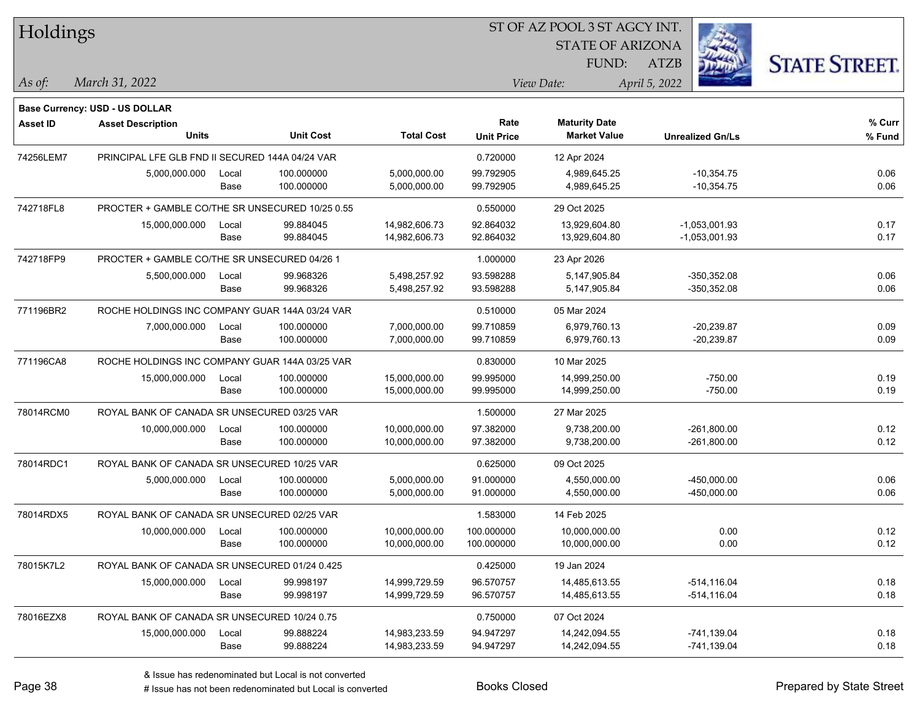| Holdings        |                                                 |       |                  |                   | ST OF AZ POOL 3 ST AGCY INT. |                         |                         |                      |  |
|-----------------|-------------------------------------------------|-------|------------------|-------------------|------------------------------|-------------------------|-------------------------|----------------------|--|
|                 |                                                 |       |                  |                   |                              | <b>STATE OF ARIZONA</b> |                         |                      |  |
|                 |                                                 |       |                  |                   |                              | FUND:                   | <b>ATZB</b>             | <b>STATE STREET.</b> |  |
| As of:          | March 31, 2022                                  |       |                  |                   |                              | View Date:              | April 5, 2022           |                      |  |
|                 | <b>Base Currency: USD - US DOLLAR</b>           |       |                  |                   |                              |                         |                         |                      |  |
| <b>Asset ID</b> | <b>Asset Description</b>                        |       |                  |                   | Rate                         | <b>Maturity Date</b>    |                         | % Curr               |  |
|                 | <b>Units</b>                                    |       | <b>Unit Cost</b> | <b>Total Cost</b> | <b>Unit Price</b>            | <b>Market Value</b>     | <b>Unrealized Gn/Ls</b> | % Fund               |  |
| 74256LEM7       | PRINCIPAL LFE GLB FND II SECURED 144A 04/24 VAR |       |                  |                   | 0.720000                     | 12 Apr 2024             |                         |                      |  |
|                 | 5,000,000.000                                   | Local | 100.000000       | 5,000,000.00      | 99.792905                    | 4,989,645.25            | $-10,354.75$            | 0.06                 |  |
|                 |                                                 | Base  | 100.000000       | 5,000,000.00      | 99.792905                    | 4,989,645.25            | $-10,354.75$            | 0.06                 |  |
| 742718FL8       | PROCTER + GAMBLE CO/THE SR UNSECURED 10/25 0.55 |       |                  |                   | 0.550000                     | 29 Oct 2025             |                         |                      |  |
|                 | 15,000,000.000                                  | Local | 99.884045        | 14,982,606.73     | 92.864032                    | 13,929,604.80           | $-1,053,001.93$         | 0.17                 |  |
|                 |                                                 | Base  | 99.884045        | 14,982,606.73     | 92.864032                    | 13,929,604.80           | $-1,053,001.93$         | 0.17                 |  |
| 742718FP9       | PROCTER + GAMBLE CO/THE SR UNSECURED 04/26 1    |       |                  |                   | 1.000000                     | 23 Apr 2026             |                         |                      |  |
|                 | 5,500,000.000                                   | Local | 99.968326        | 5,498,257.92      | 93.598288                    | 5,147,905.84            | $-350,352.08$           | 0.06                 |  |
|                 |                                                 | Base  | 99.968326        | 5,498,257.92      | 93.598288                    | 5,147,905.84            | $-350,352.08$           | 0.06                 |  |
| 771196BR2       | ROCHE HOLDINGS INC COMPANY GUAR 144A 03/24 VAR  |       |                  |                   | 0.510000                     | 05 Mar 2024             |                         |                      |  |
|                 | 7,000,000.000                                   | Local | 100.000000       | 7,000,000.00      | 99.710859                    | 6,979,760.13            | $-20,239.87$            | 0.09                 |  |
|                 |                                                 | Base  | 100.000000       | 7,000,000.00      | 99.710859                    | 6,979,760.13            | $-20,239.87$            | 0.09                 |  |
| 771196CA8       | ROCHE HOLDINGS INC COMPANY GUAR 144A 03/25 VAR  |       |                  |                   | 0.830000                     | 10 Mar 2025             |                         |                      |  |
|                 | 15,000,000.000                                  | Local | 100.000000       | 15,000,000.00     | 99.995000                    | 14,999,250.00           | $-750.00$               | 0.19                 |  |
|                 |                                                 | Base  | 100.000000       | 15,000,000.00     | 99.995000                    | 14,999,250.00           | $-750.00$               | 0.19                 |  |
| 78014RCM0       | ROYAL BANK OF CANADA SR UNSECURED 03/25 VAR     |       |                  |                   | 1.500000                     | 27 Mar 2025             |                         |                      |  |
|                 | 10,000,000.000                                  | Local | 100.000000       | 10,000,000.00     | 97.382000                    | 9,738,200.00            | $-261,800.00$           | 0.12                 |  |
|                 |                                                 | Base  | 100.000000       | 10,000,000.00     | 97.382000                    | 9,738,200.00            | $-261,800.00$           | 0.12                 |  |
| 78014RDC1       | ROYAL BANK OF CANADA SR UNSECURED 10/25 VAR     |       |                  |                   | 0.625000                     | 09 Oct 2025             |                         |                      |  |
|                 | 5,000,000.000                                   | Local | 100.000000       | 5,000,000.00      | 91.000000                    | 4,550,000.00            | -450,000.00             | 0.06                 |  |
|                 |                                                 | Base  | 100.000000       | 5,000,000.00      | 91.000000                    | 4,550,000.00            | -450,000.00             | 0.06                 |  |
| 78014RDX5       | ROYAL BANK OF CANADA SR UNSECURED 02/25 VAR     |       |                  |                   | 1.583000                     | 14 Feb 2025             |                         |                      |  |
|                 | 10,000,000.000                                  | Local | 100.000000       | 10,000,000.00     | 100.000000                   | 10,000,000.00           | 0.00                    | 0.12                 |  |
|                 |                                                 | Base  | 100.000000       | 10,000,000.00     | 100.000000                   | 10,000,000.00           | 0.00                    | 0.12                 |  |
| 78015K7L2       | ROYAL BANK OF CANADA SR UNSECURED 01/24 0.425   |       |                  |                   | 0.425000                     | 19 Jan 2024             |                         |                      |  |
|                 | 15,000,000.000                                  | Local | 99.998197        | 14,999,729.59     | 96.570757                    | 14,485,613.55           | $-514, 116.04$          | 0.18                 |  |
|                 |                                                 | Base  | 99.998197        | 14,999,729.59     | 96.570757                    | 14,485,613.55           | -514,116.04             | 0.18                 |  |
| 78016EZX8       | ROYAL BANK OF CANADA SR UNSECURED 10/24 0.75    |       |                  |                   | 0.750000                     | 07 Oct 2024             |                         |                      |  |
|                 | 15,000,000.000                                  | Local | 99.888224        | 14,983,233.59     | 94.947297                    | 14,242,094.55           | -741,139.04             | 0.18                 |  |
|                 |                                                 | Base  | 99.888224        | 14,983,233.59     | 94.947297                    | 14,242,094.55           | -741,139.04             | 0.18                 |  |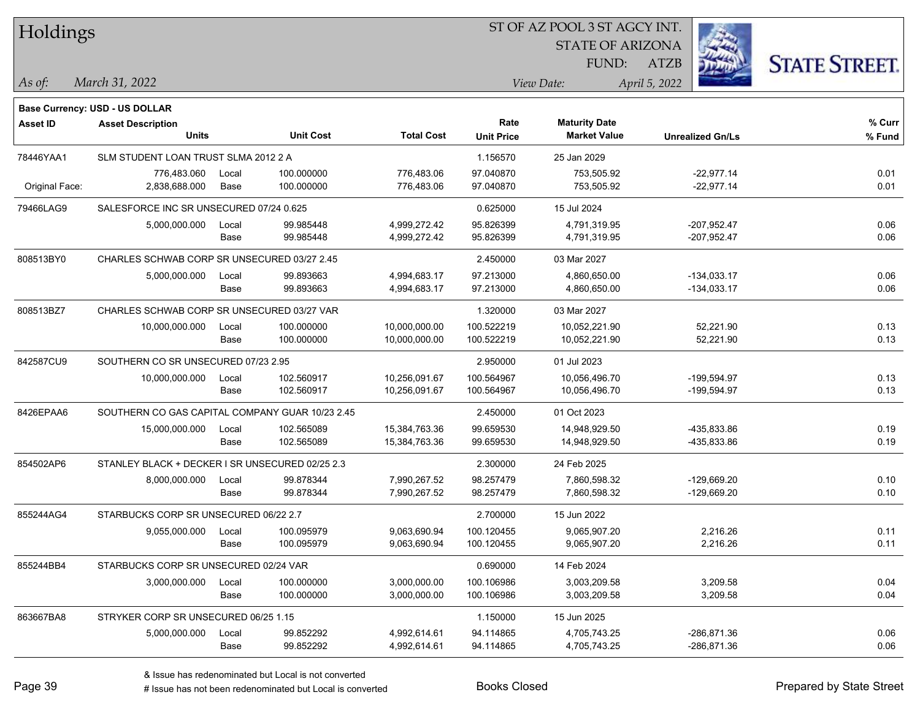| Holdings        |                                                 |       |                  |                   | ST OF AZ POOL 3 ST AGCY INT. |                                             |                         |                      |  |  |
|-----------------|-------------------------------------------------|-------|------------------|-------------------|------------------------------|---------------------------------------------|-------------------------|----------------------|--|--|
|                 |                                                 |       |                  |                   |                              | <b>STATE OF ARIZONA</b>                     |                         |                      |  |  |
|                 |                                                 |       |                  |                   |                              | FUND:                                       | ATZB                    | <b>STATE STREET.</b> |  |  |
| $\vert$ As of:  | March 31, 2022                                  |       |                  |                   |                              | View Date:                                  | April 5, 2022           |                      |  |  |
|                 |                                                 |       |                  |                   |                              |                                             |                         |                      |  |  |
|                 | Base Currency: USD - US DOLLAR                  |       |                  |                   |                              |                                             |                         |                      |  |  |
| <b>Asset ID</b> | <b>Asset Description</b><br><b>Units</b>        |       | <b>Unit Cost</b> | <b>Total Cost</b> | Rate<br><b>Unit Price</b>    | <b>Maturity Date</b><br><b>Market Value</b> | <b>Unrealized Gn/Ls</b> | % Curr<br>% Fund     |  |  |
|                 |                                                 |       |                  |                   |                              |                                             |                         |                      |  |  |
| 78446YAA1       | SLM STUDENT LOAN TRUST SLMA 2012 2 A            |       |                  |                   | 1.156570                     | 25 Jan 2029                                 |                         |                      |  |  |
|                 | 776,483.060                                     | Local | 100.000000       | 776,483.06        | 97.040870<br>97.040870       | 753,505.92                                  | $-22,977.14$            | 0.01                 |  |  |
| Original Face:  | 2,838,688.000                                   | Base  | 100.000000       | 776,483.06        |                              | 753,505.92                                  | $-22,977.14$            | 0.01                 |  |  |
| 79466LAG9       | SALESFORCE INC SR UNSECURED 07/24 0.625         |       |                  |                   | 0.625000                     | 15 Jul 2024                                 |                         |                      |  |  |
|                 | 5,000,000.000                                   | Local | 99.985448        | 4,999,272.42      | 95.826399                    | 4,791,319.95                                | $-207,952.47$           | 0.06                 |  |  |
|                 |                                                 | Base  | 99.985448        | 4,999,272.42      | 95.826399                    | 4,791,319.95                                | $-207,952.47$           | 0.06                 |  |  |
| 808513BY0       | CHARLES SCHWAB CORP SR UNSECURED 03/27 2.45     |       |                  |                   | 2.450000                     | 03 Mar 2027                                 |                         |                      |  |  |
|                 | 5,000,000.000                                   | Local | 99.893663        | 4,994,683.17      | 97.213000                    | 4,860,650.00                                | $-134,033.17$           | 0.06                 |  |  |
|                 |                                                 | Base  | 99.893663        | 4,994,683.17      | 97.213000                    | 4,860,650.00                                | $-134,033.17$           | 0.06                 |  |  |
| 808513BZ7       | CHARLES SCHWAB CORP SR UNSECURED 03/27 VAR      |       |                  |                   | 1.320000                     | 03 Mar 2027                                 |                         |                      |  |  |
|                 | 10,000,000.000                                  | Local | 100.000000       | 10,000,000.00     | 100.522219                   | 10,052,221.90                               | 52,221.90               | 0.13                 |  |  |
|                 |                                                 | Base  | 100.000000       | 10,000,000.00     | 100.522219                   | 10,052,221.90                               | 52,221.90               | 0.13                 |  |  |
| 842587CU9       | SOUTHERN CO SR UNSECURED 07/23 2.95             |       |                  |                   | 2.950000                     | 01 Jul 2023                                 |                         |                      |  |  |
|                 | 10,000,000.000                                  | Local | 102.560917       | 10,256,091.67     | 100.564967                   | 10,056,496.70                               | -199,594.97             | 0.13                 |  |  |
|                 |                                                 | Base  | 102.560917       | 10,256,091.67     | 100.564967                   | 10,056,496.70                               | -199,594.97             | 0.13                 |  |  |
| 8426EPAA6       | SOUTHERN CO GAS CAPITAL COMPANY GUAR 10/23 2.45 |       |                  |                   | 2.450000                     | 01 Oct 2023                                 |                         |                      |  |  |
|                 | 15,000,000.000                                  | Local | 102.565089       | 15,384,763.36     | 99.659530                    | 14,948,929.50                               | -435,833.86             | 0.19                 |  |  |
|                 |                                                 | Base  | 102.565089       | 15,384,763.36     | 99.659530                    | 14,948,929.50                               | -435,833.86             | 0.19                 |  |  |
| 854502AP6       | STANLEY BLACK + DECKER I SR UNSECURED 02/25 2.3 |       |                  |                   | 2.300000                     | 24 Feb 2025                                 |                         |                      |  |  |
|                 | 8,000,000.000                                   | Local | 99.878344        | 7,990,267.52      | 98.257479                    | 7,860,598.32                                | -129,669.20             | 0.10                 |  |  |
|                 |                                                 | Base  | 99.878344        | 7,990,267.52      | 98.257479                    | 7,860,598.32                                | -129,669.20             | 0.10                 |  |  |
| 855244AG4       | STARBUCKS CORP SR UNSECURED 06/22 2.7           |       |                  |                   | 2.700000                     | 15 Jun 2022                                 |                         |                      |  |  |
|                 | 9,055,000.000                                   | Local | 100.095979       | 9,063,690.94      | 100.120455                   | 9,065,907.20                                | 2,216.26                | 0.11                 |  |  |
|                 |                                                 | Base  | 100.095979       | 9,063,690.94      | 100.120455                   | 9,065,907.20                                | 2,216.26                | 0.11                 |  |  |
| 855244BB4       | STARBUCKS CORP SR UNSECURED 02/24 VAR           |       |                  |                   | 0.690000                     | 14 Feb 2024                                 |                         |                      |  |  |
|                 | 3,000,000.000                                   | Local | 100.000000       | 3,000,000.00      | 100.106986                   | 3,003,209.58                                | 3,209.58                | 0.04                 |  |  |
|                 |                                                 | Base  | 100.000000       | 3,000,000.00      | 100.106986                   | 3,003,209.58                                | 3,209.58                | 0.04                 |  |  |
| 863667BA8       | STRYKER CORP SR UNSECURED 06/25 1.15            |       |                  |                   | 1.150000                     | 15 Jun 2025                                 |                         |                      |  |  |
|                 | 5,000,000.000                                   | Local | 99.852292        | 4,992,614.61      | 94.114865                    | 4,705,743.25                                | $-286, 871.36$          | 0.06                 |  |  |
|                 |                                                 | Base  | 99.852292        | 4,992,614.61      | 94.114865                    | 4,705,743.25                                | -286,871.36             | 0.06                 |  |  |

- L

# Issue has not been redenominated but Local is converted Books Closed Prepared by State Street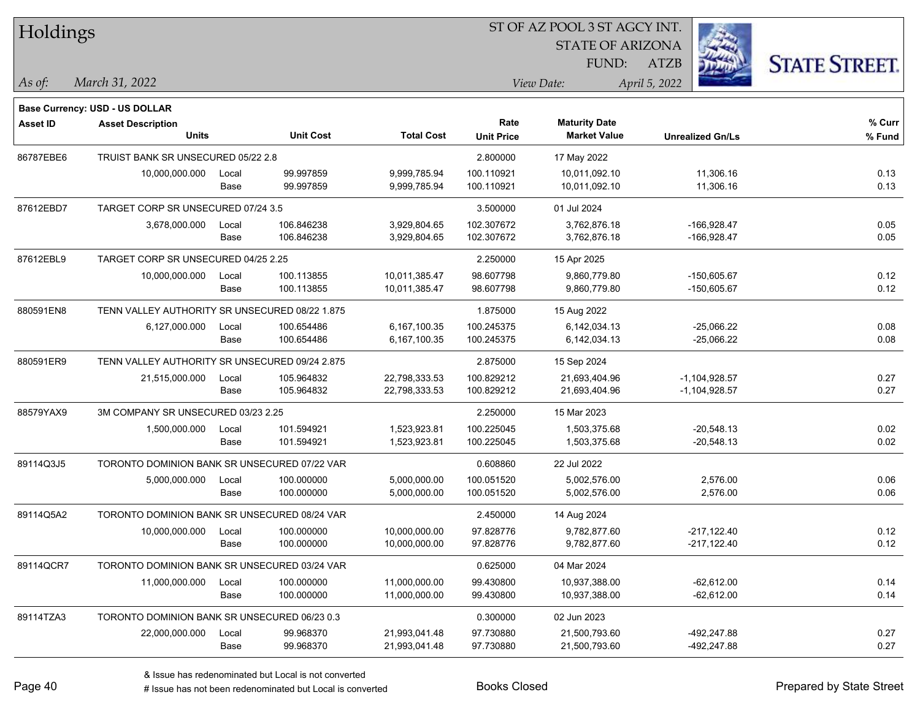| Holdings        |                                                |       |                  |                   |                           | ST OF AZ POOL 3 ST AGCY INT.                |                         |                      |
|-----------------|------------------------------------------------|-------|------------------|-------------------|---------------------------|---------------------------------------------|-------------------------|----------------------|
|                 |                                                |       |                  |                   |                           | <b>STATE OF ARIZONA</b>                     |                         |                      |
|                 |                                                |       |                  |                   |                           | FUND:                                       | <b>ATZB</b>             | <b>STATE STREET.</b> |
| As of:          | March 31, 2022                                 |       |                  |                   |                           | View Date:                                  | April 5, 2022           |                      |
|                 |                                                |       |                  |                   |                           |                                             |                         |                      |
|                 | Base Currency: USD - US DOLLAR                 |       |                  |                   |                           |                                             |                         |                      |
| <b>Asset ID</b> | <b>Asset Description</b><br><b>Units</b>       |       | <b>Unit Cost</b> | <b>Total Cost</b> | Rate<br><b>Unit Price</b> | <b>Maturity Date</b><br><b>Market Value</b> | <b>Unrealized Gn/Ls</b> | % Curr<br>% Fund     |
| 86787EBE6       | TRUIST BANK SR UNSECURED 05/22 2.8             |       |                  |                   | 2.800000                  | 17 May 2022                                 |                         |                      |
|                 | 10,000,000.000                                 | Local | 99.997859        | 9.999.785.94      | 100.110921                | 10.011.092.10                               | 11,306.16               | 0.13                 |
|                 |                                                | Base  | 99.997859        | 9,999,785.94      | 100.110921                | 10,011,092.10                               | 11,306.16               | 0.13                 |
| 87612EBD7       | TARGET CORP SR UNSECURED 07/24 3.5             |       |                  |                   | 3.500000                  | 01 Jul 2024                                 |                         |                      |
|                 | 3,678,000.000                                  | Local | 106.846238       | 3,929,804.65      | 102.307672                | 3,762,876.18                                | $-166,928.47$           | 0.05                 |
|                 |                                                | Base  | 106.846238       | 3,929,804.65      | 102.307672                | 3,762,876.18                                | $-166,928.47$           | 0.05                 |
| 87612EBL9       | TARGET CORP SR UNSECURED 04/25 2.25            |       |                  |                   | 2.250000                  | 15 Apr 2025                                 |                         |                      |
|                 | 10,000,000.000                                 | Local | 100.113855       | 10,011,385.47     | 98.607798                 | 9,860,779.80                                | $-150,605.67$           | 0.12                 |
|                 |                                                | Base  | 100.113855       | 10,011,385.47     | 98.607798                 | 9,860,779.80                                | $-150,605.67$           | 0.12                 |
| 880591EN8       | TENN VALLEY AUTHORITY SR UNSECURED 08/22 1.875 |       |                  |                   | 1.875000                  | 15 Aug 2022                                 |                         |                      |
|                 | 6,127,000.000                                  | Local | 100.654486       | 6,167,100.35      | 100.245375                | 6,142,034.13                                | $-25,066.22$            | 0.08                 |
|                 |                                                | Base  | 100.654486       | 6,167,100.35      | 100.245375                | 6,142,034.13                                | $-25,066.22$            | 0.08                 |
| 880591ER9       | TENN VALLEY AUTHORITY SR UNSECURED 09/24 2.875 |       |                  |                   | 2.875000                  | 15 Sep 2024                                 |                         |                      |
|                 | 21,515,000.000                                 | Local | 105.964832       | 22,798,333.53     | 100.829212                | 21,693,404.96                               | $-1,104,928.57$         | 0.27                 |
|                 |                                                | Base  | 105.964832       | 22,798,333.53     | 100.829212                | 21,693,404.96                               | $-1,104,928.57$         | 0.27                 |
| 88579YAX9       | 3M COMPANY SR UNSECURED 03/23 2.25             |       |                  |                   | 2.250000                  | 15 Mar 2023                                 |                         |                      |
|                 | 1,500,000.000                                  | Local | 101.594921       | 1,523,923.81      | 100.225045                | 1,503,375.68                                | $-20,548.13$            | 0.02                 |
|                 |                                                | Base  | 101.594921       | 1,523,923.81      | 100.225045                | 1,503,375.68                                | $-20,548.13$            | 0.02                 |
| 89114Q3J5       | TORONTO DOMINION BANK SR UNSECURED 07/22 VAR   |       |                  |                   | 0.608860                  | 22 Jul 2022                                 |                         |                      |
|                 | 5,000,000.000                                  | Local | 100.000000       | 5,000,000.00      | 100.051520                | 5,002,576.00                                | 2,576.00                | 0.06                 |
|                 |                                                | Base  | 100.000000       | 5,000,000.00      | 100.051520                | 5,002,576.00                                | 2,576.00                | 0.06                 |
| 89114Q5A2       | TORONTO DOMINION BANK SR UNSECURED 08/24 VAR   |       |                  |                   | 2.450000                  | 14 Aug 2024                                 |                         |                      |
|                 | 10,000,000.000                                 | Local | 100.000000       | 10,000,000.00     | 97.828776                 | 9,782,877.60                                | $-217,122.40$           | 0.12                 |
|                 |                                                | Base  | 100.000000       | 10,000,000.00     | 97.828776                 | 9,782,877.60                                | $-217,122.40$           | 0.12                 |
| 89114QCR7       | TORONTO DOMINION BANK SR UNSECURED 03/24 VAR   |       |                  |                   | 0.625000                  | 04 Mar 2024                                 |                         |                      |
|                 | 11,000,000.000                                 | Local | 100.000000       | 11,000,000.00     | 99.430800                 | 10,937,388.00                               | $-62,612.00$            | 0.14                 |
|                 |                                                | Base  | 100.000000       | 11,000,000.00     | 99.430800                 | 10,937,388.00                               | $-62,612.00$            | 0.14                 |
| 89114TZA3       | TORONTO DOMINION BANK SR UNSECURED 06/23 0.3   |       |                  |                   | 0.300000                  | 02 Jun 2023                                 |                         |                      |
|                 | 22,000,000.000                                 | Local | 99.968370        | 21,993,041.48     | 97.730880                 | 21,500,793.60                               | -492,247.88             | 0.27                 |
|                 |                                                | Base  | 99.968370        | 21,993,041.48     | 97.730880                 | 21,500,793.60                               | -492,247.88             | 0.27                 |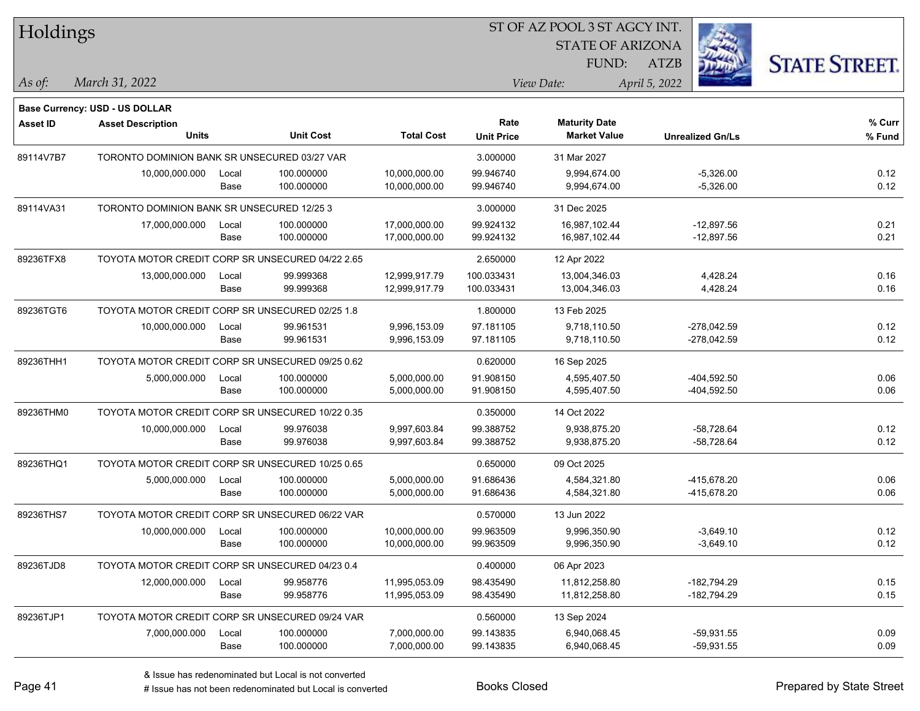| Holdings        |                                                  |       |                  |                   | ST OF AZ POOL 3 ST AGCY INT. |                                             |                         |                      |  |
|-----------------|--------------------------------------------------|-------|------------------|-------------------|------------------------------|---------------------------------------------|-------------------------|----------------------|--|
|                 |                                                  |       |                  |                   |                              | <b>STATE OF ARIZONA</b>                     |                         |                      |  |
|                 |                                                  |       |                  |                   |                              | FUND:                                       | <b>ATZB</b>             | <b>STATE STREET.</b> |  |
| As of:          | March 31, 2022                                   |       |                  |                   |                              | View Date:                                  | April 5, 2022           |                      |  |
|                 | Base Currency: USD - US DOLLAR                   |       |                  |                   |                              |                                             |                         |                      |  |
| <b>Asset ID</b> | <b>Asset Description</b>                         |       |                  |                   | Rate                         | <b>Maturity Date</b><br><b>Market Value</b> |                         | % Curr               |  |
|                 | <b>Units</b>                                     |       | <b>Unit Cost</b> | <b>Total Cost</b> | <b>Unit Price</b>            |                                             | <b>Unrealized Gn/Ls</b> | % Fund               |  |
| 89114V7B7       | TORONTO DOMINION BANK SR UNSECURED 03/27 VAR     |       |                  |                   | 3.000000                     | 31 Mar 2027                                 |                         |                      |  |
|                 | 10,000,000.000                                   | Local | 100.000000       | 10,000,000.00     | 99.946740                    | 9,994,674.00                                | $-5,326.00$             | 0.12                 |  |
|                 |                                                  | Base  | 100.000000       | 10,000,000.00     | 99.946740                    | 9,994,674.00                                | $-5,326.00$             | 0.12                 |  |
| 89114VA31       | TORONTO DOMINION BANK SR UNSECURED 12/25 3       |       |                  |                   | 3.000000                     | 31 Dec 2025                                 |                         |                      |  |
|                 | 17,000,000.000                                   | Local | 100.000000       | 17,000,000.00     | 99.924132                    | 16,987,102.44                               | $-12,897.56$            | 0.21                 |  |
|                 |                                                  | Base  | 100.000000       | 17,000,000.00     | 99.924132                    | 16,987,102.44                               | $-12,897.56$            | 0.21                 |  |
| 89236TFX8       | TOYOTA MOTOR CREDIT CORP SR UNSECURED 04/22 2.65 |       |                  |                   | 2.650000                     | 12 Apr 2022                                 |                         |                      |  |
|                 | 13,000,000.000                                   | Local | 99.999368        | 12,999,917.79     | 100.033431                   | 13,004,346.03                               | 4,428.24                | 0.16                 |  |
|                 |                                                  | Base  | 99.999368        | 12,999,917.79     | 100.033431                   | 13,004,346.03                               | 4,428.24                | 0.16                 |  |
| 89236TGT6       | TOYOTA MOTOR CREDIT CORP SR UNSECURED 02/25 1.8  |       |                  |                   | 1.800000                     | 13 Feb 2025                                 |                         |                      |  |
|                 | 10,000,000.000                                   | Local | 99.961531        | 9,996,153.09      | 97.181105                    | 9,718,110.50                                | $-278,042.59$           | 0.12                 |  |
|                 |                                                  | Base  | 99.961531        | 9,996,153.09      | 97.181105                    | 9,718,110.50                                | $-278,042.59$           | 0.12                 |  |
| 89236THH1       | TOYOTA MOTOR CREDIT CORP SR UNSECURED 09/25 0.62 |       |                  |                   | 0.620000                     | 16 Sep 2025                                 |                         |                      |  |
|                 | 5,000,000.000                                    | Local | 100.000000       | 5,000,000.00      | 91.908150                    | 4,595,407.50                                | -404,592.50             | 0.06                 |  |
|                 |                                                  | Base  | 100.000000       | 5,000,000.00      | 91.908150                    | 4,595,407.50                                | -404,592.50             | 0.06                 |  |
| 89236THM0       | TOYOTA MOTOR CREDIT CORP SR UNSECURED 10/22 0.35 |       |                  |                   | 0.350000                     | 14 Oct 2022                                 |                         |                      |  |
|                 | 10,000,000.000                                   | Local | 99.976038        | 9,997,603.84      | 99.388752                    | 9,938,875.20                                | $-58,728.64$            | 0.12                 |  |
|                 |                                                  | Base  | 99.976038        | 9,997,603.84      | 99.388752                    | 9,938,875.20                                | -58,728.64              | 0.12                 |  |
| 89236THQ1       | TOYOTA MOTOR CREDIT CORP SR UNSECURED 10/25 0.65 |       |                  |                   | 0.650000                     | 09 Oct 2025                                 |                         |                      |  |
|                 | 5,000,000.000                                    | Local | 100.000000       | 5,000,000.00      | 91.686436                    | 4,584,321.80                                | -415,678.20             | 0.06                 |  |
|                 |                                                  | Base  | 100.000000       | 5,000,000.00      | 91.686436                    | 4,584,321.80                                | -415,678.20             | 0.06                 |  |
| 89236THS7       | TOYOTA MOTOR CREDIT CORP SR UNSECURED 06/22 VAR  |       |                  |                   | 0.570000                     | 13 Jun 2022                                 |                         |                      |  |
|                 | 10,000,000.000                                   | Local | 100.000000       | 10,000,000.00     | 99.963509                    | 9,996,350.90                                | $-3,649.10$             | 0.12                 |  |
|                 |                                                  | Base  | 100.000000       | 10,000,000.00     | 99.963509                    | 9,996,350.90                                | $-3,649.10$             | 0.12                 |  |
| 89236TJD8       | TOYOTA MOTOR CREDIT CORP SR UNSECURED 04/23 0.4  |       |                  |                   | 0.400000                     | 06 Apr 2023                                 |                         |                      |  |
|                 | 12,000,000.000                                   | Local | 99.958776        | 11,995,053.09     | 98.435490                    | 11,812,258.80                               | $-182,794.29$           | 0.15                 |  |
|                 |                                                  | Base  | 99.958776        | 11,995,053.09     | 98.435490                    | 11,812,258.80                               | $-182,794.29$           | 0.15                 |  |
| 89236TJP1       | TOYOTA MOTOR CREDIT CORP SR UNSECURED 09/24 VAR  |       |                  |                   | 0.560000                     | 13 Sep 2024                                 |                         |                      |  |
|                 | 7,000,000.000                                    | Local | 100.000000       | 7,000,000.00      | 99.143835                    | 6,940,068.45                                | $-59,931.55$            | 0.09                 |  |
|                 |                                                  | Base  | 100.000000       | 7,000,000.00      | 99.143835                    | 6,940,068.45                                | $-59,931.55$            | 0.09                 |  |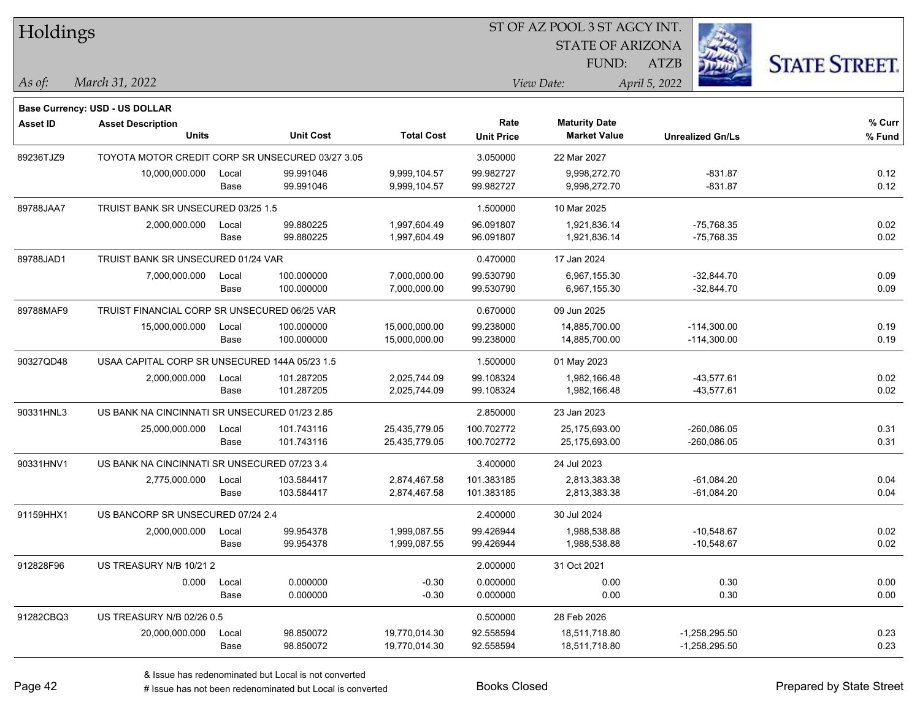| Holdings        |                                                  |       |                  |                   | ST OF AZ POOL 3 ST AGCY INT. |                         |                         |                      |  |  |
|-----------------|--------------------------------------------------|-------|------------------|-------------------|------------------------------|-------------------------|-------------------------|----------------------|--|--|
|                 |                                                  |       |                  |                   |                              | <b>STATE OF ARIZONA</b> |                         |                      |  |  |
|                 |                                                  |       |                  |                   |                              | <b>FUND:</b>            | <b>ATZB</b>             | <b>STATE STREET.</b> |  |  |
| As of:          | March 31, 2022                                   |       |                  |                   |                              | View Date:              | April 5, 2022           |                      |  |  |
|                 | Base Currency: USD - US DOLLAR                   |       |                  |                   |                              |                         |                         |                      |  |  |
| <b>Asset ID</b> | <b>Asset Description</b>                         |       |                  |                   | Rate                         | <b>Maturity Date</b>    |                         | % Curr               |  |  |
|                 | <b>Units</b>                                     |       | <b>Unit Cost</b> | <b>Total Cost</b> | <b>Unit Price</b>            | <b>Market Value</b>     | <b>Unrealized Gn/Ls</b> | % Fund               |  |  |
| 89236TJZ9       | TOYOTA MOTOR CREDIT CORP SR UNSECURED 03/27 3.05 |       |                  |                   | 3.050000                     | 22 Mar 2027             |                         |                      |  |  |
|                 | 10,000,000.000                                   | Local | 99.991046        | 9.999.104.57      | 99.982727                    | 9,998,272.70            | $-831.87$               | 0.12                 |  |  |
|                 |                                                  | Base  | 99.991046        | 9,999,104.57      | 99.982727                    | 9,998,272.70            | $-831.87$               | 0.12                 |  |  |
| 89788JAA7       | TRUIST BANK SR UNSECURED 03/25 1.5               |       |                  |                   | 1.500000                     | 10 Mar 2025             |                         |                      |  |  |
|                 | 2,000,000.000                                    | Local | 99.880225        | 1,997,604.49      | 96.091807                    | 1,921,836.14            | $-75,768.35$            | 0.02                 |  |  |
|                 |                                                  | Base  | 99.880225        | 1,997,604.49      | 96.091807                    | 1,921,836.14            | $-75,768.35$            | 0.02                 |  |  |
| 89788JAD1       | TRUIST BANK SR UNSECURED 01/24 VAR               |       |                  |                   | 0.470000                     | 17 Jan 2024             |                         |                      |  |  |
|                 | 7,000,000.000                                    | Local | 100.000000       | 7,000,000.00      | 99.530790                    | 6,967,155.30            | $-32,844.70$            | 0.09                 |  |  |
|                 |                                                  | Base  | 100.000000       | 7,000,000.00      | 99.530790                    | 6,967,155.30            | $-32,844.70$            | 0.09                 |  |  |
| 89788MAF9       | TRUIST FINANCIAL CORP SR UNSECURED 06/25 VAR     |       |                  |                   | 0.670000                     | 09 Jun 2025             |                         |                      |  |  |
|                 | 15,000,000.000                                   | Local | 100.000000       | 15,000,000.00     | 99.238000                    | 14,885,700.00           | $-114,300.00$           | 0.19                 |  |  |
|                 |                                                  | Base  | 100.000000       | 15,000,000.00     | 99.238000                    | 14,885,700.00           | $-114,300.00$           | 0.19                 |  |  |
| 90327QD48       | USAA CAPITAL CORP SR UNSECURED 144A 05/23 1.5    |       |                  |                   | 1.500000                     | 01 May 2023             |                         |                      |  |  |
|                 | 2,000,000.000                                    | Local | 101.287205       | 2,025,744.09      | 99.108324                    | 1,982,166.48            | $-43,577.61$            | 0.02                 |  |  |
|                 |                                                  | Base  | 101.287205       | 2,025,744.09      | 99.108324                    | 1,982,166.48            | -43,577.61              | 0.02                 |  |  |
| 90331HNL3       | US BANK NA CINCINNATI SR UNSECURED 01/23 2.85    |       |                  |                   | 2.850000                     | 23 Jan 2023             |                         |                      |  |  |
|                 | 25,000,000.000                                   | Local | 101.743116       | 25,435,779.05     | 100.702772                   | 25,175,693.00           | $-260,086.05$           | 0.31                 |  |  |
|                 |                                                  | Base  | 101.743116       | 25,435,779.05     | 100.702772                   | 25,175,693.00           | $-260,086.05$           | 0.31                 |  |  |
| 90331HNV1       | US BANK NA CINCINNATI SR UNSECURED 07/23 3.4     |       |                  |                   | 3.400000                     | 24 Jul 2023             |                         |                      |  |  |
|                 | 2,775,000.000                                    | Local | 103.584417       | 2,874,467.58      | 101.383185                   | 2,813,383.38            | $-61,084.20$            | 0.04                 |  |  |
|                 |                                                  | Base  | 103.584417       | 2,874,467.58      | 101.383185                   | 2,813,383.38            | $-61,084.20$            | 0.04                 |  |  |
| 91159HHX1       | US BANCORP SR UNSECURED 07/24 2.4                |       |                  |                   | 2.400000                     | 30 Jul 2024             |                         |                      |  |  |
|                 | 2,000,000.000                                    | Local | 99.954378        | 1,999,087.55      | 99.426944                    | 1,988,538.88            | $-10,548.67$            | 0.02                 |  |  |
|                 |                                                  | Base  | 99.954378        | 1,999,087.55      | 99.426944                    | 1,988,538.88            | $-10,548.67$            | 0.02                 |  |  |
| 912828F96       | US TREASURY N/B 10/21 2                          |       |                  |                   | 2.000000                     | 31 Oct 2021             |                         |                      |  |  |
|                 | 0.000                                            | Local | 0.000000         | $-0.30$           | 0.000000                     | 0.00                    | 0.30                    | 0.00                 |  |  |
|                 |                                                  | Base  | 0.000000         | $-0.30$           | 0.000000                     | 0.00                    | 0.30                    | 0.00                 |  |  |
| 91282CBQ3       | US TREASURY N/B 02/26 0.5                        |       |                  |                   | 0.500000                     | 28 Feb 2026             |                         |                      |  |  |
|                 | 20,000,000.000                                   | Local | 98.850072        | 19,770,014.30     | 92.558594                    | 18,511,718.80           | $-1,258,295.50$         | 0.23                 |  |  |
|                 |                                                  | Base  | 98.850072        | 19,770,014.30     | 92.558594                    | 18,511,718.80           | $-1,258,295.50$         | 0.23                 |  |  |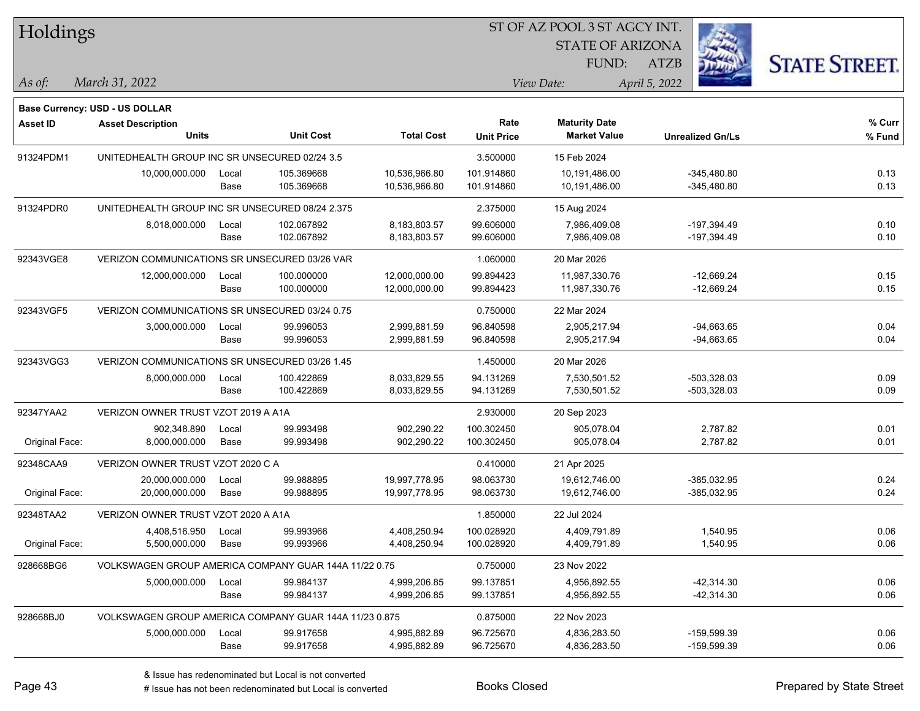| Holdings        |                                                        |       |                  |                   | ST OF AZ POOL 3 ST AGCY INT. |                         |                         |                      |
|-----------------|--------------------------------------------------------|-------|------------------|-------------------|------------------------------|-------------------------|-------------------------|----------------------|
|                 |                                                        |       |                  |                   |                              | <b>STATE OF ARIZONA</b> |                         |                      |
|                 |                                                        |       |                  |                   |                              | FUND:                   | <b>ATZB</b>             | <b>STATE STREET.</b> |
| As of:          | March 31, 2022                                         |       |                  |                   |                              | View Date:              | April 5, 2022           |                      |
|                 | Base Currency: USD - US DOLLAR                         |       |                  |                   |                              |                         |                         |                      |
| <b>Asset ID</b> | <b>Asset Description</b>                               |       |                  |                   | Rate                         | <b>Maturity Date</b>    |                         | % Curr               |
|                 | <b>Units</b>                                           |       | <b>Unit Cost</b> | <b>Total Cost</b> | <b>Unit Price</b>            | <b>Market Value</b>     | <b>Unrealized Gn/Ls</b> | % Fund               |
| 91324PDM1       | UNITEDHEALTH GROUP INC SR UNSECURED 02/24 3.5          |       |                  |                   | 3.500000                     | 15 Feb 2024             |                         |                      |
|                 | 10,000,000.000                                         | Local | 105.369668       | 10,536,966.80     | 101.914860                   | 10,191,486.00           | $-345.480.80$           | 0.13                 |
|                 |                                                        | Base  | 105.369668       | 10,536,966.80     | 101.914860                   | 10,191,486.00           | $-345,480.80$           | 0.13                 |
| 91324PDR0       | UNITEDHEALTH GROUP INC SR UNSECURED 08/24 2.375        |       |                  |                   | 2.375000                     | 15 Aug 2024             |                         |                      |
|                 | 8,018,000.000                                          | Local | 102.067892       | 8,183,803.57      | 99.606000                    | 7,986,409.08            | $-197,394.49$           | 0.10                 |
|                 |                                                        | Base  | 102.067892       | 8,183,803.57      | 99.606000                    | 7,986,409.08            | $-197,394.49$           | 0.10                 |
| 92343VGE8       | VERIZON COMMUNICATIONS SR UNSECURED 03/26 VAR          |       |                  |                   | 1.060000                     | 20 Mar 2026             |                         |                      |
|                 | 12,000,000.000                                         | Local | 100.000000       | 12,000,000.00     | 99.894423                    | 11,987,330.76           | $-12,669.24$            | 0.15                 |
|                 |                                                        | Base  | 100.000000       | 12,000,000.00     | 99.894423                    | 11,987,330.76           | -12,669.24              | 0.15                 |
| 92343VGF5       | VERIZON COMMUNICATIONS SR UNSECURED 03/24 0.75         |       |                  |                   | 0.750000                     | 22 Mar 2024             |                         |                      |
|                 | 3,000,000.000                                          | Local | 99.996053        | 2,999,881.59      | 96.840598                    | 2,905,217.94            | $-94,663.65$            | 0.04                 |
|                 |                                                        | Base  | 99.996053        | 2,999,881.59      | 96.840598                    | 2,905,217.94            | $-94,663.65$            | 0.04                 |
| 92343VGG3       | VERIZON COMMUNICATIONS SR UNSECURED 03/26 1.45         |       |                  |                   | 1.450000                     | 20 Mar 2026             |                         |                      |
|                 | 8,000,000.000                                          | Local | 100.422869       | 8,033,829.55      | 94.131269                    | 7,530,501.52            | $-503,328.03$           | 0.09                 |
|                 |                                                        | Base  | 100.422869       | 8,033,829.55      | 94.131269                    | 7,530,501.52            | $-503,328.03$           | 0.09                 |
| 92347YAA2       | VERIZON OWNER TRUST VZOT 2019 A A1A                    |       |                  |                   | 2.930000                     | 20 Sep 2023             |                         |                      |
|                 | 902,348.890                                            | Local | 99.993498        | 902,290.22        | 100.302450                   | 905,078.04              | 2,787.82                | 0.01                 |
| Original Face:  | 8,000,000.000                                          | Base  | 99.993498        | 902,290.22        | 100.302450                   | 905,078.04              | 2,787.82                | 0.01                 |
| 92348CAA9       | VERIZON OWNER TRUST VZOT 2020 C A                      |       |                  |                   | 0.410000                     | 21 Apr 2025             |                         |                      |
|                 | 20,000,000.000                                         | Local | 99.988895        | 19,997,778.95     | 98.063730                    | 19,612,746.00           | $-385,032.95$           | 0.24                 |
| Original Face:  | 20,000,000.000                                         | Base  | 99.988895        | 19,997,778.95     | 98.063730                    | 19,612,746.00           | $-385,032.95$           | 0.24                 |
| 92348TAA2       | VERIZON OWNER TRUST VZOT 2020 A A1A                    |       |                  |                   | 1.850000                     | 22 Jul 2024             |                         |                      |
|                 | 4,408,516.950                                          | Local | 99.993966        | 4,408,250.94      | 100.028920                   | 4,409,791.89            | 1,540.95                | 0.06                 |
| Original Face:  | 5,500,000.000                                          | Base  | 99.993966        | 4,408,250.94      | 100.028920                   | 4,409,791.89            | 1,540.95                | 0.06                 |
| 928668BG6       | VOLKSWAGEN GROUP AMERICA COMPANY GUAR 144A 11/22 0.75  |       |                  |                   | 0.750000                     | 23 Nov 2022             |                         |                      |
|                 | 5,000,000.000                                          | Local | 99.984137        | 4,999,206.85      | 99.137851                    | 4,956,892.55            | $-42,314.30$            | 0.06                 |
|                 |                                                        | Base  | 99.984137        | 4,999,206.85      | 99.137851                    | 4,956,892.55            | $-42,314.30$            | 0.06                 |
| 928668BJ0       | VOLKSWAGEN GROUP AMERICA COMPANY GUAR 144A 11/23 0.875 |       |                  |                   | 0.875000                     | 22 Nov 2023             |                         |                      |
|                 | 5,000,000.000                                          | Local | 99.917658        | 4,995,882.89      | 96.725670                    | 4,836,283.50            | $-159,599.39$           | 0.06                 |
|                 |                                                        | Base  | 99.917658        | 4,995,882.89      | 96.725670                    | 4,836,283.50            | $-159,599.39$           | 0.06                 |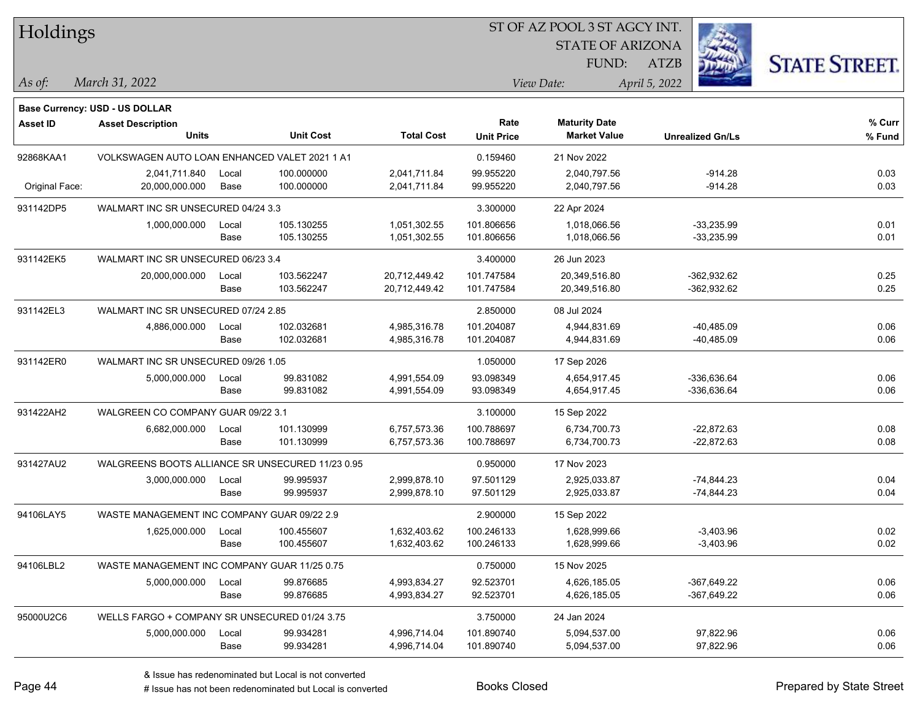| Holdings        |                                                            |       |                  |                   | ST OF AZ POOL 3 ST AGCY INT. |                         |                         |                      |  |  |
|-----------------|------------------------------------------------------------|-------|------------------|-------------------|------------------------------|-------------------------|-------------------------|----------------------|--|--|
|                 |                                                            |       |                  |                   |                              | <b>STATE OF ARIZONA</b> |                         |                      |  |  |
|                 |                                                            |       |                  |                   |                              | FUND:                   | ATZB                    | <b>STATE STREET.</b> |  |  |
| As of:          | March 31, 2022                                             |       |                  |                   |                              | View Date:              | April 5, 2022           |                      |  |  |
|                 |                                                            |       |                  |                   |                              |                         |                         |                      |  |  |
| <b>Asset ID</b> | Base Currency: USD - US DOLLAR<br><b>Asset Description</b> |       |                  |                   | Rate                         | <b>Maturity Date</b>    |                         | % Curr               |  |  |
|                 | <b>Units</b>                                               |       | <b>Unit Cost</b> | <b>Total Cost</b> | <b>Unit Price</b>            | <b>Market Value</b>     | <b>Unrealized Gn/Ls</b> | % Fund               |  |  |
| 92868KAA1       | VOLKSWAGEN AUTO LOAN ENHANCED VALET 2021 1 A1              |       |                  |                   | 0.159460                     | 21 Nov 2022             |                         |                      |  |  |
|                 | 2,041,711.840                                              | Local | 100.000000       | 2,041,711.84      | 99.955220                    | 2,040,797.56            | $-914.28$               | 0.03                 |  |  |
| Original Face:  | 20,000,000.000                                             | Base  | 100.000000       | 2,041,711.84      | 99.955220                    | 2,040,797.56            | $-914.28$               | 0.03                 |  |  |
| 931142DP5       | WALMART INC SR UNSECURED 04/24 3.3                         |       |                  |                   | 3.300000                     | 22 Apr 2024             |                         |                      |  |  |
|                 | 1,000,000.000                                              | Local | 105.130255       | 1,051,302.55      | 101.806656                   | 1,018,066.56            | $-33,235.99$            | 0.01                 |  |  |
|                 |                                                            | Base  | 105.130255       | 1,051,302.55      | 101.806656                   | 1,018,066.56            | $-33,235.99$            | 0.01                 |  |  |
| 931142EK5       | WALMART INC SR UNSECURED 06/23 3.4                         |       |                  |                   | 3.400000                     | 26 Jun 2023             |                         |                      |  |  |
|                 | 20,000,000.000                                             | Local | 103.562247       | 20,712,449.42     | 101.747584                   | 20,349,516.80           | $-362,932.62$           | 0.25                 |  |  |
|                 |                                                            | Base  | 103.562247       | 20,712,449.42     | 101.747584                   | 20,349,516.80           | $-362,932.62$           | 0.25                 |  |  |
| 931142EL3       | WALMART INC SR UNSECURED 07/24 2.85                        |       |                  |                   | 2.850000                     | 08 Jul 2024             |                         |                      |  |  |
|                 | 4,886,000.000                                              | Local | 102.032681       | 4,985,316.78      | 101.204087                   | 4,944,831.69            | $-40,485.09$            | 0.06                 |  |  |
|                 |                                                            | Base  | 102.032681       | 4,985,316.78      | 101.204087                   | 4,944,831.69            | $-40,485.09$            | 0.06                 |  |  |
| 931142ER0       | WALMART INC SR UNSECURED 09/26 1.05                        |       |                  |                   | 1.050000                     | 17 Sep 2026             |                         |                      |  |  |
|                 | 5,000,000.000                                              | Local | 99.831082        | 4,991,554.09      | 93.098349                    | 4,654,917.45            | -336,636.64             | 0.06                 |  |  |
|                 |                                                            | Base  | 99.831082        | 4,991,554.09      | 93.098349                    | 4,654,917.45            | -336,636.64             | 0.06                 |  |  |
| 931422AH2       | WALGREEN CO COMPANY GUAR 09/22 3.1                         |       |                  |                   | 3.100000                     | 15 Sep 2022             |                         |                      |  |  |
|                 | 6,682,000.000                                              | Local | 101.130999       | 6,757,573.36      | 100.788697                   | 6,734,700.73            | $-22,872.63$            | 0.08                 |  |  |
|                 |                                                            | Base  | 101.130999       | 6,757,573.36      | 100.788697                   | 6,734,700.73            | $-22,872.63$            | 0.08                 |  |  |
| 931427AU2       | WALGREENS BOOTS ALLIANCE SR UNSECURED 11/23 0.95           |       |                  |                   | 0.950000                     | 17 Nov 2023             |                         |                      |  |  |
|                 | 3,000,000.000                                              | Local | 99.995937        | 2,999,878.10      | 97.501129                    | 2,925,033.87            | $-74,844.23$            | 0.04                 |  |  |
|                 |                                                            | Base  | 99.995937        | 2,999,878.10      | 97.501129                    | 2,925,033.87            | $-74,844.23$            | 0.04                 |  |  |
| 94106LAY5       | WASTE MANAGEMENT INC COMPANY GUAR 09/22 2.9                |       |                  |                   | 2.900000                     | 15 Sep 2022             |                         |                      |  |  |
|                 | 1.625.000.000                                              | Local | 100.455607       | 1,632,403.62      | 100.246133                   | 1,628,999.66            | $-3,403.96$             | 0.02                 |  |  |
|                 |                                                            | Base  | 100.455607       | 1,632,403.62      | 100.246133                   | 1,628,999.66            | $-3,403.96$             | 0.02                 |  |  |
| 94106LBL2       | WASTE MANAGEMENT INC COMPANY GUAR 11/25 0.75               |       |                  |                   | 0.750000                     | 15 Nov 2025             |                         |                      |  |  |
|                 | 5,000,000.000                                              | Local | 99.876685        | 4,993,834.27      | 92.523701                    | 4,626,185.05            | $-367,649.22$           | 0.06                 |  |  |
|                 |                                                            | Base  | 99.876685        | 4,993,834.27      | 92.523701                    | 4,626,185.05            | $-367,649.22$           | 0.06                 |  |  |
| 95000U2C6       | WELLS FARGO + COMPANY SR UNSECURED 01/24 3.75              |       |                  |                   | 3.750000                     | 24 Jan 2024             |                         |                      |  |  |
|                 | 5,000,000.000                                              | Local | 99.934281        | 4,996,714.04      | 101.890740                   | 5,094,537.00            | 97,822.96               | 0.06                 |  |  |
|                 |                                                            | Base  | 99.934281        | 4,996,714.04      | 101.890740                   | 5,094,537.00            | 97,822.96               | 0.06                 |  |  |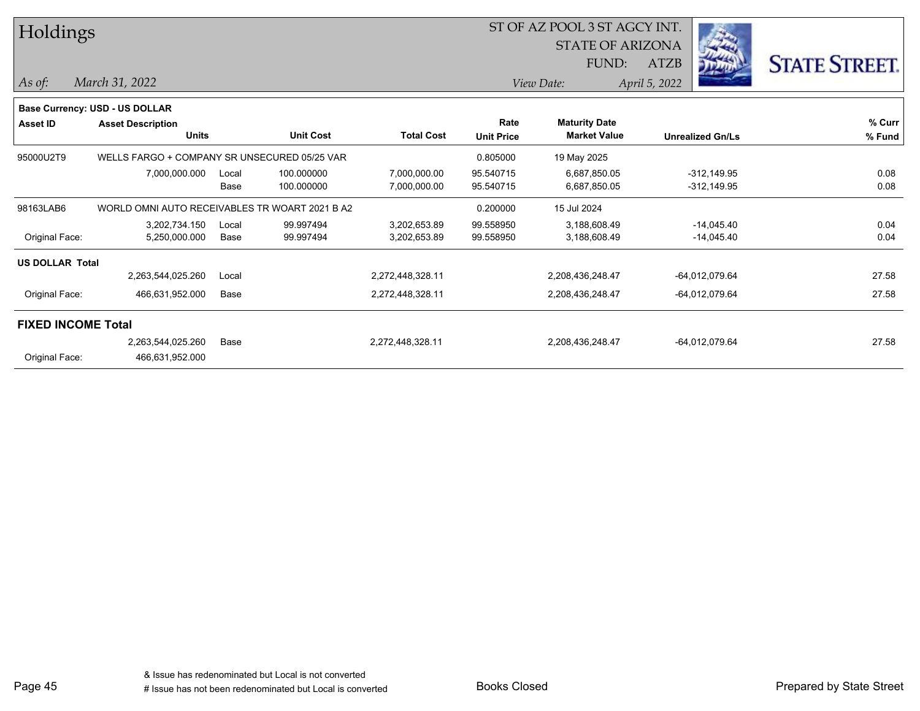| Holdings                  |                                                |       |                  |                   | ST OF AZ POOL 3 ST AGCY INT. |                      |               |                         |                      |
|---------------------------|------------------------------------------------|-------|------------------|-------------------|------------------------------|----------------------|---------------|-------------------------|----------------------|
|                           |                                                |       |                  |                   | <b>STATE OF ARIZONA</b>      |                      |               |                         |                      |
|                           |                                                |       |                  |                   | FUND:                        |                      | ATZB          |                         | <b>STATE STREET.</b> |
| $ As\ of:$                | March 31, 2022                                 |       |                  |                   |                              | View Date:           | April 5, 2022 |                         |                      |
|                           | <b>Base Currency: USD - US DOLLAR</b>          |       |                  |                   |                              |                      |               |                         |                      |
| <b>Asset ID</b>           | <b>Asset Description</b>                       |       |                  |                   | Rate                         | <b>Maturity Date</b> |               |                         | % Curr               |
|                           | <b>Units</b>                                   |       | <b>Unit Cost</b> | <b>Total Cost</b> | <b>Unit Price</b>            | <b>Market Value</b>  |               | <b>Unrealized Gn/Ls</b> | % Fund               |
| 95000U2T9                 | WELLS FARGO + COMPANY SR UNSECURED 05/25 VAR   |       |                  |                   | 0.805000                     | 19 May 2025          |               |                         |                      |
|                           | 7,000,000.000                                  | Local | 100.000000       | 7,000,000.00      | 95.540715                    | 6,687,850.05         |               | $-312,149.95$           | 0.08                 |
|                           |                                                | Base  | 100.000000       | 7,000,000.00      | 95.540715                    | 6,687,850.05         |               | $-312,149.95$           | 0.08                 |
| 98163LAB6                 | WORLD OMNI AUTO RECEIVABLES TR WOART 2021 B A2 |       |                  |                   | 0.200000                     | 15 Jul 2024          |               |                         |                      |
|                           | 3,202,734.150                                  | Local | 99.997494        | 3,202,653.89      | 99.558950                    | 3,188,608.49         |               | $-14,045.40$            | 0.04                 |
| Original Face:            | 5,250,000.000                                  | Base  | 99.997494        | 3,202,653.89      | 99.558950                    | 3,188,608.49         |               | $-14,045.40$            | 0.04                 |
| <b>US DOLLAR Total</b>    |                                                |       |                  |                   |                              |                      |               |                         |                      |
|                           | 2,263,544,025.260                              | Local |                  | 2,272,448,328.11  |                              | 2,208,436,248.47     |               | -64,012,079.64          | 27.58                |
| Original Face:            | 466,631,952.000                                | Base  |                  | 2,272,448,328.11  |                              | 2,208,436,248.47     |               | -64,012,079.64          | 27.58                |
| <b>FIXED INCOME Total</b> |                                                |       |                  |                   |                              |                      |               |                         |                      |
|                           | 2,263,544,025.260                              | Base  |                  | 2,272,448,328.11  |                              | 2,208,436,248.47     |               | -64,012,079.64          | 27.58                |
| Original Face:            | 466,631,952.000                                |       |                  |                   |                              |                      |               |                         |                      |
|                           |                                                |       |                  |                   |                              |                      |               |                         |                      |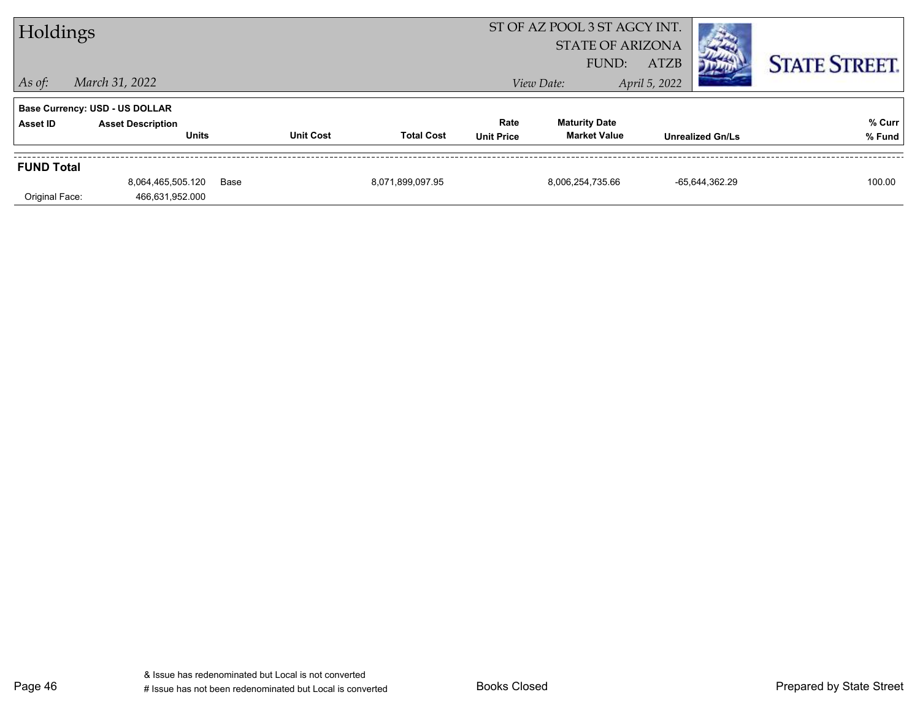| Holdings          |                                          |      |                  |                   |                           | ST OF AZ POOL 3 ST AGCY INT.<br><b>STATE OF ARIZONA</b><br>FUND: | <b>ATZB</b>   |                         |                      |
|-------------------|------------------------------------------|------|------------------|-------------------|---------------------------|------------------------------------------------------------------|---------------|-------------------------|----------------------|
| $ $ As of:        | March 31, 2022                           |      |                  |                   |                           | View Date:                                                       | April 5, 2022 |                         | <b>STATE STREET.</b> |
|                   | <b>Base Currency: USD - US DOLLAR</b>    |      |                  |                   |                           |                                                                  |               |                         |                      |
| Asset ID          | <b>Asset Description</b><br><b>Units</b> |      | <b>Unit Cost</b> | <b>Total Cost</b> | Rate<br><b>Unit Price</b> | <b>Maturity Date</b><br><b>Market Value</b>                      |               | <b>Unrealized Gn/Ls</b> | % Curr<br>% Fund     |
| <b>FUND Total</b> |                                          |      |                  |                   |                           |                                                                  |               |                         |                      |
| Original Face:    | 8,064,465,505.120<br>466,631,952.000     | Base |                  | 8,071,899,097.95  |                           | 8,006,254,735.66                                                 |               | -65,644,362.29          | 100.00               |

Page 46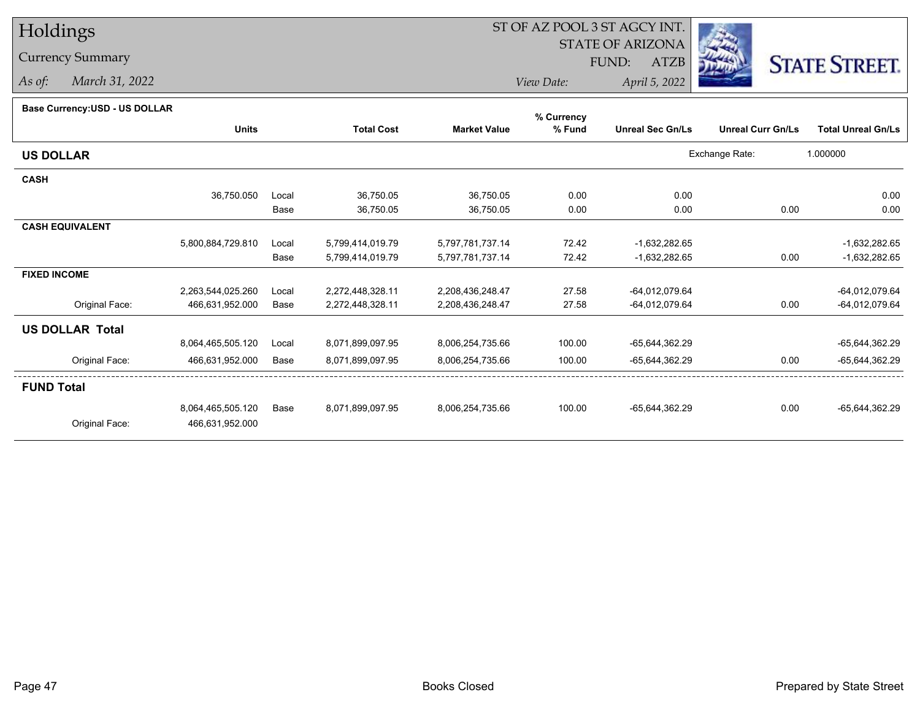## Holdings

Currency Summary

*As of: March 31, 2022*

## ST OF AZ POOL 3 ST AGCY INT.

STATE OF ARIZONA

FUND: ATZB



*View Date:April 5, 2022*

## **Base Currency:USD - US DOLLAR**

|                        | <b>Units</b>      |       | <b>Total Cost</b> | <b>Market Value</b> | % Fund | <b>Unreal Sec Gn/Ls</b> | <b>Unreal Curr Gn/Ls</b> | <b>Total Unreal Gn/Ls</b> |
|------------------------|-------------------|-------|-------------------|---------------------|--------|-------------------------|--------------------------|---------------------------|
| <b>US DOLLAR</b>       |                   |       |                   |                     |        |                         | Exchange Rate:           | 1.000000                  |
| <b>CASH</b>            |                   |       |                   |                     |        |                         |                          |                           |
|                        | 36,750.050        | Local | 36,750.05         | 36,750.05           | 0.00   | 0.00                    |                          | 0.00                      |
|                        |                   | Base  | 36,750.05         | 36,750.05           | 0.00   | 0.00                    | 0.00                     | 0.00                      |
| <b>CASH EQUIVALENT</b> |                   |       |                   |                     |        |                         |                          |                           |
|                        | 5,800,884,729.810 | Local | 5,799,414,019.79  | 5,797,781,737.14    | 72.42  | $-1,632,282.65$         |                          | $-1,632,282.65$           |
|                        |                   | Base  | 5,799,414,019.79  | 5,797,781,737.14    | 72.42  | $-1,632,282.65$         | 0.00                     | $-1,632,282.65$           |
| <b>FIXED INCOME</b>    |                   |       |                   |                     |        |                         |                          |                           |
|                        | 2,263,544,025.260 | Local | 2,272,448,328.11  | 2,208,436,248.47    | 27.58  | -64,012,079.64          |                          | -64,012,079.64            |
| Original Face:         | 466,631,952.000   | Base  | 2,272,448,328.11  | 2,208,436,248.47    | 27.58  | -64,012,079.64          | 0.00                     | $-64,012,079.64$          |
| <b>US DOLLAR Total</b> |                   |       |                   |                     |        |                         |                          |                           |
|                        | 8,064,465,505.120 | Local | 8,071,899,097.95  | 8,006,254,735.66    | 100.00 | -65,644,362.29          |                          | -65,644,362.29            |
| Original Face:         | 466,631,952.000   | Base  | 8,071,899,097.95  | 8,006,254,735.66    | 100.00 | -65,644,362.29          | 0.00                     | -65,644,362.29            |
| <b>FUND Total</b>      |                   |       |                   |                     |        |                         |                          |                           |
|                        | 8,064,465,505.120 | Base  | 8,071,899,097.95  | 8,006,254,735.66    | 100.00 | -65,644,362.29          | 0.00                     | -65,644,362.29            |
| Original Face:         | 466,631,952.000   |       |                   |                     |        |                         |                          |                           |
|                        |                   |       |                   |                     |        |                         |                          |                           |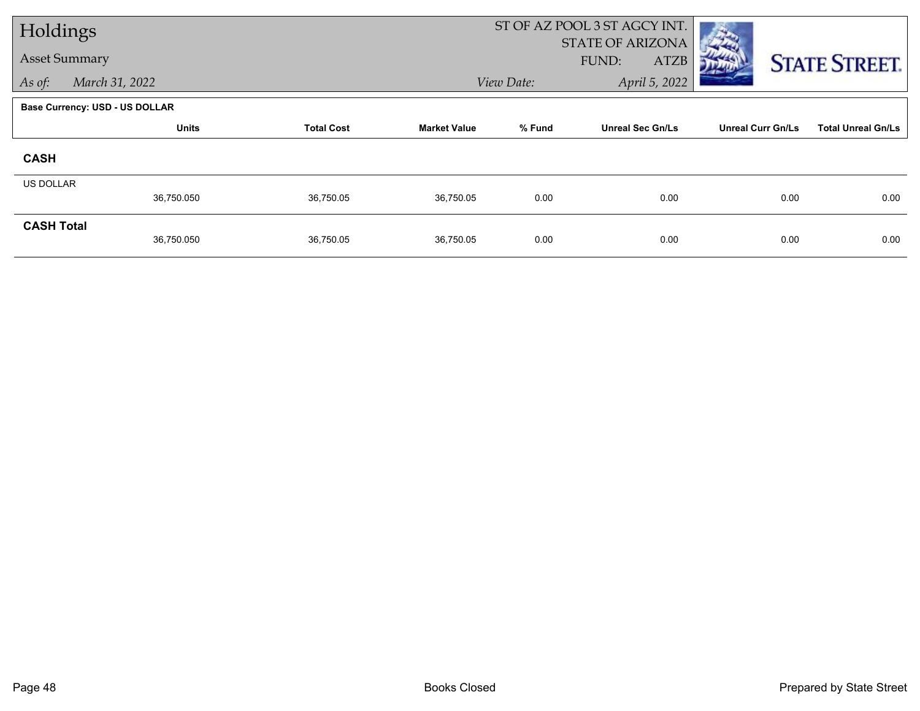| Holdings                              |                                   |           |                     |            | ST OF AZ POOL 3 ST AGCY INT.                    |                          |                           |
|---------------------------------------|-----------------------------------|-----------|---------------------|------------|-------------------------------------------------|--------------------------|---------------------------|
| <b>Asset Summary</b>                  |                                   |           |                     |            | <b>STATE OF ARIZONA</b><br>FUND:<br><b>ATZB</b> |                          |                           |
| As of:                                | March 31, 2022                    |           |                     | View Date: |                                                 | April 5, 2022            | <b>STATE STREET.</b>      |
| <b>Base Currency: USD - US DOLLAR</b> |                                   |           |                     |            |                                                 |                          |                           |
|                                       | <b>Units</b><br><b>Total Cost</b> |           | <b>Market Value</b> | % Fund     | <b>Unreal Sec Gn/Ls</b>                         | <b>Unreal Curr Gn/Ls</b> | <b>Total Unreal Gn/Ls</b> |
| <b>CASH</b>                           |                                   |           |                     |            |                                                 |                          |                           |
| <b>US DOLLAR</b>                      |                                   |           |                     |            |                                                 |                          |                           |
|                                       | 36,750.050                        | 36,750.05 | 36,750.05           | 0.00       | 0.00                                            | 0.00                     | 0.00                      |
| <b>CASH Total</b>                     | 36,750.050                        | 36,750.05 | 36,750.05           | 0.00       | 0.00                                            | 0.00                     | 0.00                      |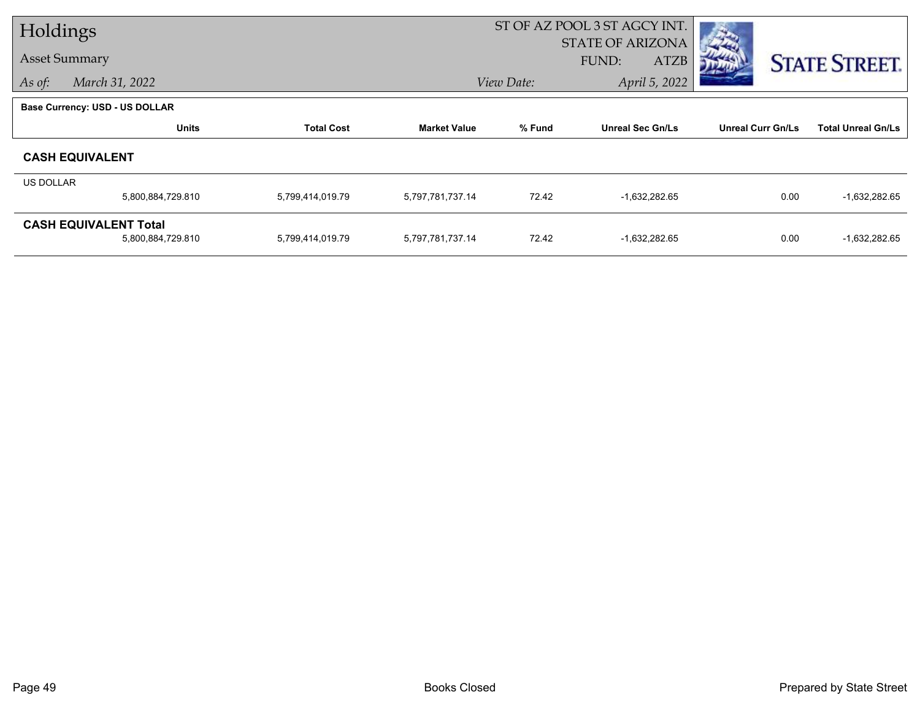| Holdings                 |                                                   |                   | ST OF AZ POOL 3 ST AGCY INT.<br><b>STATE OF ARIZONA</b> |                                                     |                 |                          |                           |
|--------------------------|---------------------------------------------------|-------------------|---------------------------------------------------------|-----------------------------------------------------|-----------------|--------------------------|---------------------------|
|                          | <b>Asset Summary</b>                              |                   |                                                         | <b>STATE STREET.</b>                                |                 |                          |                           |
| March 31, 2022<br>As of: |                                                   |                   |                                                         | FUND:<br><b>ATZB</b><br>April 5, 2022<br>View Date: |                 |                          |                           |
|                          | <b>Base Currency: USD - US DOLLAR</b>             |                   |                                                         |                                                     |                 |                          |                           |
|                          | <b>Units</b>                                      | <b>Total Cost</b> | <b>Market Value</b>                                     | % Fund<br><b>Unreal Sec Gn/Ls</b>                   |                 | <b>Unreal Curr Gn/Ls</b> | <b>Total Unreal Gn/Ls</b> |
|                          | <b>CASH EQUIVALENT</b>                            |                   |                                                         |                                                     |                 |                          |                           |
| US DOLLAR                |                                                   |                   |                                                         |                                                     |                 |                          |                           |
|                          | 5,800,884,729.810                                 | 5,799,414,019.79  | 5,797,781,737.14                                        | 72.42                                               | $-1,632,282.65$ | 0.00                     | $-1,632,282.65$           |
|                          | <b>CASH EQUIVALENT Total</b><br>5,800,884,729.810 | 5,799,414,019.79  | 5,797,781,737.14                                        | 72.42                                               | -1,632,282.65   | 0.00                     | $-1,632,282.65$           |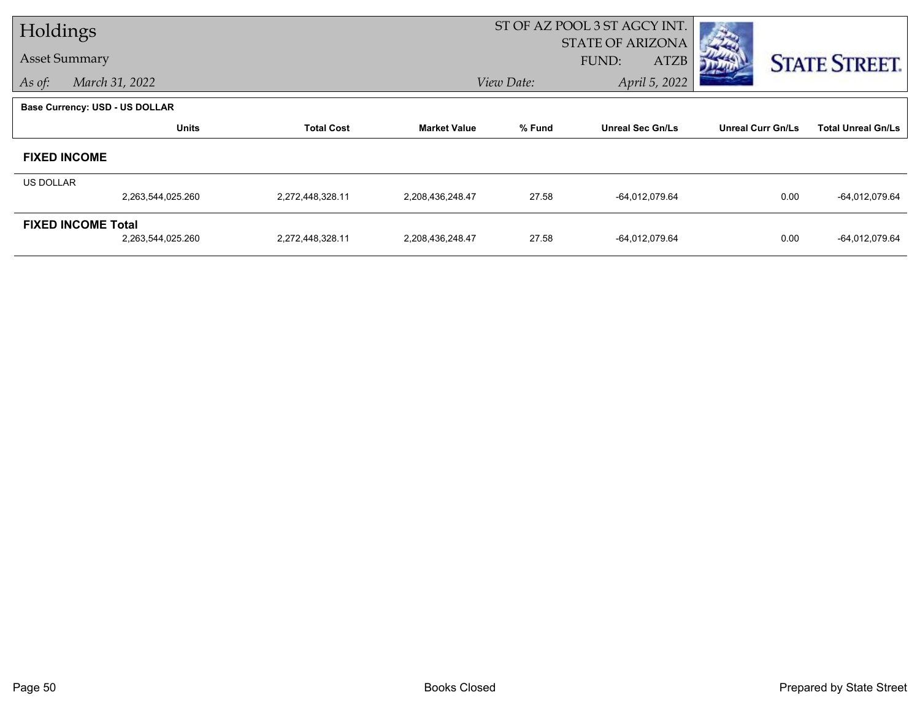| Holdings  |                                       |                   |                     |                                   | ST OF AZ POOL 3 ST AGCY INT. |                          |                           |
|-----------|---------------------------------------|-------------------|---------------------|-----------------------------------|------------------------------|--------------------------|---------------------------|
|           | <b>Asset Summary</b>                  |                   |                     |                                   | <b>STATE OF ARIZONA</b>      |                          |                           |
|           |                                       |                   |                     |                                   | <b>ATZB</b><br>FUND:         |                          | <b>STATE STREET.</b>      |
| As of:    | March 31, 2022                        |                   |                     | View Date:                        | April 5, 2022                |                          |                           |
|           | <b>Base Currency: USD - US DOLLAR</b> |                   |                     |                                   |                              |                          |                           |
|           | <b>Units</b>                          | <b>Total Cost</b> | <b>Market Value</b> | % Fund<br><b>Unreal Sec Gn/Ls</b> |                              | <b>Unreal Curr Gn/Ls</b> | <b>Total Unreal Gn/Ls</b> |
|           | <b>FIXED INCOME</b>                   |                   |                     |                                   |                              |                          |                           |
| US DOLLAR |                                       |                   |                     |                                   |                              |                          |                           |
|           | 2,263,544,025.260                     | 2,272,448,328.11  | 2,208,436,248.47    | 27.58                             | $-64,012,079.64$             | 0.00                     | -64,012,079.64            |
|           | <b>FIXED INCOME Total</b>             |                   |                     |                                   |                              |                          |                           |
|           | 2,263,544,025.260                     | 2,272,448,328.11  | 2,208,436,248.47    | 27.58                             | -64,012,079.64               | 0.00                     | -64,012,079.64            |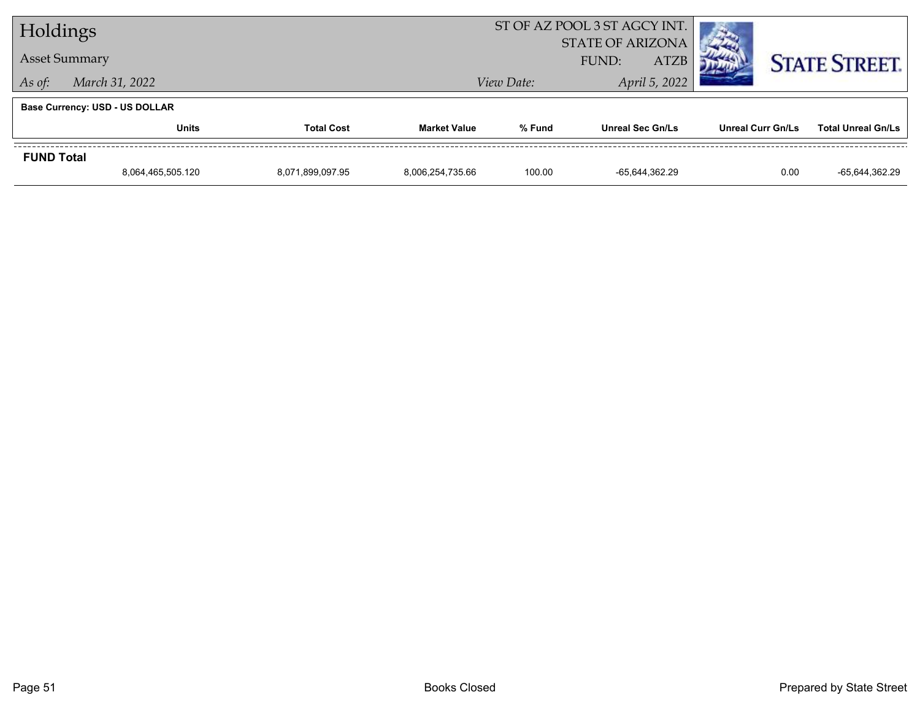| Holdings                 |                                       |  | ST OF AZ POOL 3 ST AGCY INT.                    |            |                         |                      |                           |
|--------------------------|---------------------------------------|--|-------------------------------------------------|------------|-------------------------|----------------------|---------------------------|
|                          | <b>Asset Summary</b>                  |  | <b>STATE OF ARIZONA</b><br><b>ATZB</b><br>FUND: |            |                         | <b>STATE STREET.</b> |                           |
| March 31, 2022<br>As of: |                                       |  |                                                 | View Date: | April 5, 2022           |                      |                           |
|                          | <b>Base Currency: USD - US DOLLAR</b> |  |                                                 |            |                         |                      |                           |
|                          | <b>Units</b><br><b>Total Cost</b>     |  | <b>Market Value</b>                             | % Fund     | <b>Unreal Sec Gn/Ls</b> | Unreal Curr Gn/Ls    | <b>Total Unreal Gn/Ls</b> |
| <b>FUND Total</b>        |                                       |  |                                                 |            |                         |                      |                           |
|                          | 8,064,465,505.120<br>8,071,899,097.95 |  | 8,006,254,735.66                                | 100.00     | -65,644,362.29          | 0.00                 | -65,644,362.29            |